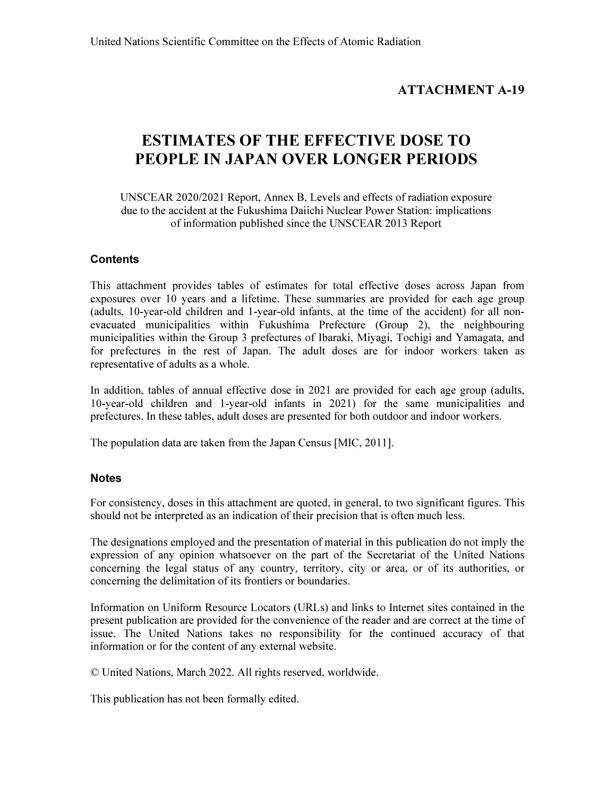## ATTACHMENT A-19

# ESTIMATES OF THE EFFECTIVE DOSE TO PEOPLE IN JAPAN OVER LONGER PERIODS

UNSCEAR 2020/2021 Report, Annex B, Levels and effects of radiation exposure due to the accident at the Fukushima Daiichi Nuclear Power Station: implications of information published since the UNSCEAR 2013 Report

## **Contents**

This attachment provides tables of estimates for total effective doses across Japan from exposures over 10 years and a lifetime. These summaries are provided for each age group (adults, 10-year-old children and 1-year-old infants, at the time of the accident) for all nonevacuated municipalities within Fukushima Prefecture (Group 2), the neighbouring municipalities within the Group 3 prefectures of Ibaraki, Miyagi, Tochigi and Yamagata, and for prefectures in the rest of Japan. The adult doses are for indoor workers taken as representative of adults as a whole.

In addition, tables of annual effective dose in 2021 are provided for each age group (adults, 10-year-old children and 1-year-old infants in 2021) for the same municipalities and prefectures. In these tables, adult doses are presented for both outdoor and indoor workers.

The population data are taken from the Japan Census [MIC, 2011].

## **Notes**

For consistency, doses in this attachment are quoted, in general, to two significant figures. This should not be interpreted as an indication of their precision that is often much less.

The designations employed and the presentation of material in this publication do not imply the expression of any opinion whatsoever on the part of the Secretariat of the United Nations concerning the legal status of any country, territory, city or area, or of its authorities, or concerning the delimitation of its frontiers or boundaries.

Information on Uniform Resource Locators (URLs) and links to Internet sites contained in the present publication are provided for the convenience of the reader and are correct at the time of issue. The United Nations takes no responsibility for the continued accuracy of that information or for the content of any external website.

© United Nations, March 2022. All rights reserved, worldwide.

This publication has not been formally edited.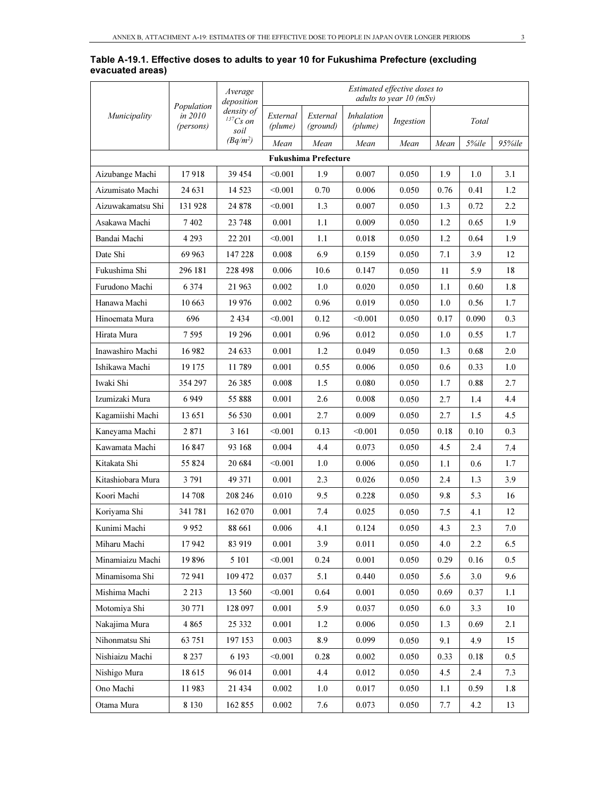|                   |                                    | Average<br>deposition                            |                     |                             |                              | Estimated effective doses to<br>adults to year $10$ (mSv) |      |       |         |
|-------------------|------------------------------------|--------------------------------------------------|---------------------|-----------------------------|------------------------------|-----------------------------------------------------------|------|-------|---------|
| Municipality      | Population<br>in 2010<br>(persons) | density of<br>$\ensuremath{^{137}Cs}$ on<br>soil | External<br>(plume) | External<br>(ground)        | <i>Inhalation</i><br>(plume) | Ingestion                                                 |      | Total |         |
|                   |                                    | $(Bq/m^2)$                                       | Mean                | Mean                        | Mean                         | Mean                                                      | Mean | 5%ile | 95%ile  |
|                   |                                    |                                                  |                     | <b>Fukushima Prefecture</b> |                              |                                                           |      |       |         |
| Aizubange Machi   | 17918                              | 39 454                                           | < 0.001             | 1.9                         | 0.007                        | 0.050                                                     | 1.9  | 1.0   | 3.1     |
| Aizumisato Machi  | 24 631                             | 14 5 23                                          | < 0.001             | 0.70                        | 0.006                        | 0.050                                                     | 0.76 | 0.41  | 1.2     |
| Aizuwakamatsu Shi | 131928                             | 24 878                                           | < 0.001             | 1.3                         | 0.007                        | 0.050                                                     | 1.3  | 0.72  | 2.2     |
| Asakawa Machi     | 7402                               | 23 748                                           | 0.001               | 1.1                         | 0.009                        | 0.050                                                     | 1.2  | 0.65  | 1.9     |
| Bandai Machi      | 4 2 9 3                            | 22 201                                           | < 0.001             | 1.1                         | 0.018                        | 0.050                                                     | 1.2  | 0.64  | 1.9     |
| Date Shi          | 69 963                             | 147 228                                          | 0.008               | 6.9                         | 0.159                        | 0.050                                                     | 7.1  | 3.9   | 12      |
| Fukushima Shi     | 296 181                            | 228 498                                          | 0.006               | 10.6                        | 0.147                        | 0.050                                                     | 11   | 5.9   | 18      |
| Furudono Machi    | 6 3 7 4                            | 21 963                                           | 0.002               | 1.0                         | 0.020                        | 0.050                                                     | 1.1  | 0.60  | 1.8     |
| Hanawa Machi      | 10 663                             | 19 976                                           | 0.002               | 0.96                        | 0.019                        | 0.050                                                     | 1.0  | 0.56  | 1.7     |
| Hinoemata Mura    | 696                                | 2434                                             | < 0.001             | 0.12                        | < 0.001                      | 0.050                                                     | 0.17 | 0.090 | 0.3     |
| Hirata Mura       | 7 5 9 5                            | 19 29 6                                          | 0.001               | 0.96                        | 0.012                        | 0.050                                                     | 1.0  | 0.55  | 1.7     |
| Inawashiro Machi  | 16982                              | 24 633                                           | 0.001               | 1.2                         | 0.049                        | 0.050                                                     | 1.3  | 0.68  | 2.0     |
| Ishikawa Machi    | 19 175                             | 11789                                            | 0.001               | 0.55                        | 0.006                        | 0.050                                                     | 0.6  | 0.33  | 1.0     |
| Iwaki Shi         | 354 297                            | 26 3 8 5                                         | 0.008               | 1.5                         | 0.080                        | 0.050                                                     | 1.7  | 0.88  | 2.7     |
| Izumizaki Mura    | 6949                               | 55888                                            | 0.001               | 2.6                         | 0.008                        | 0.050                                                     | 2.7  | 1.4   | 4.4     |
| Kagamiishi Machi  | 13 651                             | 56 530                                           | 0.001               | 2.7                         | 0.009                        | 0.050                                                     | 2.7  | 1.5   | 4.5     |
| Kaneyama Machi    | 2871                               | 3 1 6 1                                          | < 0.001             | 0.13                        | < 0.001                      | 0.050                                                     | 0.18 | 0.10  | 0.3     |
| Kawamata Machi    | 16847                              | 93 168                                           | 0.004               | 4.4                         | 0.073                        | 0.050                                                     | 4.5  | 2.4   | 7.4     |
| Kitakata Shi      | 55 824                             | 20 684                                           | < 0.001             | 1.0                         | 0.006                        | 0.050                                                     | 1.1  | 0.6   | 1.7     |
| Kitashiobara Mura | 3791                               | 49 371                                           | 0.001               | 2.3                         | 0.026                        | 0.050                                                     | 2.4  | 1.3   | 3.9     |
| Koori Machi       | 14 708                             | 208 246                                          | 0.010               | 9.5                         | 0.228                        | 0.050                                                     | 9.8  | 5.3   | 16      |
| Koriyama Shi      | 341781                             | 162 070                                          | 0.001               | 7.4                         | 0.025                        | 0.050                                                     | 7.5  | 4.1   | 12      |
| Kunimi Machi      | 9952                               | 88 661                                           | 0.006               | 4.1                         | 0.124                        | 0.050                                                     | 4.3  | 2.3   | 7.0     |
| Miharu Machi      | 17942                              | 83 919                                           | 0.001               | 3.9                         | 0.011                        | 0.050                                                     | 4.0  | 2.2   | 6.5     |
| Minamiaizu Machi  | 19896                              | 5 101                                            | < 0.001             | 0.24                        | 0.001                        | 0.050                                                     | 0.29 | 0.16  | 0.5     |
| Minamisoma Shi    | 72 941                             | 109 472                                          | 0.037               | 5.1                         | 0.440                        | 0.050                                                     | 5.6  | 3.0   | 9.6     |
| Mishima Machi     | 2 2 1 3                            | 13 560                                           | < 0.001             | 0.64                        | 0.001                        | 0.050                                                     | 0.69 | 0.37  | 1.1     |
| Motomiya Shi      | 30 771                             | 128 097                                          | 0.001               | 5.9                         | 0.037                        | 0.050                                                     | 6.0  | 3.3   | 10      |
| Nakajima Mura     | 4 8 6 5                            | 25 3 3 2                                         | 0.001               | 1.2                         | 0.006                        | 0.050                                                     | 1.3  | 0.69  | 2.1     |
| Nihonmatsu Shi    | 63 751                             | 197 153                                          | 0.003               | 8.9                         | 0.099                        | 0.050                                                     | 9.1  | 4.9   | 15      |
| Nishiaizu Machi   | 8 2 3 7                            | 6 1 9 3                                          | < 0.001             | 0.28                        | 0.002                        | 0.050                                                     | 0.33 | 0.18  | $0.5\,$ |
| Nishigo Mura      | 18615                              | 96 014                                           | 0.001               | 4.4                         | 0.012                        | 0.050                                                     | 4.5  | 2.4   | 7.3     |
| Ono Machi         | 11983                              | 21 4 34                                          | 0.002               | 1.0                         | 0.017                        | 0.050                                                     | 1.1  | 0.59  | 1.8     |
| Otama Mura        | 8 1 3 0                            | 162 855                                          | 0.002               | 7.6                         | 0.073                        | 0.050                                                     | 7.7  | 4.2   | 13      |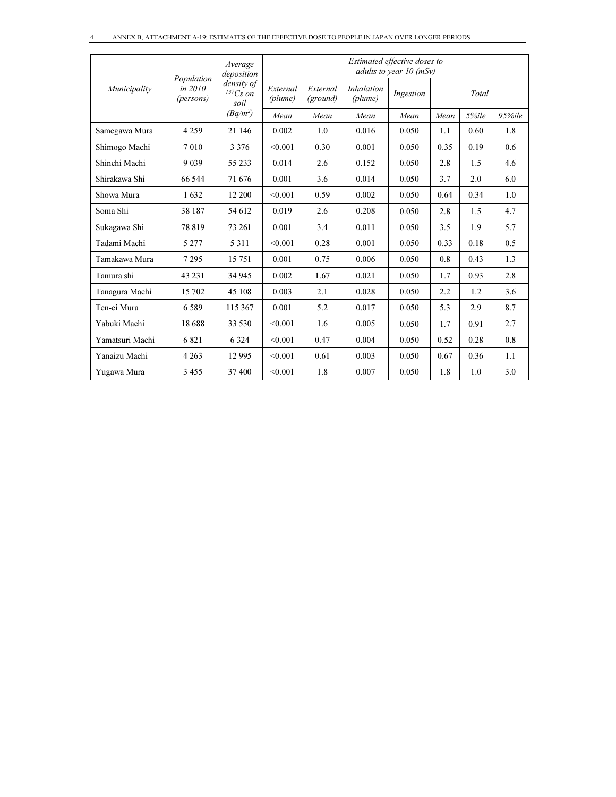|                 |                                      | Average<br>deposition                 | Estimated effective doses to<br>adults to year $10$ (mSv) |                                                                   |       |       |       |       |        |
|-----------------|--------------------------------------|---------------------------------------|-----------------------------------------------------------|-------------------------------------------------------------------|-------|-------|-------|-------|--------|
| Municipality    | Population<br>in $2010$<br>(persons) | density of<br>${}^{137}Cs$ on<br>soil | External<br>(plume)                                       | <i>Inhalation</i><br>External<br>Ingestion<br>(plume)<br>(ground) |       |       | Total |       |        |
|                 |                                      | $(Bq/m^2)$                            | Mean                                                      | Mean                                                              | Mean  | Mean  | Mean  | 5%ile | 95%ile |
| Samegawa Mura   | 4 2 5 9                              | 21 14 6                               | 0.002                                                     | 1.0                                                               | 0.016 | 0.050 | 1.1   | 0.60  | 1.8    |
| Shimogo Machi   | 7010                                 | 3 3 7 6                               | < 0.001                                                   | 0.30                                                              | 0.001 | 0.050 | 0.35  | 0.19  | 0.6    |
| Shinchi Machi   | 9039                                 | 55 233                                | 0.014                                                     | 2.6                                                               | 0.152 | 0.050 | 2.8   | 1.5   | 4.6    |
| Shirakawa Shi   | 66 544                               | 71 676                                | 0.001                                                     | 3.6                                                               | 0.014 | 0.050 | 3.7   | 2.0   | 6.0    |
| Showa Mura      | 1632                                 | 12 200                                | < 0.001                                                   | 0.59                                                              | 0.002 | 0.050 | 0.64  | 0.34  | 1.0    |
| Soma Shi        | 38 187                               | 54 612                                | 0.019                                                     | 2.6                                                               | 0.208 | 0.050 | 2.8   | 1.5   | 4.7    |
| Sukagawa Shi    | 78819                                | 73 261                                | 0.001                                                     | 3.4                                                               | 0.011 | 0.050 | 3.5   | 1.9   | 5.7    |
| Tadami Machi    | 5 2 7 7                              | 5 3 1 1                               | < 0.001                                                   | 0.28                                                              | 0.001 | 0.050 | 0.33  | 0.18  | 0.5    |
| Tamakawa Mura   | 7 2 9 5                              | 15 751                                | 0.001                                                     | 0.75                                                              | 0.006 | 0.050 | 0.8   | 0.43  | 1.3    |
| Tamura shi      | 43 2 31                              | 34 945                                | 0.002                                                     | 1.67                                                              | 0.021 | 0.050 | 1.7   | 0.93  | 2.8    |
| Tanagura Machi  | 15 702                               | 45 108                                | 0.003                                                     | 2.1                                                               | 0.028 | 0.050 | 2.2   | 1.2   | 3.6    |
| Ten-ei Mura     | 6589                                 | 115 367                               | 0.001                                                     | 5.2                                                               | 0.017 | 0.050 | 5.3   | 2.9   | 8.7    |
| Yabuki Machi    | 18688                                | 33 530                                | < 0.001                                                   | 1.6                                                               | 0.005 | 0.050 | 1.7   | 0.91  | 2.7    |
| Yamatsuri Machi | 6821                                 | 6 3 2 4                               | < 0.001                                                   | 0.47                                                              | 0.004 | 0.050 | 0.52  | 0.28  | 0.8    |
| Yanaizu Machi   | 4 2 6 3                              | 12 9 95                               | < 0.001                                                   | 0.61                                                              | 0.003 | 0.050 | 0.67  | 0.36  | 1.1    |
| Yugawa Mura     | 3455                                 | 37400                                 | < 0.001                                                   | 1.8                                                               | 0.007 | 0.050 | 1.8   | 1.0   | 3.0    |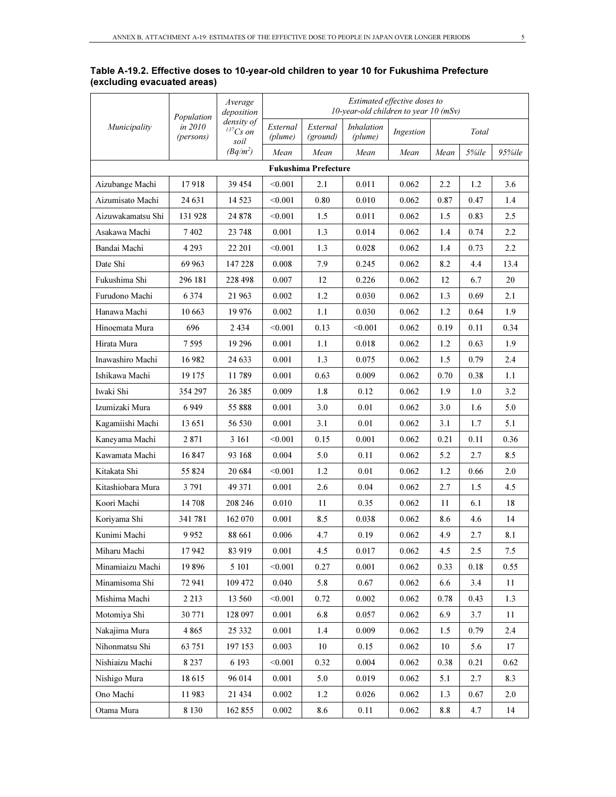|                   | Population           | Average<br>deposition            | Estimated effective doses to<br>10-year-old children to year 10 $(mSv)$ |                             |                              |           |      |          |         |  |
|-------------------|----------------------|----------------------------------|-------------------------------------------------------------------------|-----------------------------|------------------------------|-----------|------|----------|---------|--|
| Municipality      | in 2010<br>(persons) | density of<br>$137Cs$ on<br>soil | External<br>(plume)                                                     | External<br>(ground)        | <i>Inhalation</i><br>(plume) | Ingestion |      | Total    |         |  |
|                   |                      | $(Bq/m^2)$                       | Mean                                                                    | Mean                        | Mean                         | Mean      | Mean | 5%ile    | 95%ile  |  |
|                   |                      |                                  |                                                                         | <b>Fukushima Prefecture</b> |                              |           |      |          |         |  |
| Aizubange Machi   | 17918                | 39 454                           | < 0.001                                                                 | 2.1                         | 0.011                        | 0.062     | 2.2  | 1.2      | 3.6     |  |
| Aizumisato Machi  | 24 631               | 14 5 23                          | < 0.001                                                                 | 0.80                        | 0.010                        | 0.062     | 0.87 | 0.47     | 1.4     |  |
| Aizuwakamatsu Shi | 131928               | 24 878                           | < 0.001                                                                 | 1.5                         | 0.011                        | 0.062     | 1.5  | 0.83     | 2.5     |  |
| Asakawa Machi     | 7402                 | 23 748                           | 0.001                                                                   | 1.3                         | 0.014                        | 0.062     | 1.4  | 0.74     | 2.2     |  |
| Bandai Machi      | 4 2 9 3              | 22 201                           | < 0.001                                                                 | 1.3                         | 0.028                        | 0.062     | 1.4  | 0.73     | 2.2     |  |
| Date Shi          | 69 963               | 147 228                          | 0.008                                                                   | 7.9                         | 0.245                        | 0.062     | 8.2  | 4.4      | 13.4    |  |
| Fukushima Shi     | 296 181              | 228 498                          | 0.007                                                                   | 12                          | 0.226                        | 0.062     | 12   | 6.7      | 20      |  |
| Furudono Machi    | 6 3 7 4              | 21 963                           | 0.002                                                                   | 1.2                         | 0.030                        | 0.062     | 1.3  | 0.69     | 2.1     |  |
| Hanawa Machi      | 10 663               | 19 976                           | 0.002                                                                   | 1.1                         | 0.030                        | 0.062     | 1.2  | 0.64     | 1.9     |  |
| Hinoemata Mura    | 696                  | 2434                             | < 0.001                                                                 | 0.13                        | < 0.001                      | 0.062     | 0.19 | 0.11     | 0.34    |  |
| Hirata Mura       | 7595                 | 19 29 6                          | 0.001                                                                   | 1.1                         | 0.018                        | 0.062     | 1.2  | 0.63     | 1.9     |  |
| Inawashiro Machi  | 16982                | 24 633                           | 0.001                                                                   | 1.3                         | 0.075                        | 0.062     | 1.5  | 0.79     | 2.4     |  |
| Ishikawa Machi    | 19 175               | 11789                            | 0.001                                                                   | 0.63                        | 0.009                        | 0.062     | 0.70 | 0.38     | 1.1     |  |
| Iwaki Shi         | 354 297              | 26 385                           | 0.009                                                                   | 1.8                         | 0.12                         | 0.062     | 1.9  | 1.0      | 3.2     |  |
| Izumizaki Mura    | 6949                 | 55 888                           | 0.001                                                                   | 3.0                         | 0.01                         | 0.062     | 3.0  | 1.6      | 5.0     |  |
| Kagamiishi Machi  | 13651                | 56 530                           | 0.001                                                                   | 3.1                         | 0.01                         | 0.062     | 3.1  | 1.7      | 5.1     |  |
| Kaneyama Machi    | 2871                 | 3 16 1                           | < 0.001                                                                 | 0.15                        | 0.001                        | 0.062     | 0.21 | 0.11     | 0.36    |  |
| Kawamata Machi    | 16847                | 93 168                           | 0.004                                                                   | 5.0                         | 0.11                         | 0.062     | 5.2  | 2.7      | 8.5     |  |
| Kitakata Shi      | 55 824               | 20 684                           | < 0.001                                                                 | 1.2                         | 0.01                         | 0.062     | 1.2  | 0.66     | 2.0     |  |
| Kitashiobara Mura | 3 7 9 1              | 49 371                           | 0.001                                                                   | 2.6                         | 0.04                         | 0.062     | 2.7  | 1.5      | 4.5     |  |
| Koori Machi       | 14 708               | 208 246                          | 0.010                                                                   | 11                          | 0.35                         | 0.062     | 11   | 6.1      | 18      |  |
| Koriyama Shi      | 341781               | 162 070                          | 0.001                                                                   | 8.5                         | 0.038                        | 0.062     | 8.6  | 4.6      | 14      |  |
| Kunimi Machi      | 9952                 | 88 661                           | 0.006                                                                   | 4.7                         | 0.19                         | 0.062     | 4.9  | 2.7      | 8.1     |  |
| Miharu Machi      | 17942                | 83 919                           | 0.001                                                                   | 4.5                         | 0.017                        | 0.062     | 4.5  | 2.5      | 7.5     |  |
| Minamiaizu Machi  | 19896                | 5 1 0 1                          | < 0.001                                                                 | 0.27                        | 0.001                        | 0.062     | 0.33 | $0.18\,$ | 0.55    |  |
| Minamisoma Shi    | 72 941               | 109 472                          | 0.040                                                                   | 5.8                         | 0.67                         | 0.062     | 6.6  | 3.4      | 11      |  |
| Mishima Machi     | 2 2 1 3              | 13 560                           | < 0.001                                                                 | 0.72                        | 0.002                        | 0.062     | 0.78 | 0.43     | 1.3     |  |
| Motomiya Shi      | 30 771               | 128 097                          | 0.001                                                                   | 6.8                         | 0.057                        | 0.062     | 6.9  | 3.7      | 11      |  |
| Nakajima Mura     | 4 8 6 5              | 25 332                           | 0.001                                                                   | 1.4                         | 0.009                        | 0.062     | 1.5  | 0.79     | 2.4     |  |
| Nihonmatsu Shi    | 63 751               | 197 153                          | 0.003                                                                   | 10                          | 0.15                         | 0.062     | 10   | 5.6      | 17      |  |
| Nishiaizu Machi   | 8 2 3 7              | 6 1 9 3                          | < 0.001                                                                 | 0.32                        | 0.004                        | 0.062     | 0.38 | 0.21     | 0.62    |  |
| Nishigo Mura      | 18615                | 96 014                           | 0.001                                                                   | 5.0                         | 0.019                        | 0.062     | 5.1  | 2.7      | 8.3     |  |
| Ono Machi         | 11983                | 21 434                           | 0.002                                                                   | 1.2                         | 0.026                        | 0.062     | 1.3  | 0.67     | $2.0\,$ |  |
| Otama Mura        | 8 1 3 0              | 162 855                          | 0.002                                                                   | 8.6                         | 0.11                         | 0.062     | 8.8  | 4.7      | 14      |  |

Table A-19.2. Effective doses to 10-year-old children to year 10 for Fukushima Prefecture (excluding evacuated areas)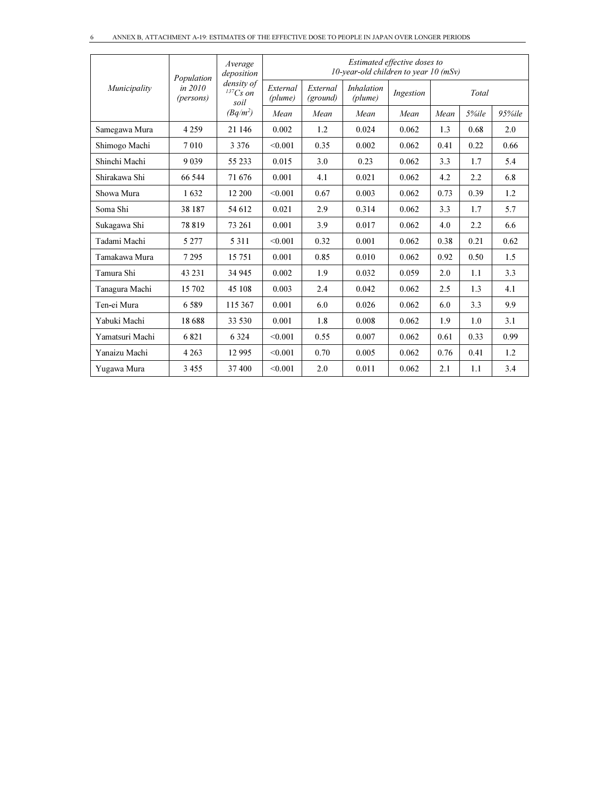|                 | Population             | Average<br>deposition                 | Estimated effective doses to<br>10-year-old children to year 10 $(mSv)$     |      |           |       |      |       |        |
|-----------------|------------------------|---------------------------------------|-----------------------------------------------------------------------------|------|-----------|-------|------|-------|--------|
| Municipality    | in $2010$<br>(persons) | density of<br>${}^{137}Cs$ on<br>soil | <i>Inhalation</i><br>External<br>External<br>(plume)<br>(ground)<br>(plume) |      | Ingestion | Total |      |       |        |
|                 |                        | $(Bq/m^2)$                            | Mean                                                                        | Mean | Mean      | Mean  | Mean | 5%ile | 95%ile |
| Samegawa Mura   | 4 2 5 9                | 21 146                                | 0.002                                                                       | 1.2  | 0.024     | 0.062 | 1.3  | 0.68  | 2.0    |
| Shimogo Machi   | 7010                   | 3 3 7 6                               | < 0.001                                                                     | 0.35 | 0.002     | 0.062 | 0.41 | 0.22  | 0.66   |
| Shinchi Machi   | 9039                   | 55 233                                | 0.015                                                                       | 3.0  | 0.23      | 0.062 | 3.3  | 1.7   | 5.4    |
| Shirakawa Shi   | 66 544                 | 71 676                                | 0.001                                                                       | 4.1  | 0.021     | 0.062 | 4.2  | 2.2   | 6.8    |
| Showa Mura      | 1632                   | 12 200                                | < 0.001                                                                     | 0.67 | 0.003     | 0.062 | 0.73 | 0.39  | 1.2    |
| Soma Shi        | 38 187                 | 54 612                                | 0.021                                                                       | 2.9  | 0.314     | 0.062 | 3.3  | 1.7   | 5.7    |
| Sukagawa Shi    | 78819                  | 73 261                                | 0.001                                                                       | 3.9  | 0.017     | 0.062 | 4.0  | 2.2   | 6.6    |
| Tadami Machi    | 5 2 7 7                | 5 3 1 1                               | < 0.001                                                                     | 0.32 | 0.001     | 0.062 | 0.38 | 0.21  | 0.62   |
| Tamakawa Mura   | 7 2 9 5                | 15 751                                | 0.001                                                                       | 0.85 | 0.010     | 0.062 | 0.92 | 0.50  | 1.5    |
| Tamura Shi      | 43 2 31                | 34 945                                | 0.002                                                                       | 1.9  | 0.032     | 0.059 | 2.0  | 1.1   | 3.3    |
| Tanagura Machi  | 15 702                 | 45 108                                | 0.003                                                                       | 2.4  | 0.042     | 0.062 | 2.5  | 1.3   | 4.1    |
| Ten-ei Mura     | 6.589                  | 115 367                               | 0.001                                                                       | 6.0  | 0.026     | 0.062 | 6.0  | 3.3   | 9.9    |
| Yabuki Machi    | 18688                  | 33 530                                | 0.001                                                                       | 1.8  | 0.008     | 0.062 | 1.9  | 1.0   | 3.1    |
| Yamatsuri Machi | 6821                   | 6 3 2 4                               | < 0.001                                                                     | 0.55 | 0.007     | 0.062 | 0.61 | 0.33  | 0.99   |
| Yanaizu Machi   | 4 2 6 3                | 12 9 95                               | < 0.001                                                                     | 0.70 | 0.005     | 0.062 | 0.76 | 0.41  | 1.2    |
| Yugawa Mura     | 3 4 5 5                | 37 400                                | < 0.001                                                                     | 2.0  | 0.011     | 0.062 | 2.1  | 1.1   | 3.4    |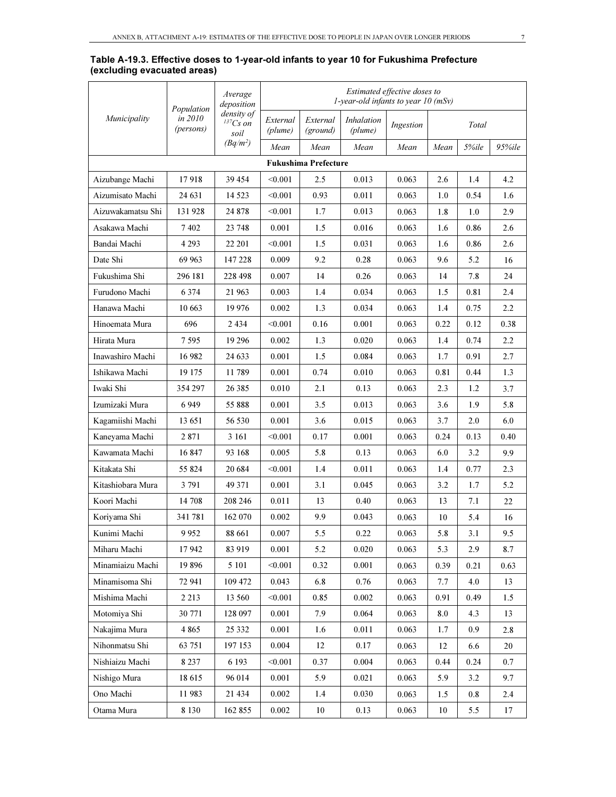| Table A-19.3. Effective doses to 1-year-old infants to year 10 for Fukushima Prefecture |  |  |
|-----------------------------------------------------------------------------------------|--|--|
| (excluding evacuated areas)                                                             |  |  |

|                   | Population           | Average<br>deposition                 | Estimated effective doses to<br>1-year-old infants to year $10$ (mSv) |                             |                              |           |      |       |         |
|-------------------|----------------------|---------------------------------------|-----------------------------------------------------------------------|-----------------------------|------------------------------|-----------|------|-------|---------|
| Municipality      | in 2010<br>(persons) | density of<br>${}^{137}Cs$ on<br>soil | External<br>(plume)                                                   | External<br>(ground)        | <i>Inhalation</i><br>(plume) | Ingestion |      | Total |         |
|                   |                      | $(Bq/m^2)$                            | Mean                                                                  | Mean                        | Mean                         | Mean      | Mean | 5%ile | 95%ile  |
|                   |                      |                                       |                                                                       | <b>Fukushima Prefecture</b> |                              |           |      |       |         |
| Aizubange Machi   | 17918                | 39 454                                | < 0.001                                                               | 2.5                         | 0.013                        | 0.063     | 2.6  | 1.4   | 4.2     |
| Aizumisato Machi  | 24 631               | 14 5 23                               | < 0.001                                                               | 0.93                        | 0.011                        | 0.063     | 1.0  | 0.54  | 1.6     |
| Aizuwakamatsu Shi | 131928               | 24 878                                | < 0.001                                                               | 1.7                         | 0.013                        | 0.063     | 1.8  | 1.0   | 2.9     |
| Asakawa Machi     | 7402                 | 23 748                                | 0.001                                                                 | 1.5                         | 0.016                        | 0.063     | 1.6  | 0.86  | 2.6     |
| Bandai Machi      | 4 293                | 22 201                                | < 0.001                                                               | 1.5                         | 0.031                        | 0.063     | 1.6  | 0.86  | 2.6     |
| Date Shi          | 69 963               | 147 228                               | 0.009                                                                 | 9.2                         | 0.28                         | 0.063     | 9.6  | 5.2   | 16      |
| Fukushima Shi     | 296 181              | 228 498                               | 0.007                                                                 | 14                          | 0.26                         | 0.063     | 14   | 7.8   | 24      |
| Furudono Machi    | 6 3 7 4              | 21 963                                | 0.003                                                                 | 1.4                         | 0.034                        | 0.063     | 1.5  | 0.81  | 2.4     |
| Hanawa Machi      | 10 663               | 19 976                                | 0.002                                                                 | 1.3                         | 0.034                        | 0.063     | 1.4  | 0.75  | 2.2     |
| Hinoemata Mura    | 696                  | 2434                                  | < 0.001                                                               | 0.16                        | 0.001                        | 0.063     | 0.22 | 0.12  | 0.38    |
| Hirata Mura       | 7 595                | 19 29 6                               | 0.002                                                                 | 1.3                         | 0.020                        | 0.063     | 1.4  | 0.74  | 2.2     |
| Inawashiro Machi  | 16 982               | 24 633                                | 0.001                                                                 | 1.5                         | 0.084                        | 0.063     | 1.7  | 0.91  | 2.7     |
| Ishikawa Machi    | 19 175               | 11789                                 | 0.001                                                                 | 0.74                        | 0.010                        | 0.063     | 0.81 | 0.44  | 1.3     |
| Iwaki Shi         | 354 297              | 26 3 8 5                              | 0.010                                                                 | 2.1                         | 0.13                         | 0.063     | 2.3  | 1.2   | 3.7     |
| Izumizaki Mura    | 6949                 | 55 888                                | 0.001                                                                 | 3.5                         | 0.013                        | 0.063     | 3.6  | 1.9   | 5.8     |
| Kagamiishi Machi  | 13 651               | 56 530                                | 0.001                                                                 | 3.6                         | 0.015                        | 0.063     | 3.7  | 2.0   | 6.0     |
| Kaneyama Machi    | 2871                 | 3 16 1                                | < 0.001                                                               | 0.17                        | 0.001                        | 0.063     | 0.24 | 0.13  | 0.40    |
| Kawamata Machi    | 16 847               | 93 168                                | 0.005                                                                 | 5.8                         | 0.13                         | 0.063     | 6.0  | 3.2   | 9.9     |
| Kitakata Shi      | 55 824               | 20 684                                | < 0.001                                                               | 1.4                         | 0.011                        | 0.063     | 1.4  | 0.77  | 2.3     |
| Kitashiobara Mura | 3791                 | 49 371                                | 0.001                                                                 | 3.1                         | 0.045                        | 0.063     | 3.2  | 1.7   | 5.2     |
| Koori Machi       | 14 708               | 208 246                               | 0.011                                                                 | 13                          | 0.40                         | 0.063     | 13   | 7.1   | 22      |
| Koriyama Shi      | 341781               | 162 070                               | 0.002                                                                 | 9.9                         | 0.043                        | 0.063     | 10   | 5.4   | 16      |
| Kunimi Machi      | 9952                 | 88 661                                | 0.007                                                                 | 5.5                         | 0.22                         | 0.063     | 5.8  | 3.1   | 9.5     |
| Miharu Machi      | 17942                | 83 919                                | 0.001                                                                 | 5.2                         | 0.020                        | 0.063     | 5.3  | 2.9   | 8.7     |
| Minamiaizu Machi  | 19896                | 5 101                                 | < 0.001                                                               | 0.32                        | 0.001                        | 0.063     | 0.39 | 0.21  | 0.63    |
| Minamisoma Shi    | 72 941               | 109 472                               | 0.043                                                                 | 6.8                         | 0.76                         | 0.063     | 7.7  | 4.0   | 13      |
| Mishima Machi     | 2 2 1 3              | 13 560                                | < 0.001                                                               | 0.85                        | 0.002                        | 0.063     | 0.91 | 0.49  | $1.5\,$ |
| Motomiya Shi      | 30 771               | 128 097                               | 0.001                                                                 | 7.9                         | 0.064                        | 0.063     | 8.0  | 4.3   | 13      |
| Nakajima Mura     | 4 8 6 5              | 25 332                                | 0.001                                                                 | 1.6                         | 0.011                        | 0.063     | 1.7  | 0.9   | 2.8     |
| Nihonmatsu Shi    | 63 751               | 197 153                               | 0.004                                                                 | 12                          | 0.17                         | 0.063     | 12   | 6.6   | 20      |
| Nishiaizu Machi   | 8 2 3 7              | 6 1 9 3                               | < 0.001                                                               | 0.37                        | 0.004                        | 0.063     | 0.44 | 0.24  | 0.7     |
| Nishigo Mura      | 18615                | 96 014                                | 0.001                                                                 | 5.9                         | 0.021                        | 0.063     | 5.9  | 3.2   | 9.7     |
| Ono Machi         | 11983                | 21 434                                | 0.002                                                                 | 1.4                         | 0.030                        | 0.063     | 1.5  | 0.8   | 2.4     |
| Otama Mura        | 8 1 3 0              | 162 855                               | 0.002                                                                 | $10\,$                      | 0.13                         | 0.063     | 10   | 5.5   | 17      |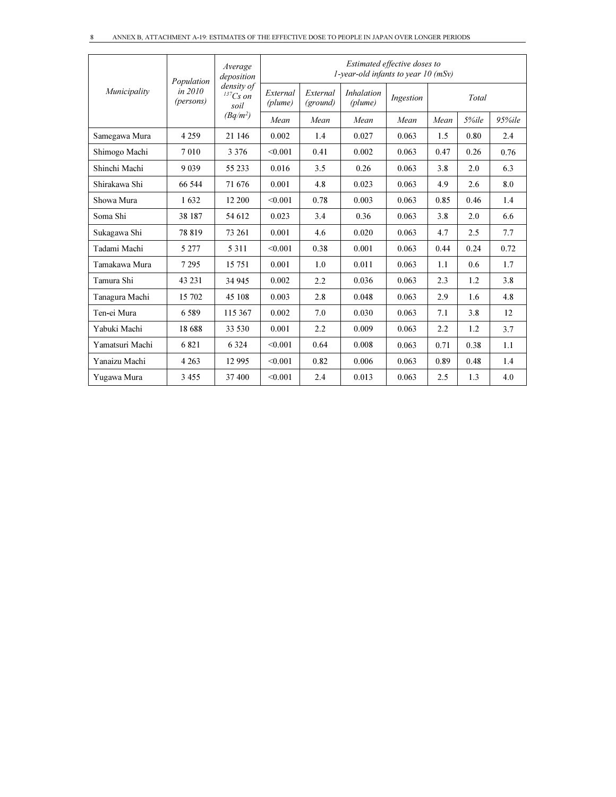|                 | Population             | Average<br>deposition            | Estimated effective doses to<br>1-year-old infants to year $10$ (mSv) |      |                              |           |      |       |        |
|-----------------|------------------------|----------------------------------|-----------------------------------------------------------------------|------|------------------------------|-----------|------|-------|--------|
| Municipality    | in $2010$<br>(persons) | density of<br>$137Cs$ on<br>soil | External<br>External<br>(plume)<br>(ground)                           |      | <i>Inhalation</i><br>(plume) | Ingestion |      | Total |        |
|                 |                        | $(Bq/m^2)$                       | Mean                                                                  | Mean | Mean                         | Mean      | Mean | 5%ile | 95%ile |
| Samegawa Mura   | 4 2 5 9                | 21 146                           | 0.002                                                                 | 1.4  | 0.027                        | 0.063     | 1.5  | 0.80  | 2.4    |
| Shimogo Machi   | 7010                   | 3 3 7 6                          | < 0.001                                                               | 0.41 | 0.002                        | 0.063     | 0.47 | 0.26  | 0.76   |
| Shinchi Machi   | 9 0 3 9                | 55 233                           | 0.016                                                                 | 3.5  | 0.26                         | 0.063     | 3.8  | 2.0   | 6.3    |
| Shirakawa Shi   | 66 544                 | 71 676                           | 0.001                                                                 | 4.8  | 0.023                        | 0.063     | 4.9  | 2.6   | 8.0    |
| Showa Mura      | 1632                   | 12 200                           | < 0.001                                                               | 0.78 | 0.003                        | 0.063     | 0.85 | 0.46  | 1.4    |
| Soma Shi        | 38 187                 | 54 612                           | 0.023                                                                 | 3.4  | 0.36                         | 0.063     | 3.8  | 2.0   | 6.6    |
| Sukagawa Shi    | 78819                  | 73 261                           | 0.001                                                                 | 4.6  | 0.020                        | 0.063     | 4.7  | 2.5   | 7.7    |
| Tadami Machi    | 5 2 7 7                | 5 3 1 1                          | < 0.001                                                               | 0.38 | 0.001                        | 0.063     | 0.44 | 0.24  | 0.72   |
| Tamakawa Mura   | 7 2 9 5                | 15 751                           | 0.001                                                                 | 1.0  | 0.011                        | 0.063     | 1.1  | 0.6   | 1.7    |
| Tamura Shi      | 43 231                 | 34 945                           | 0.002                                                                 | 2.2  | 0.036                        | 0.063     | 2.3  | 1.2   | 3.8    |
| Tanagura Machi  | 15 702                 | 45 108                           | 0.003                                                                 | 2.8  | 0.048                        | 0.063     | 2.9  | 1.6   | 4.8    |
| Ten-ei Mura     | 6589                   | 115 367                          | 0.002                                                                 | 7.0  | 0.030                        | 0.063     | 7.1  | 3.8   | 12     |
| Yabuki Machi    | 18 688                 | 33 530                           | 0.001                                                                 | 2.2  | 0.009                        | 0.063     | 2.2  | 1.2   | 3.7    |
| Yamatsuri Machi | 6821                   | 6 3 2 4                          | < 0.001                                                               | 0.64 | 0.008                        | 0.063     | 0.71 | 0.38  | 1.1    |
| Yanaizu Machi   | 4 2 6 3                | 12 9 95                          | < 0.001                                                               | 0.82 | 0.006                        | 0.063     | 0.89 | 0.48  | 1.4    |
| Yugawa Mura     | 3 4 5 5                | 37 400                           | < 0.001                                                               | 2.4  | 0.013                        | 0.063     | 2.5  | 1.3   | 4.0    |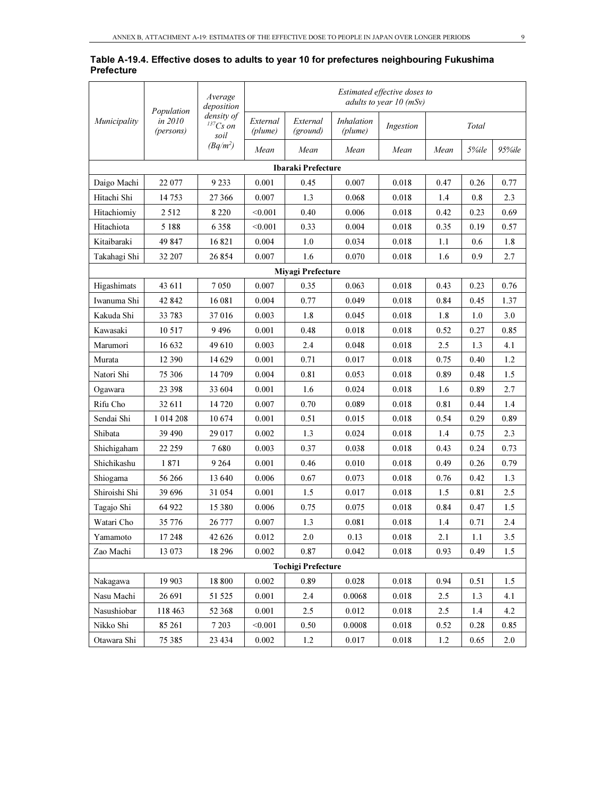|                   |  |  | Table A-19.4. Effective doses to adults to year 10 for prefectures neighbouring Fukushima |  |
|-------------------|--|--|-------------------------------------------------------------------------------------------|--|
| <b>Prefecture</b> |  |  |                                                                                           |  |

|                           |                                    | Average<br>deposition                 |                     |                      |                              | Estimated effective doses to<br>adults to year 10 (mSv) |      |         |        |
|---------------------------|------------------------------------|---------------------------------------|---------------------|----------------------|------------------------------|---------------------------------------------------------|------|---------|--------|
| Municipality              | Population<br>in 2010<br>(persons) | density of<br>${}^{137}Cs$ on<br>soil | External<br>(plume) | External<br>(ground) | <i>Inhalation</i><br>(plume) | Ingestion                                               |      | Total   |        |
|                           |                                    | $(Bq/m^2)$                            | Mean                | Mean                 | Mean                         | Mean                                                    | Mean | 5%ile   | 95%ile |
|                           |                                    |                                       |                     | Ibaraki Prefecture   |                              |                                                         |      |         |        |
| Daigo Machi               | 22 077                             | 9 2 3 3                               | 0.001               | 0.45                 | 0.007                        | 0.018                                                   | 0.47 | 0.26    | 0.77   |
| Hitachi Shi               | 14 7 5 3                           | 27 36 6                               | 0.007               | 1.3                  | 0.068                        | 0.018                                                   | 1.4  | 0.8     | 2.3    |
| Hitachiomiy               | 2512                               | 8 2 2 0                               | < 0.001             | 0.40                 | 0.006                        | 0.018                                                   | 0.42 | 0.23    | 0.69   |
| Hitachiota                | 5 1 8 8                            | 6 3 5 8                               | < 0.001             | 0.33                 | 0.004                        | 0.018                                                   | 0.35 | 0.19    | 0.57   |
| Kitaibaraki               | 49 847                             | 16821                                 | 0.004               | 1.0                  | 0.034                        | 0.018                                                   | 1.1  | 0.6     | 1.8    |
| Takahagi Shi              | 32 207                             | 26 854                                | 0.007               | 1.6                  | 0.070                        | 0.018                                                   | 1.6  | 0.9     | 2.7    |
|                           |                                    |                                       |                     | Miyagi Prefecture    |                              |                                                         |      |         |        |
| Higashimats               | 43 611                             | 7050                                  | 0.007               | 0.35                 | 0.063                        | 0.018                                                   | 0.43 | 0.23    | 0.76   |
| Iwanuma Shi               | 42 842                             | 16 081                                | 0.004               | 0.77                 | 0.049                        | 0.018                                                   | 0.84 | 0.45    | 1.37   |
| Kakuda Shi                | 33783                              | 37016                                 | 0.003               | 1.8                  | 0.045                        | 0.018                                                   | 1.8  | 1.0     | 3.0    |
| Kawasaki                  | 10 5 17                            | 9496                                  | 0.001               | 0.48                 | 0.018                        | 0.018                                                   | 0.52 | 0.27    | 0.85   |
| Marumori                  | 16 632                             | 49 610                                | 0.003               | 2.4                  | 0.048                        | 0.018                                                   | 2.5  | 1.3     | 4.1    |
| Murata                    | 12 3 9 0                           | 14 629                                | 0.001               | 0.71                 | 0.017                        | 0.018                                                   | 0.75 | 0.40    | 1.2    |
| Natori Shi                | 75 306                             | 14 709                                | 0.004               | 0.81                 | 0.053                        | 0.018                                                   | 0.89 | 0.48    | 1.5    |
| Ogawara                   | 23 3 98                            | 33 604                                | 0.001               | 1.6                  | 0.024                        | 0.018                                                   | 1.6  | 0.89    | 2.7    |
| Rifu Cho                  | 32 611                             | 14 720                                | 0.007               | 0.70                 | 0.089                        | 0.018                                                   | 0.81 | 0.44    | 1.4    |
| Sendai Shi                | 1 0 1 4 2 0 8                      | 10674                                 | 0.001               | 0.51                 | 0.015                        | 0.018                                                   | 0.54 | 0.29    | 0.89   |
| Shibata                   | 39 490                             | 29 017                                | 0.002               | 1.3                  | 0.024                        | 0.018                                                   | 1.4  | 0.75    | 2.3    |
| Shichigaham               | 22 259                             | 7680                                  | 0.003               | 0.37                 | 0.038                        | 0.018                                                   | 0.43 | 0.24    | 0.73   |
| Shichikashu               | 1871                               | 9 2 6 4                               | 0.001               | 0.46                 | 0.010                        | 0.018                                                   | 0.49 | 0.26    | 0.79   |
| Shiogama                  | 56 266                             | 13 640                                | 0.006               | 0.67                 | 0.073                        | 0.018                                                   | 0.76 | 0.42    | 1.3    |
| Shiroishi Shi             | 39 696                             | 31 054                                | 0.001               | 1.5                  | 0.017                        | 0.018                                                   | 1.5  | 0.81    | 2.5    |
| Tagajo Shi                | 64 922                             | 15 380                                | 0.006               | 0.75                 | 0.075                        | 0.018                                                   | 0.84 | 0.47    | 1.5    |
| Watari Cho                | 35 776                             | 26 777                                | 0.007               | 1.3                  | 0.081                        | 0.018                                                   | 1.4  | 0.71    | 2.4    |
| Yamamoto                  | 17 248                             | 42 626                                | 0.012               | 2.0                  | 0.13                         | 0.018                                                   | 2.1  | $1.1\,$ | 3.5    |
| Zao Machi                 | 13 073                             | 18 29 6                               | 0.002               | 0.87                 | 0.042                        | 0.018                                                   | 0.93 | 0.49    | 1.5    |
| <b>Tochigi Prefecture</b> |                                    |                                       |                     |                      |                              |                                                         |      |         |        |
| Nakagawa                  | 19 903                             | 18 800                                | 0.002               | 0.89                 | 0.028                        | 0.018                                                   | 0.94 | 0.51    | 1.5    |
| Nasu Machi                | 26 691                             | 51 525                                | 0.001               | 2.4                  | 0.0068                       | 0.018                                                   | 2.5  | 1.3     | 4.1    |
| Nasushiobar               | 118 463                            | 52 368                                | 0.001               | 2.5                  | 0.012                        | 0.018                                                   | 2.5  | 1.4     | 4.2    |
| Nikko Shi                 | 85 261                             | 7 2 0 3                               | < 0.001             | 0.50                 | 0.0008                       | 0.018                                                   | 0.52 | 0.28    | 0.85   |
| Otawara Shi               | 75 385                             | 23 4 34                               | $0.002\,$           | 1.2                  | 0.017                        | 0.018                                                   | 1.2  | 0.65    | 2.0    |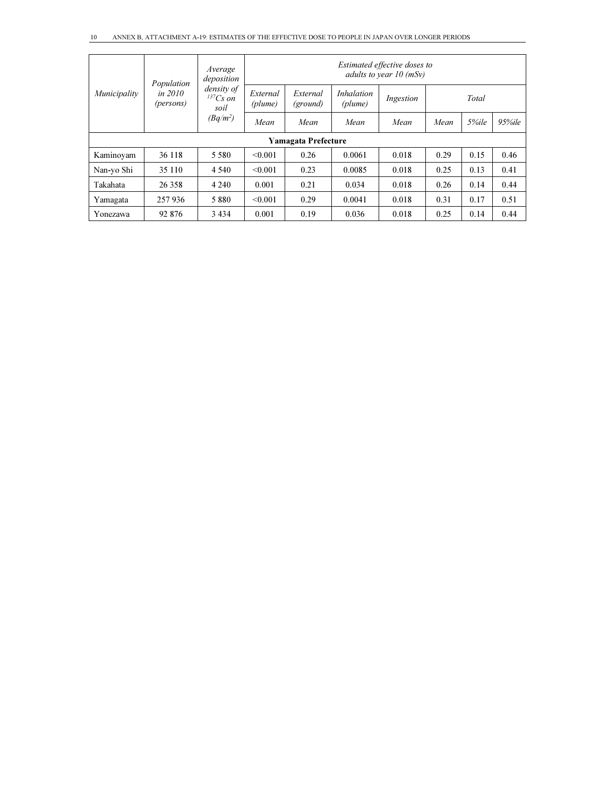|                                      | Population                          | Average<br>deposition |                      |                              |           | Estimated effective doses to<br>adults to year $10$ (mSy) |      |       |        |
|--------------------------------------|-------------------------------------|-----------------------|----------------------|------------------------------|-----------|-----------------------------------------------------------|------|-------|--------|
| in 2010<br>Municipality<br>(persons) | density of<br>$^{137}Cs$ on<br>soil | External<br>(plume)   | External<br>(ground) | <i>Inhalation</i><br>(plume) | Ingestion |                                                           |      |       |        |
|                                      |                                     | $(Bq/m^2)$            | Mean                 | Mean                         | Mean      | Mean                                                      | Mean | 5%ile | 95%ile |
|                                      |                                     |                       |                      | <b>Yamagata Prefecture</b>   |           |                                                           |      |       |        |
| Kaminovam                            | 36 118                              | 5 5 8 0               | < 0.001              | 0.26                         | 0.0061    | 0.018                                                     | 0.29 | 0.15  | 0.46   |
| Nan-yo Shi                           | 35 110                              | 4 5 4 0               | < 0.001              | 0.23                         | 0.0085    | 0.018                                                     | 0.25 | 0.13  | 0.41   |
| Takahata                             | 26 358                              | 4 2 4 0               | 0.001                | 0.21                         | 0.034     | 0.018                                                     | 0.26 | 0.14  | 0.44   |
| Yamagata                             | 257 936                             | 5880                  | < 0.001              | 0.29                         | 0.0041    | 0.018                                                     | 0.31 | 0.17  | 0.51   |
| Yonezawa                             | 92 876                              | 3 4 3 4               | 0.001                | 0.19                         | 0.036     | 0.018                                                     | 0.25 | 0.14  | 0.44   |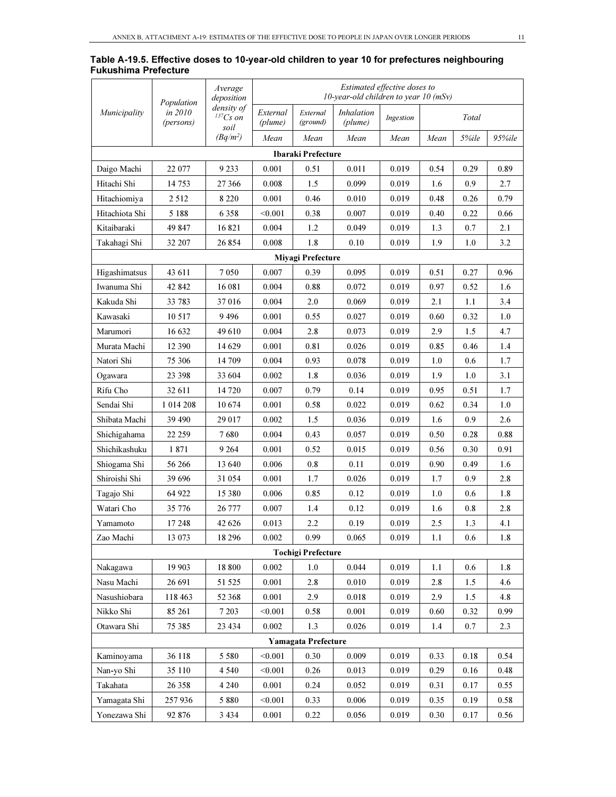|                      |  |  | Table A-19.5. Effective doses to 10-year-old children to year 10 for prefectures neighbouring |  |
|----------------------|--|--|-----------------------------------------------------------------------------------------------|--|
| Fukushima Prefecture |  |  |                                                                                               |  |

|                |                                    | Average<br>deposition    | Estimated effective doses to<br>10-year-old children to year 10 $(mSv)$ |                            |                              |           |          |          |        |
|----------------|------------------------------------|--------------------------|-------------------------------------------------------------------------|----------------------------|------------------------------|-----------|----------|----------|--------|
| Municipality   | Population<br>in 2010<br>(persons) | density of<br>$137Cs$ on | External<br>(plume)                                                     | External<br>(ground)       | <b>Inhalation</b><br>(plume) | Ingestion |          | Total    |        |
|                |                                    | soil<br>$(Bq/m^2)$       | Mean                                                                    | Mean                       | Mean                         | Mean      | Mean     | 5%ile    | 95%ile |
|                |                                    |                          |                                                                         | Ibaraki Prefecture         |                              |           |          |          |        |
| Daigo Machi    | 22 077                             | 9 2 3 3                  | 0.001                                                                   | 0.51                       | 0.011                        | 0.019     | 0.54     | 0.29     | 0.89   |
| Hitachi Shi    | 14 753                             | 27 366                   | 0.008                                                                   | 1.5                        | 0.099                        | 0.019     | 1.6      | 0.9      | 2.7    |
| Hitachiomiya   | 2 5 1 2                            | 8 2 2 0                  | 0.001                                                                   | 0.46                       | 0.010                        | 0.019     | 0.48     | 0.26     | 0.79   |
| Hitachiota Shi | 5 1 8 8                            | 6 3 5 8                  | < 0.001                                                                 | 0.38                       | 0.007                        | 0.019     | 0.40     | 0.22     | 0.66   |
| Kitaibaraki    | 49 847                             | 16821                    | 0.004                                                                   | 1.2                        | 0.049                        | 0.019     | 1.3      | 0.7      | 2.1    |
| Takahagi Shi   | 32 207                             | 26 854                   | 0.008                                                                   | 1.8                        | 0.10                         | 0.019     | 1.9      | 1.0      | 3.2    |
|                |                                    |                          |                                                                         | Miyagi Prefecture          |                              |           |          |          |        |
| Higashimatsus  | 43 611                             | 7050                     | 0.007                                                                   | 0.39                       | 0.095                        | 0.019     | 0.51     | 0.27     | 0.96   |
| Iwanuma Shi    | 42 842                             | 16 081                   | 0.004                                                                   | 0.88                       | 0.072                        | 0.019     | 0.97     | 0.52     | 1.6    |
| Kakuda Shi     | 33 783                             | 37016                    | 0.004                                                                   | 2.0                        | 0.069                        | 0.019     | 2.1      | 1.1      | 3.4    |
| Kawasaki       | 10 5 17                            | 9496                     | 0.001                                                                   | 0.55                       | 0.027                        | 0.019     | 0.60     | 0.32     | 1.0    |
| Marumori       | 16 632                             | 49 610                   | 0.004                                                                   | 2.8                        | 0.073                        | 0.019     | 2.9      | 1.5      | 4.7    |
| Murata Machi   | 12 390                             | 14 629                   | 0.001                                                                   | 0.81                       | 0.026                        | 0.019     | 0.85     | 0.46     | 1.4    |
| Natori Shi     | 75 306                             | 14 709                   | 0.004                                                                   | 0.93                       | 0.078                        | 0.019     | 1.0      | 0.6      | 1.7    |
| Ogawara        | 23 398                             | 33 604                   | 0.002                                                                   | 1.8                        | 0.036                        | 0.019     | 1.9      | 1.0      | 3.1    |
| Rifu Cho       | 32 611                             | 14 720                   | 0.007                                                                   | 0.79                       | 0.14                         | 0.019     | 0.95     | 0.51     | 1.7    |
| Sendai Shi     | 1 014 208                          | 10674                    | 0.001                                                                   | 0.58                       | 0.022                        | 0.019     | 0.62     | 0.34     | 1.0    |
| Shibata Machi  | 39 490                             | 29 017                   | 0.002                                                                   | 1.5                        | 0.036                        | 0.019     | 1.6      | 0.9      | 2.6    |
| Shichigahama   | 22 259                             | 7680                     | 0.004                                                                   | 0.43                       | 0.057                        | 0.019     | 0.50     | 0.28     | 0.88   |
| Shichikashuku  | 1871                               | 9 2 64                   | 0.001                                                                   | 0.52                       | 0.015                        | 0.019     | 0.56     | 0.30     | 0.91   |
| Shiogama Shi   | 56 266                             | 13 640                   | 0.006                                                                   | 0.8                        | 0.11                         | 0.019     | 0.90     | 0.49     | 1.6    |
| Shiroishi Shi  | 39 696                             | 31 054                   | 0.001                                                                   | 1.7                        | 0.026                        | 0.019     | 1.7      | 0.9      | 2.8    |
| Tagajo Shi     | 64 922                             | 15 380                   | 0.006                                                                   | 0.85                       | 0.12                         | 0.019     | 1.0      | 0.6      | 1.8    |
| Watari Cho     | 35 776                             | 26 777                   | 0.007                                                                   | 1.4                        | 0.12                         | 0.019     | 1.6      | 0.8      | 2.8    |
| Yamamoto       | 17 248                             | 42 626                   | 0.013                                                                   | 2.2                        | 0.19                         | 0.019     | 2.5      | 1.3      | 4.1    |
| Zao Machi      | 13 073                             | 18 29 6                  | 0.002                                                                   | 0.99                       | 0.065                        | 0.019     | 1.1      | 0.6      | 1.8    |
|                |                                    |                          |                                                                         | <b>Tochigi Prefecture</b>  |                              |           |          |          |        |
| Nakagawa       | 19 903                             | 18 800                   | 0.002                                                                   | 1.0                        | 0.044                        | 0.019     | 1.1      | 0.6      | 1.8    |
| Nasu Machi     | 26 691                             | 51 525                   | 0.001                                                                   | $2.8\,$                    | 0.010                        | 0.019     | 2.8      | 1.5      | 4.6    |
| Nasushiobara   | 118 463                            | 52 368                   | 0.001                                                                   | 2.9                        | 0.018                        | 0.019     | 2.9      | 1.5      | 4.8    |
| Nikko Shi      | 85 261                             | 7 2 0 3                  | < 0.001                                                                 | 0.58                       | 0.001                        | 0.019     | $0.60\,$ | 0.32     | 0.99   |
| Otawara Shi    | 75 385                             | 23 4 34                  | 0.002                                                                   | 1.3                        | 0.026                        | 0.019     | 1.4      | 0.7      | 2.3    |
|                |                                    |                          |                                                                         | <b>Yamagata Prefecture</b> |                              |           |          |          |        |
| Kaminovama     | 36 118                             | 5 5 8 0                  | < 0.001                                                                 | 0.30                       | 0.009                        | 0.019     | 0.33     | 0.18     | 0.54   |
| Nan-yo Shi     | 35 110                             | 4 5 4 0                  | < 0.001                                                                 | 0.26                       | 0.013                        | 0.019     | 0.29     | $0.16\,$ | 0.48   |
| Takahata       | 26 358                             | 4 2 4 0                  | 0.001                                                                   | 0.24                       | 0.052                        | 0.019     | 0.31     | 0.17     | 0.55   |
| Yamagata Shi   | 257936                             | 5 8 8 0                  | < 0.001                                                                 | 0.33                       | 0.006                        | 0.019     | 0.35     | 0.19     | 0.58   |
| Yonezawa Shi   | 92 876                             | 3 4 3 4                  | 0.001                                                                   | 0.22                       | 0.056                        | 0.019     | 0.30     | 0.17     | 0.56   |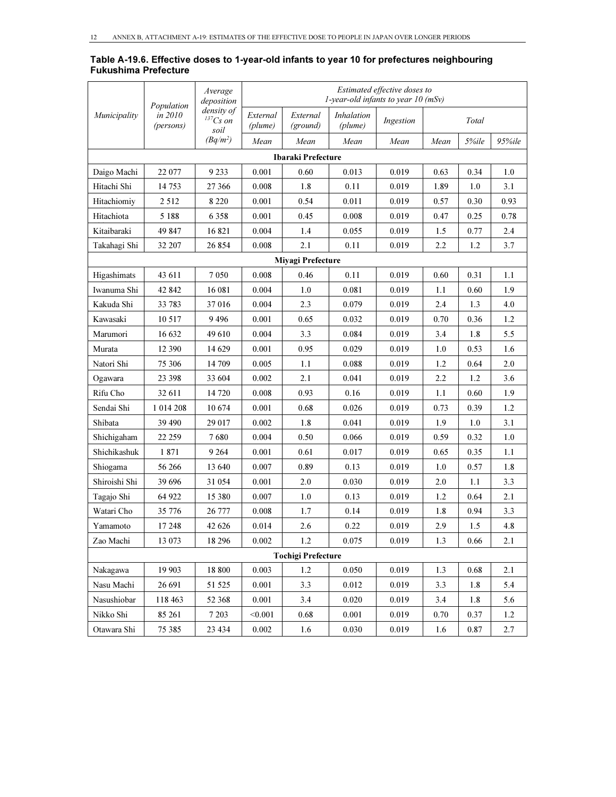| Table A-19.6. Effective doses to 1-year-old infants to year 10 for prefectures neighbouring |  |  |
|---------------------------------------------------------------------------------------------|--|--|
| <b>Fukushima Prefecture</b>                                                                 |  |  |

|               | Population           | Average<br>deposition                 |                     |                           |                              | Estimated effective doses to<br>1-year-old infants to year $10$ (mSv) |      |       |            |
|---------------|----------------------|---------------------------------------|---------------------|---------------------------|------------------------------|-----------------------------------------------------------------------|------|-------|------------|
| Municipality  | in 2010<br>(persons) | density of<br>${}^{137}Cs$ on<br>soil | External<br>(plume) | External<br>(ground)      | <b>Inhalation</b><br>(plume) | Ingestion                                                             |      | Total |            |
|               |                      | $(Bq/m^2)$                            | Mean                | Mean                      | Mean                         | Mean                                                                  | Mean | 5%ile | $95\%$ ile |
|               |                      |                                       |                     | Ibaraki Prefecture        |                              |                                                                       |      |       |            |
| Daigo Machi   | 22 077               | 9 2 3 3                               | 0.001               | 0.60                      | 0.013                        | 0.019                                                                 | 0.63 | 0.34  | 1.0        |
| Hitachi Shi   | 14 753               | 27 366                                | 0.008               | 1.8                       | 0.11                         | 0.019                                                                 | 1.89 | 1.0   | 3.1        |
| Hitachiomiy   | 2 5 1 2              | 8 2 2 0                               | 0.001               | 0.54                      | 0.011                        | 0.019                                                                 | 0.57 | 0.30  | 0.93       |
| Hitachiota    | 5 1 8 8              | 6 3 5 8                               | 0.001               | 0.45                      | 0.008                        | 0.019                                                                 | 0.47 | 0.25  | 0.78       |
| Kitaibaraki   | 49 847               | 16821                                 | 0.004               | 1.4                       | 0.055                        | 0.019                                                                 | 1.5  | 0.77  | 2.4        |
| Takahagi Shi  | 32 207               | 26 854                                | 0.008               | 2.1                       | 0.11                         | 0.019                                                                 | 2.2  | 1.2   | 3.7        |
|               |                      |                                       |                     | <b>Miyagi Prefecture</b>  |                              |                                                                       |      |       |            |
| Higashimats   | 43 611               | 7 0 5 0                               | 0.008               | 0.46                      | 0.11                         | 0.019                                                                 | 0.60 | 0.31  | 1.1        |
| Iwanuma Shi   | 42 842               | 16 081                                | 0.004               | 1.0                       | 0.081                        | 0.019                                                                 | 1.1  | 0.60  | 1.9        |
| Kakuda Shi    | 33 783               | 37 016                                | 0.004               | 2.3                       | 0.079                        | 0.019                                                                 | 2.4  | 1.3   | 4.0        |
| Kawasaki      | 10 517               | 9496                                  | 0.001               | 0.65                      | 0.032                        | 0.019                                                                 | 0.70 | 0.36  | 1.2        |
| Marumori      | 16 632               | 49 610                                | 0.004               | 3.3                       | 0.084                        | 0.019                                                                 | 3.4  | 1.8   | 5.5        |
| Murata        | 12 390               | 14 629                                | 0.001               | 0.95                      | 0.029                        | 0.019                                                                 | 1.0  | 0.53  | 1.6        |
| Natori Shi    | 75 306               | 14 709                                | 0.005               | 1.1                       | 0.088                        | 0.019                                                                 | 1.2  | 0.64  | 2.0        |
| Ogawara       | 23 398               | 33 604                                | 0.002               | 2.1                       | 0.041                        | 0.019                                                                 | 2.2  | 1.2   | 3.6        |
| Rifu Cho      | 32 611               | 14 720                                | 0.008               | 0.93                      | 0.16                         | 0.019                                                                 | 1.1  | 0.60  | 1.9        |
| Sendai Shi    | 1 014 208            | 10 674                                | 0.001               | 0.68                      | 0.026                        | 0.019                                                                 | 0.73 | 0.39  | 1.2        |
| Shibata       | 39 490               | 29 017                                | 0.002               | 1.8                       | 0.041                        | 0.019                                                                 | 1.9  | 1.0   | 3.1        |
| Shichigaham   | 22 259               | 7680                                  | 0.004               | 0.50                      | 0.066                        | 0.019                                                                 | 0.59 | 0.32  | 1.0        |
| Shichikashuk  | 1871                 | 9 2 6 4                               | 0.001               | 0.61                      | 0.017                        | 0.019                                                                 | 0.65 | 0.35  | 1.1        |
| Shiogama      | 56 266               | 13 640                                | 0.007               | 0.89                      | 0.13                         | 0.019                                                                 | 1.0  | 0.57  | 1.8        |
| Shiroishi Shi | 39 696               | 31 054                                | 0.001               | 2.0                       | 0.030                        | 0.019                                                                 | 2.0  | 1.1   | 3.3        |
| Tagajo Shi    | 64 922               | 15 380                                | 0.007               | 1.0                       | 0.13                         | 0.019                                                                 | 1.2  | 0.64  | 2.1        |
| Watari Cho    | 35 776               | 26 777                                | 0.008               | 1.7                       | 0.14                         | 0.019                                                                 | 1.8  | 0.94  | 3.3        |
| Yamamoto      | 17 248               | 42 626                                | 0.014               | 2.6                       | 0.22                         | 0.019                                                                 | 2.9  | 1.5   | 4.8        |
| Zao Machi     | 13 073               | 18 29 6                               | 0.002               | 1.2                       | 0.075                        | 0.019                                                                 | 1.3  | 0.66  | 2.1        |
|               |                      |                                       |                     | <b>Tochigi Prefecture</b> |                              |                                                                       |      |       |            |
| Nakagawa      | 19 903               | 18 800                                | 0.003               | 1.2                       | 0.050                        | 0.019                                                                 | 1.3  | 0.68  | 2.1        |
| Nasu Machi    | 26 691               | 51 525                                | 0.001               | 3.3                       | 0.012                        | 0.019                                                                 | 3.3  | 1.8   | 5.4        |
| Nasushiobar   | 118 463              | 52 368                                | 0.001               | 3.4                       | 0.020                        | 0.019                                                                 | 3.4  | 1.8   | 5.6        |
| Nikko Shi     | 85 261               | 7 2 0 3                               | < 0.001             | 0.68                      | 0.001                        | 0.019                                                                 | 0.70 | 0.37  | 1.2        |
| Otawara Shi   | 75 385               | 23 4 34                               | 0.002               | 1.6                       | 0.030                        | 0.019                                                                 | 1.6  | 0.87  | 2.7        |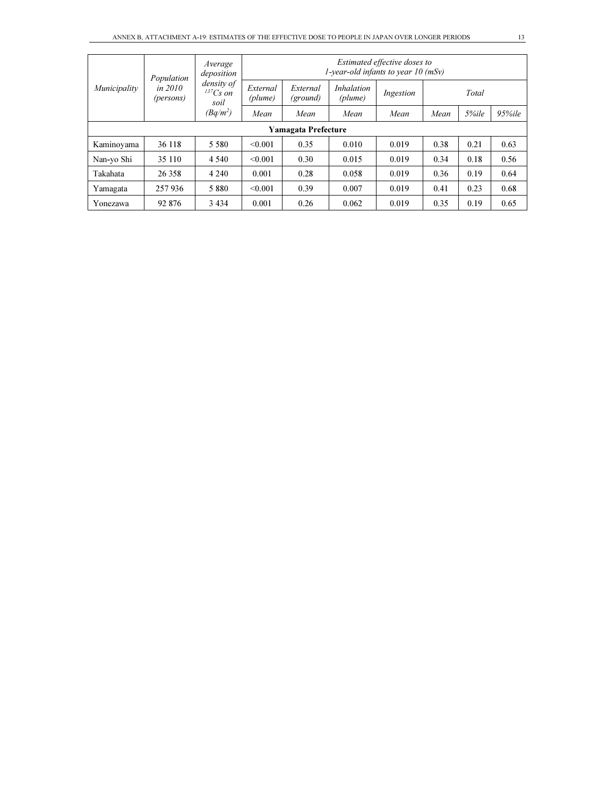| Municipality               | Population             | Average<br>deposition            | Estimated effective doses to<br>1-year-old infants to year $10$ (mSv) |                      |                              |           |      |       |        |  |  |  |
|----------------------------|------------------------|----------------------------------|-----------------------------------------------------------------------|----------------------|------------------------------|-----------|------|-------|--------|--|--|--|
|                            | in $2010$<br>(persons) | density of<br>$137Cs$ on<br>soil | External<br>(plume)                                                   | External<br>(ground) | <i>Inhalation</i><br>(plume) | Ingestion |      | Total |        |  |  |  |
|                            |                        | $(Bq/m^2)$                       | Mean                                                                  | Mean                 | Mean                         | Mean      | Mean | 5%ile | 95%ile |  |  |  |
| <b>Yamagata Prefecture</b> |                        |                                  |                                                                       |                      |                              |           |      |       |        |  |  |  |
| Kaminovama                 | 36 118                 | 5 5 8 0                          | < 0.001                                                               | 0.35                 | 0.010                        | 0.019     | 0.38 | 0.21  | 0.63   |  |  |  |
| Nan-yo Shi                 | 35 110                 | 4 5 4 0                          | < 0.001                                                               | 0.30                 | 0.015                        | 0.019     | 0.34 | 0.18  | 0.56   |  |  |  |
| Takahata                   | 26 358                 | 4 2 4 0                          | 0.001                                                                 | 0.28                 | 0.058                        | 0.019     | 0.36 | 0.19  | 0.64   |  |  |  |
| Yamagata                   | 257936                 | 5 8 8 0                          | < 0.001                                                               | 0.39                 | 0.007                        | 0.019     | 0.41 | 0.23  | 0.68   |  |  |  |
| Yonezawa                   | 92 876                 | 3 4 3 4                          | 0.001                                                                 | 0.26                 | 0.062                        | 0.019     | 0.35 | 0.19  | 0.65   |  |  |  |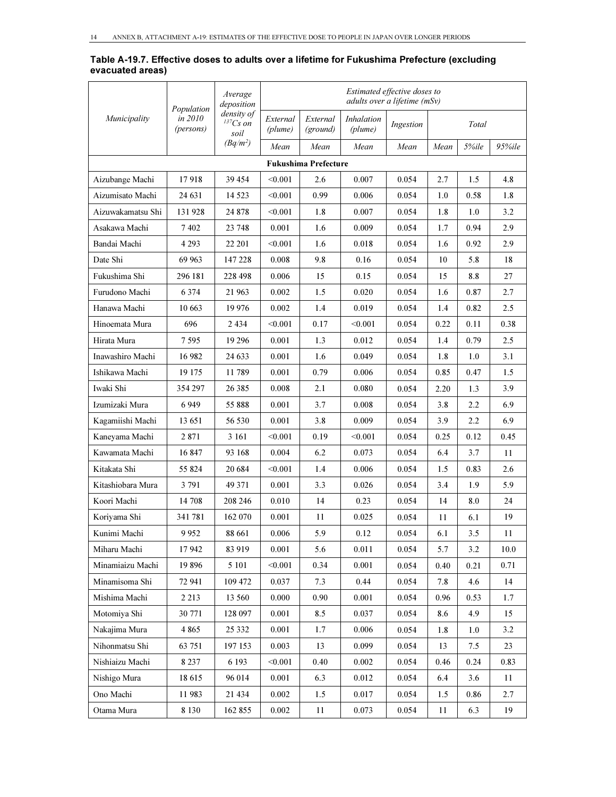#### Table A-19.7. Effective doses to adults over a lifetime for Fukushima Prefecture (excluding evacuated areas)

|                   | Population           | Average<br>deposition                 |                     |                             |                       | Estimated effective doses to<br>adults over a lifetime (mSv) |      |       |        |
|-------------------|----------------------|---------------------------------------|---------------------|-----------------------------|-----------------------|--------------------------------------------------------------|------|-------|--------|
| Municipality      | in 2010<br>(persons) | density of<br>${}^{137}Cs$ on<br>soil | External<br>(plume) | External<br>(ground)        | Inhalation<br>(plume) | Ingestion                                                    |      | Total |        |
|                   |                      | $(Bq/m^2)$                            | Mean                | Mean                        | Mean                  | Mean                                                         | Mean | 5%ile | 95%ile |
|                   |                      |                                       |                     | <b>Fukushima Prefecture</b> |                       |                                                              |      |       |        |
| Aizubange Machi   | 17918                | 39 454                                | < 0.001             | 2.6                         | 0.007                 | 0.054                                                        | 2.7  | 1.5   | 4.8    |
| Aizumisato Machi  | 24 631               | 14 5 23                               | < 0.001             | 0.99                        | 0.006                 | 0.054                                                        | 1.0  | 0.58  | 1.8    |
| Aizuwakamatsu Shi | 131928               | 24 878                                | < 0.001             | 1.8                         | 0.007                 | 0.054                                                        | 1.8  | 1.0   | 3.2    |
| Asakawa Machi     | 7402                 | 23 748                                | 0.001               | 1.6                         | 0.009                 | 0.054                                                        | 1.7  | 0.94  | 2.9    |
| Bandai Machi      | 4 2 9 3              | 22 201                                | < 0.001             | 1.6                         | 0.018                 | 0.054                                                        | 1.6  | 0.92  | 2.9    |
| Date Shi          | 69 963               | 147 228                               | 0.008               | 9.8                         | 0.16                  | 0.054                                                        | 10   | 5.8   | 18     |
| Fukushima Shi     | 296 181              | 228 498                               | 0.006               | 15                          | 0.15                  | 0.054                                                        | 15   | 8.8   | 27     |
| Furudono Machi    | 6 3 7 4              | 21 963                                | 0.002               | 1.5                         | 0.020                 | 0.054                                                        | 1.6  | 0.87  | 2.7    |
| Hanawa Machi      | 10 663               | 19 976                                | 0.002               | 1.4                         | 0.019                 | 0.054                                                        | 1.4  | 0.82  | 2.5    |
| Hinoemata Mura    | 696                  | 2 4 3 4                               | < 0.001             | 0.17                        | $<$ 0.001 $\,$        | 0.054                                                        | 0.22 | 0.11  | 0.38   |
| Hirata Mura       | 7 595                | 19 29 6                               | 0.001               | 1.3                         | 0.012                 | 0.054                                                        | 1.4  | 0.79  | 2.5    |
| Inawashiro Machi  | 16 982               | 24 633                                | 0.001               | 1.6                         | 0.049                 | 0.054                                                        | 1.8  | 1.0   | 3.1    |
| Ishikawa Machi    | 19 175               | 11789                                 | 0.001               | 0.79                        | 0.006                 | 0.054                                                        | 0.85 | 0.47  | 1.5    |
| Iwaki Shi         | 354 297              | 26 3 8 5                              | 0.008               | 2.1                         | 0.080                 | 0.054                                                        | 2.20 | 1.3   | 3.9    |
| Izumizaki Mura    | 6949                 | 55 888                                | 0.001               | 3.7                         | 0.008                 | 0.054                                                        | 3.8  | 2.2   | 6.9    |
| Kagamiishi Machi  | 13 651               | 56 530                                | 0.001               | 3.8                         | 0.009                 | 0.054                                                        | 3.9  | 2.2   | 6.9    |
| Kaneyama Machi    | 2871                 | 3 1 6 1                               | < 0.001             | 0.19                        | < 0.001               | 0.054                                                        | 0.25 | 0.12  | 0.45   |
| Kawamata Machi    | 16847                | 93 168                                | 0.004               | 6.2                         | 0.073                 | 0.054                                                        | 6.4  | 3.7   | 11     |
| Kitakata Shi      | 55 824               | 20 6 84                               | < 0.001             | 1.4                         | 0.006                 | 0.054                                                        | 1.5  | 0.83  | 2.6    |
| Kitashiobara Mura | 3 791                | 49 371                                | 0.001               | 3.3                         | 0.026                 | 0.054                                                        | 3.4  | 1.9   | 5.9    |
| Koori Machi       | 14 708               | 208 246                               | 0.010               | 14                          | 0.23                  | 0.054                                                        | 14   | 8.0   | 24     |
| Koriyama Shi      | 341 781              | 162 070                               | 0.001               | 11                          | 0.025                 | 0.054                                                        | 11   | 6.1   | 19     |
| Kunimi Machi      | 9 9 5 2              | 88 661                                | 0.006               | 5.9                         | 0.12                  | 0.054                                                        | 6.1  | 3.5   | 11     |
| Miharu Machi      | 17942                | 83 919                                | 0.001               | 5.6                         | 0.011                 | 0.054                                                        | 5.7  | 3.2   | 10.0   |
| Minamiaizu Machi  | 19896                | 5 1 0 1                               | < 0.001             | 0.34                        | 0.001                 | 0.054                                                        | 0.40 | 0.21  | 0.71   |
| Minamisoma Shi    | 72 941               | 109 472                               | 0.037               | 7.3                         | 0.44                  | 0.054                                                        | 7.8  | 4.6   | 14     |
| Mishima Machi     | 2 2 1 3              | 13 560                                | 0.000               | 0.90                        | 0.001                 | 0.054                                                        | 0.96 | 0.53  | 1.7    |
| Motomiya Shi      | 30 771               | 128 097                               | 0.001               | 8.5                         | 0.037                 | 0.054                                                        | 8.6  | 4.9   | 15     |
| Nakajima Mura     | 4 8 6 5              | 25 332                                | 0.001               | 1.7                         | 0.006                 | 0.054                                                        | 1.8  | 1.0   | 3.2    |
| Nihonmatsu Shi    | 63 751               | 197 153                               | 0.003               | 13                          | 0.099                 | 0.054                                                        | 13   | 7.5   | 23     |
| Nishiaizu Machi   | 8 2 3 7              | 6 1 9 3                               | < 0.001             | 0.40                        | 0.002                 | 0.054                                                        | 0.46 | 0.24  | 0.83   |
| Nishigo Mura      | 18615                | 96 014                                | 0.001               | 6.3                         | 0.012                 | 0.054                                                        | 6.4  | 3.6   | 11     |
| Ono Machi         | 11983                | 21 434                                | 0.002               | 1.5                         | 0.017                 | 0.054                                                        | 1.5  | 0.86  | 2.7    |
| Otama Mura        | 8 1 3 0              | 162 855                               | 0.002               | 11                          | 0.073                 | 0.054                                                        | 11   | 6.3   | 19     |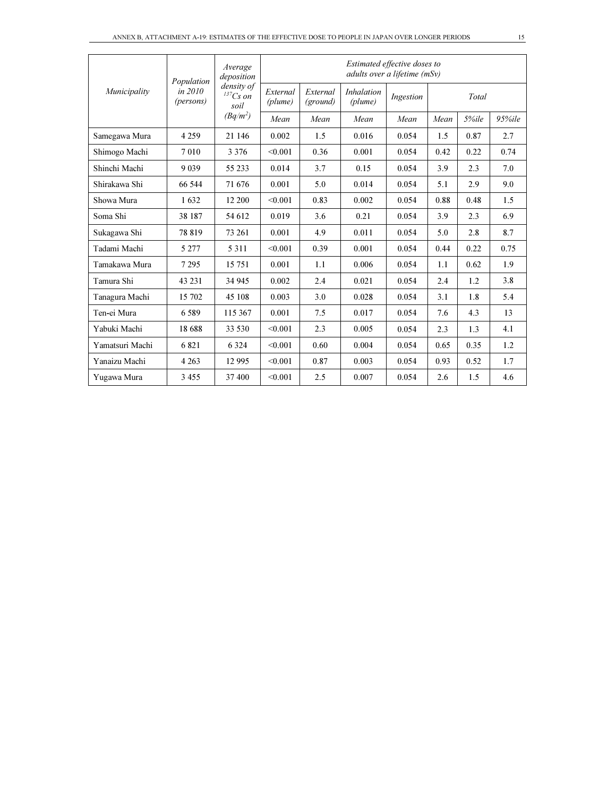|                 | Population             | Average<br>deposition            | Estimated effective doses to<br>adults over a lifetime (mSv) |                      |                              |           |      |       |        |  |  |
|-----------------|------------------------|----------------------------------|--------------------------------------------------------------|----------------------|------------------------------|-----------|------|-------|--------|--|--|
| Municipality    | in $2010$<br>(persons) | density of<br>$137Cs$ on<br>soil | External<br>(plume)                                          | External<br>(ground) | <i>Inhalation</i><br>(plume) | Ingestion |      | Total |        |  |  |
|                 |                        | $(Bq/m^2)$                       | Mean                                                         | Mean                 | Mean                         | Mean      | Mean | 5%ile | 95%ile |  |  |
| Samegawa Mura   | 4 2 5 9                | 21 146                           | 0.002                                                        | 1.5                  | 0.016                        | 0.054     | 1.5  | 0.87  | 2.7    |  |  |
| Shimogo Machi   | 7 0 1 0                | 3 3 7 6                          | < 0.001                                                      | 0.36                 | 0.001                        | 0.054     | 0.42 | 0.22  | 0.74   |  |  |
| Shinchi Machi   | 9 0 3 9                | 55 233                           | 0.014                                                        | 3.7                  | 0.15                         | 0.054     | 3.9  | 2.3   | 7.0    |  |  |
| Shirakawa Shi   | 66 544                 | 71 676                           | 0.001                                                        | 5.0                  | 0.014                        | 0.054     | 5.1  | 2.9   | 9.0    |  |  |
| Showa Mura      | 1632                   | 12 200                           | < 0.001                                                      | 0.83                 | 0.002                        | 0.054     | 0.88 | 0.48  | 1.5    |  |  |
| Soma Shi        | 38 187                 | 54 612                           | 0.019                                                        | 3.6                  | 0.21                         | 0.054     | 3.9  | 2.3   | 6.9    |  |  |
| Sukagawa Shi    | 78 819                 | 73 261                           | 0.001                                                        | 4.9                  | 0.011                        | 0.054     | 5.0  | 2.8   | 8.7    |  |  |
| Tadami Machi    | 5 2 7 7                | 5 3 1 1                          | < 0.001                                                      | 0.39                 | 0.001                        | 0.054     | 0.44 | 0.22  | 0.75   |  |  |
| Tamakawa Mura   | 7 2 9 5                | 15 751                           | 0.001                                                        | 1.1                  | 0.006                        | 0.054     | 1.1  | 0.62  | 1.9    |  |  |
| Tamura Shi      | 43 231                 | 34 945                           | 0.002                                                        | 2.4                  | 0.021                        | 0.054     | 2.4  | 1.2   | 3.8    |  |  |
| Tanagura Machi  | 15 702                 | 45 108                           | 0.003                                                        | 3.0                  | 0.028                        | 0.054     | 3.1  | 1.8   | 5.4    |  |  |
| Ten-ei Mura     | 6589                   | 115 367                          | 0.001                                                        | 7.5                  | 0.017                        | 0.054     | 7.6  | 4.3   | 13     |  |  |
| Yabuki Machi    | 18 688                 | 33 530                           | < 0.001                                                      | 2.3                  | 0.005                        | 0.054     | 2.3  | 1.3   | 4.1    |  |  |
| Yamatsuri Machi | 6821                   | 6 3 2 4                          | < 0.001                                                      | 0.60                 | 0.004                        | 0.054     | 0.65 | 0.35  | 1.2    |  |  |
| Yanaizu Machi   | 4 2 6 3                | 12 9 95                          | < 0.001                                                      | 0.87                 | 0.003                        | 0.054     | 0.93 | 0.52  | 1.7    |  |  |
| Yugawa Mura     | 3 4 5 5                | 37 400                           | < 0.001                                                      | 2.5                  | 0.007                        | 0.054     | 2.6  | 1.5   | 4.6    |  |  |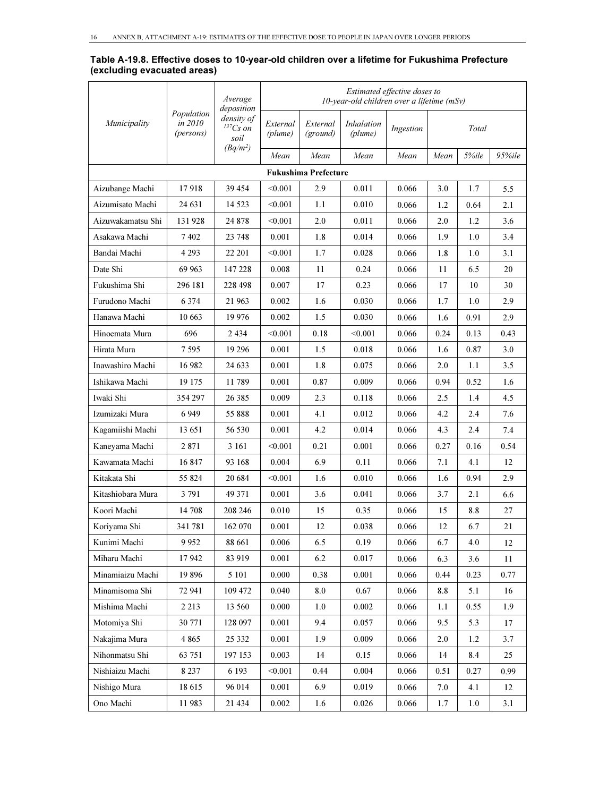#### Table A-19.8. Effective doses to 10-year-old children over a lifetime for Fukushima Prefecture (excluding evacuated areas)

|                   |                                    | Average<br>deposition                 |                     |                             | $10$ -vear-old children over a lifetime (mSv) | Estimated effective doses to |      |       |        |
|-------------------|------------------------------------|---------------------------------------|---------------------|-----------------------------|-----------------------------------------------|------------------------------|------|-------|--------|
| Municipality      | Population<br>in 2010<br>(persons) | density of<br>${}^{137}Cs$ on<br>soil | External<br>(plume) | External<br>(ground)        | <i>Inhalation</i><br>(plume)                  | Ingestion                    |      | Total |        |
|                   |                                    | $(Bq/m^2)$                            | Mean                | Mean                        | Mean                                          | Mean                         | Mean | 5%ile | 95%ile |
|                   |                                    |                                       |                     | <b>Fukushima Prefecture</b> |                                               |                              |      |       |        |
| Aizubange Machi   | 17918                              | 39 454                                | < 0.001             | 2.9                         | 0.011                                         | 0.066                        | 3.0  | 1.7   | 5.5    |
| Aizumisato Machi  | 24 631                             | 14 5 23                               | < 0.001             | 1.1                         | 0.010                                         | 0.066                        | 1.2  | 0.64  | 2.1    |
| Aizuwakamatsu Shi | 131928                             | 24 878                                | < 0.001             | 2.0                         | 0.011                                         | 0.066                        | 2.0  | 1.2   | 3.6    |
| Asakawa Machi     | 7402                               | 23 748                                | 0.001               | 1.8                         | 0.014                                         | 0.066                        | 1.9  | 1.0   | 3.4    |
| Bandai Machi      | 4 2 9 3                            | 22 201                                | < 0.001             | 1.7                         | 0.028                                         | 0.066                        | 1.8  | 1.0   | 3.1    |
| Date Shi          | 69 963                             | 147 228                               | 0.008               | 11                          | 0.24                                          | 0.066                        | 11   | 6.5   | 20     |
| Fukushima Shi     | 296 181                            | 228 498                               | 0.007               | 17                          | 0.23                                          | 0.066                        | 17   | 10    | 30     |
| Furudono Machi    | 6 3 7 4                            | 21 963                                | 0.002               | 1.6                         | 0.030                                         | 0.066                        | 1.7  | 1.0   | 2.9    |
| Hanawa Machi      | 10 663                             | 19 976                                | 0.002               | 1.5                         | 0.030                                         | 0.066                        | 1.6  | 0.91  | 2.9    |
| Hinoemata Mura    | 696                                | 2 4 3 4                               | < 0.001             | 0.18                        | < 0.001                                       | 0.066                        | 0.24 | 0.13  | 0.43   |
| Hirata Mura       | 7 595                              | 19 29 6                               | 0.001               | 1.5                         | 0.018                                         | 0.066                        | 1.6  | 0.87  | 3.0    |
| Inawashiro Machi  | 16 982                             | 24 633                                | 0.001               | 1.8                         | 0.075                                         | 0.066                        | 2.0  | 1.1   | 3.5    |
| Ishikawa Machi    | 19 175                             | 11789                                 | 0.001               | 0.87                        | 0.009                                         | 0.066                        | 0.94 | 0.52  | 1.6    |
| Iwaki Shi         | 354 297                            | 26 385                                | 0.009               | 2.3                         | 0.118                                         | 0.066                        | 2.5  | 1.4   | 4.5    |
| Izumizaki Mura    | 6949                               | 55 888                                | 0.001               | 4.1                         | 0.012                                         | 0.066                        | 4.2  | 2.4   | 7.6    |
| Kagamiishi Machi  | 13 651                             | 56 530                                | 0.001               | 4.2                         | 0.014                                         | 0.066                        | 4.3  | 2.4   | 7.4    |
| Kaneyama Machi    | 2 8 7 1                            | 3 16 1                                | < 0.001             | 0.21                        | 0.001                                         | 0.066                        | 0.27 | 0.16  | 0.54   |
| Kawamata Machi    | 16847                              | 93 168                                | 0.004               | 6.9                         | 0.11                                          | 0.066                        | 7.1  | 4.1   | 12     |
| Kitakata Shi      | 55 824                             | 20 684                                | < 0.001             | 1.6                         | 0.010                                         | 0.066                        | 1.6  | 0.94  | 2.9    |
| Kitashiobara Mura | 3 7 9 1                            | 49 371                                | 0.001               | 3.6                         | 0.041                                         | 0.066                        | 3.7  | 2.1   | 6.6    |
| Koori Machi       | 14 708                             | 208 246                               | 0.010               | 15                          | 0.35                                          | 0.066                        | 15   | 8.8   | 27     |
| Koriyama Shi      | 341781                             | 162 070                               | 0.001               | 12                          | 0.038                                         | 0.066                        | 12   | 6.7   | 21     |
| Kunimi Machi      | 9952                               | 88 661                                | 0.006               | 6.5                         | 0.19                                          | 0.066                        | 6.7  | 4.0   | 12     |
| Miharu Machi      | 17942                              | 83 919                                | 0.001               | 6.2                         | 0.017                                         | 0.066                        | 6.3  | 3.6   | 11     |
| Minamiaizu Machi  | 19896                              | 5 101                                 | 0.000               | 0.38                        | 0.001                                         | 0.066                        | 0.44 | 0.23  | 0.77   |
| Minamisoma Shi    | 72 941                             | 109 472                               | 0.040               | 8.0                         | 0.67                                          | 0.066                        | 8.8  | 5.1   | 16     |
| Mishima Machi     | 2 2 1 3                            | 13 560                                | 0.000               | 1.0                         | 0.002                                         | 0.066                        | 1.1  | 0.55  | 1.9    |
| Motomiya Shi      | 30 771                             | 128 097                               | 0.001               | 9.4                         | 0.057                                         | 0.066                        | 9.5  | 5.3   | 17     |
| Nakajima Mura     | 4 8 6 5                            | 25 332                                | 0.001               | 1.9                         | 0.009                                         | 0.066                        | 2.0  | 1.2   | 3.7    |
| Nihonmatsu Shi    | 63 751                             | 197 153                               | 0.003               | 14                          | 0.15                                          | 0.066                        | 14   | 8.4   | 25     |
| Nishiaizu Machi   | 8 2 3 7                            | 6 1 9 3                               | < 0.001             | 0.44                        | 0.004                                         | 0.066                        | 0.51 | 0.27  | 0.99   |
| Nishigo Mura      | 18615                              | 96 014                                | 0.001               | 6.9                         | 0.019                                         | 0.066                        | 7.0  | 4.1   | 12     |
| Ono Machi         | 11983                              | 21 434                                | 0.002               | 1.6                         | 0.026                                         | 0.066                        | 1.7  | 1.0   | 3.1    |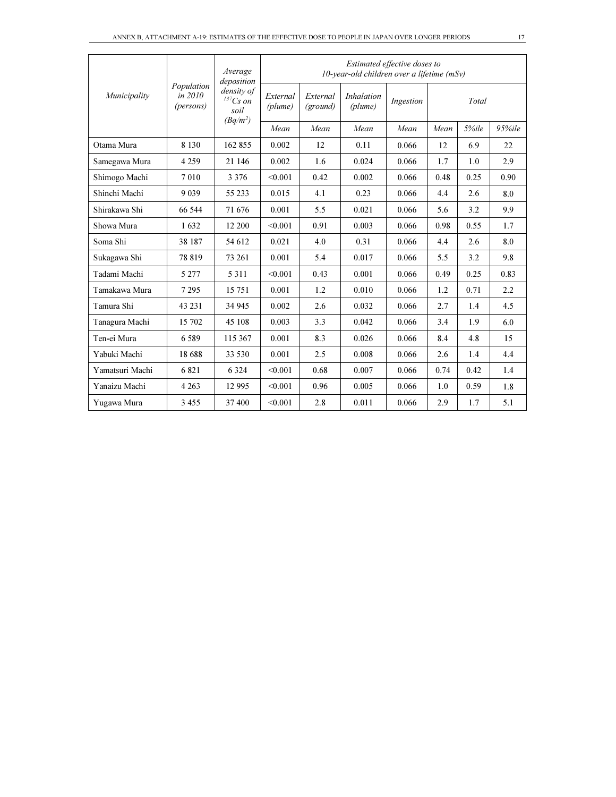|                 |                                      | Average<br>deposition                             |                     |                      | 10-year-old children over a lifetime $(mSv)$ | Estimated effective doses to |      |       |        |
|-----------------|--------------------------------------|---------------------------------------------------|---------------------|----------------------|----------------------------------------------|------------------------------|------|-------|--------|
| Municipality    | Population<br>in $2010$<br>(persons) | density of<br>$^{137}Cs$ on<br>soil<br>$(Bq/m^2)$ | External<br>(plume) | External<br>(ground) | <i>Inhalation</i><br>(plume)                 | Ingestion                    |      | Total |        |
|                 |                                      |                                                   | Mean                | Mean                 | Mean                                         | Mean                         | Mean | 5%ile | 95%ile |
| Otama Mura      | 8 1 3 0                              | 162 855                                           | 0.002               | 12                   | 0.11                                         | 0.066                        | 12   | 6.9   | 22     |
| Samegawa Mura   | 4 2 5 9                              | 21 146                                            | 0.002               | 1.6                  | 0.024                                        | 0.066                        | 1.7  | 1.0   | 2.9    |
| Shimogo Machi   | 7010                                 | 3 3 7 6                                           | < 0.001             | 0.42                 | 0.002                                        | 0.066                        | 0.48 | 0.25  | 0.90   |
| Shinchi Machi   | 9 0 3 9                              | 55 233                                            | 0.015               | 4.1                  | 0.23                                         | 0.066                        | 4.4  | 2.6   | 8.0    |
| Shirakawa Shi   | 66 544                               | 71 676                                            | 0.001               | 5.5                  | 0.021                                        | 0.066                        | 5.6  | 3.2   | 9.9    |
| Showa Mura      | 1632                                 | 12 200                                            | < 0.001             | 0.91                 | 0.003                                        | 0.066                        | 0.98 | 0.55  | 1.7    |
| Soma Shi        | 38 187                               | 54 612                                            | 0.021               | 4.0                  | 0.31                                         | 0.066                        | 4.4  | 2.6   | 8.0    |
| Sukagawa Shi    | 78 819                               | 73 261                                            | 0.001               | 5.4                  | 0.017                                        | 0.066                        | 5.5  | 3.2   | 9.8    |
| Tadami Machi    | 5 2 7 7                              | 5 3 1 1                                           | < 0.001             | 0.43                 | 0.001                                        | 0.066                        | 0.49 | 0.25  | 0.83   |
| Tamakawa Mura   | 7 2 9 5                              | 15 751                                            | 0.001               | 1.2                  | 0.010                                        | 0.066                        | 1.2  | 0.71  | 2.2    |
| Tamura Shi      | 43 23 1                              | 34 945                                            | 0.002               | 2.6                  | 0.032                                        | 0.066                        | 2.7  | 1.4   | 4.5    |
| Tanagura Machi  | 15 702                               | 45 108                                            | 0.003               | 3.3                  | 0.042                                        | 0.066                        | 3.4  | 1.9   | 6.0    |
| Ten-ei Mura     | 6589                                 | 115 367                                           | 0.001               | 8.3                  | 0.026                                        | 0.066                        | 8.4  | 4.8   | 15     |
| Yabuki Machi    | 18 688                               | 33 530                                            | 0.001               | 2.5                  | 0.008                                        | 0.066                        | 2.6  | 1.4   | 4.4    |
| Yamatsuri Machi | 6821                                 | 6 3 2 4                                           | < 0.001             | 0.68                 | 0.007                                        | 0.066                        | 0.74 | 0.42  | 1.4    |
| Yanaizu Machi   | 4 2 6 3                              | 12 9 95                                           | < 0.001             | 0.96                 | 0.005                                        | 0.066                        | 1.0  | 0.59  | 1.8    |
| Yugawa Mura     | 3 4 5 5                              | 37 400                                            | < 0.001             | 2.8                  | 0.011                                        | 0.066                        | 2.9  | 1.7   | 5.1    |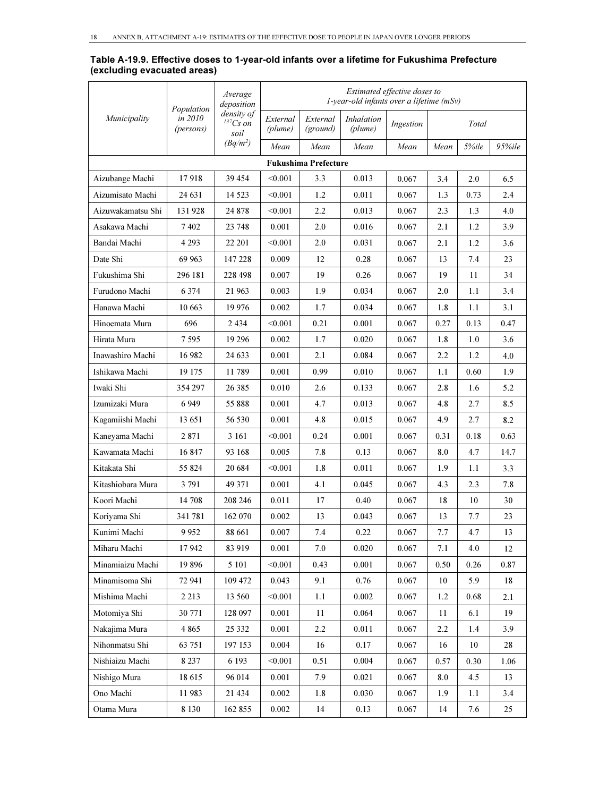| Table A-19.9. Effective doses to 1-year-old infants over a lifetime for Fukushima Prefecture |  |  |
|----------------------------------------------------------------------------------------------|--|--|
| (excluding evacuated areas)                                                                  |  |  |

|                   | Population           | Average<br>deposition            |                     |                             | 1-year-old infants over a lifetime (mSv) | Estimated effective doses to |      |       |        |
|-------------------|----------------------|----------------------------------|---------------------|-----------------------------|------------------------------------------|------------------------------|------|-------|--------|
| Municipality      | in 2010<br>(persons) | density of<br>$137Cs$ on<br>soil | External<br>(plume) | External<br>(ground)        | <b>Inhalation</b><br>(plume)             | Ingestion                    |      | Total |        |
|                   |                      | $(Bq/m^2)$                       | Mean                | Mean                        | Mean                                     | Mean                         | Mean | 5%ile | 95%ile |
|                   |                      |                                  |                     | <b>Fukushima Prefecture</b> |                                          |                              |      |       |        |
| Aizubange Machi   | 17918                | 39 454                           | < 0.001             | 3.3                         | 0.013                                    | 0.067                        | 3.4  | 2.0   | 6.5    |
| Aizumisato Machi  | 24 631               | 14 5 23                          | < 0.001             | 1.2                         | 0.011                                    | 0.067                        | 1.3  | 0.73  | 2.4    |
| Aizuwakamatsu Shi | 131928               | 24 878                           | < 0.001             | 2.2                         | 0.013                                    | 0.067                        | 2.3  | 1.3   | 4.0    |
| Asakawa Machi     | 7402                 | 23 748                           | 0.001               | 2.0                         | 0.016                                    | 0.067                        | 2.1  | 1.2   | 3.9    |
| Bandai Machi      | 4 2 9 3              | 22 201                           | < 0.001             | 2.0                         | 0.031                                    | 0.067                        | 2.1  | 1.2   | 3.6    |
| Date Shi          | 69 963               | 147 228                          | 0.009               | 12                          | 0.28                                     | 0.067                        | 13   | 7.4   | 23     |
| Fukushima Shi     | 296 181              | 228 498                          | 0.007               | 19                          | 0.26                                     | 0.067                        | 19   | 11    | 34     |
| Furudono Machi    | 6 3 7 4              | 21 963                           | 0.003               | 1.9                         | 0.034                                    | 0.067                        | 2.0  | 1.1   | 3.4    |
| Hanawa Machi      | 10 663               | 19 976                           | 0.002               | 1.7                         | 0.034                                    | 0.067                        | 1.8  | 1.1   | 3.1    |
| Hinoemata Mura    | 696                  | 2434                             | < 0.001             | 0.21                        | 0.001                                    | 0.067                        | 0.27 | 0.13  | 0.47   |
| Hirata Mura       | 7 5 9 5              | 19 29 6                          | 0.002               | 1.7                         | 0.020                                    | 0.067                        | 1.8  | 1.0   | 3.6    |
| Inawashiro Machi  | 16 982               | 24 633                           | 0.001               | 2.1                         | 0.084                                    | 0.067                        | 2.2  | 1.2   | 4.0    |
| Ishikawa Machi    | 19 175               | 11789                            | 0.001               | 0.99                        | 0.010                                    | 0.067                        | 1.1  | 0.60  | 1.9    |
| Iwaki Shi         | 354 297              | 26 38 5                          | 0.010               | 2.6                         | 0.133                                    | 0.067                        | 2.8  | 1.6   | 5.2    |
| Izumizaki Mura    | 6949                 | 55 888                           | 0.001               | 4.7                         | 0.013                                    | 0.067                        | 4.8  | 2.7   | 8.5    |
| Kagamiishi Machi  | 13 651               | 56 530                           | 0.001               | 4.8                         | 0.015                                    | 0.067                        | 4.9  | 2.7   | 8.2    |
| Kaneyama Machi    | 2871                 | 3 1 6 1                          | < 0.001             | 0.24                        | 0.001                                    | 0.067                        | 0.31 | 0.18  | 0.63   |
| Kawamata Machi    | 16847                | 93 168                           | 0.005               | 7.8                         | 0.13                                     | 0.067                        | 8.0  | 4.7   | 14.7   |
| Kitakata Shi      | 55 824               | 20 684                           | < 0.001             | 1.8                         | 0.011                                    | 0.067                        | 1.9  | 1.1   | 3.3    |
| Kitashiobara Mura | 3 7 9 1              | 49 371                           | 0.001               | 4.1                         | 0.045                                    | 0.067                        | 4.3  | 2.3   | 7.8    |
| Koori Machi       | 14 708               | 208 246                          | 0.011               | 17                          | 0.40                                     | 0.067                        | 18   | 10    | 30     |
| Koriyama Shi      | 341781               | 162 070                          | 0.002               | 13                          | 0.043                                    | 0.067                        | 13   | 7.7   | 23     |
| Kunimi Machi      | 9952                 | 88 661                           | 0.007               | 7.4                         | 0.22                                     | 0.067                        | 7.7  | 4.7   | 13     |
| Miharu Machi      | 17942                | 83 919                           | 0.001               | 7.0                         | 0.020                                    | 0.067                        | 7.1  | 4.0   | 12     |
| Minamiaizu Machi  | 19896                | 5 1 0 1                          | < 0.001             | 0.43                        | 0.001                                    | 0.067                        | 0.50 | 0.26  | 0.87   |
| Minamisoma Shi    | 72 941               | 109 472                          | 0.043               | 9.1                         | 0.76                                     | 0.067                        | 10   | 5.9   | 18     |
| Mishima Machi     | 2 2 1 3              | 13 560                           | < 0.001             | $1.1\,$                     | 0.002                                    | 0.067                        | 1.2  | 0.68  | 2.1    |
| Motomiya Shi      | 30 771               | 128 097                          | 0.001               | 11                          | 0.064                                    | 0.067                        | 11   | 6.1   | 19     |
| Nakajima Mura     | 4 8 6 5              | 25 332                           | 0.001               | 2.2                         | 0.011                                    | 0.067                        | 2.2  | 1.4   | 3.9    |
| Nihonmatsu Shi    | 63 751               | 197 153                          | 0.004               | 16                          | 0.17                                     | 0.067                        | 16   | 10    | 28     |
| Nishiaizu Machi   | 8 2 3 7              | 6 1 9 3                          | < 0.001             | 0.51                        | 0.004                                    | 0.067                        | 0.57 | 0.30  | 1.06   |
| Nishigo Mura      | 18615                | 96 014                           | 0.001               | 7.9                         | 0.021                                    | 0.067                        | 8.0  | 4.5   | 13     |
| Ono Machi         | 11983                | 21 434                           | 0.002               | 1.8                         | 0.030                                    | 0.067                        | 1.9  | 1.1   | 3.4    |
| Otama Mura        | 8 1 3 0              | 162 855                          | 0.002               | 14                          | 0.13                                     | 0.067                        | 14   | 7.6   | 25     |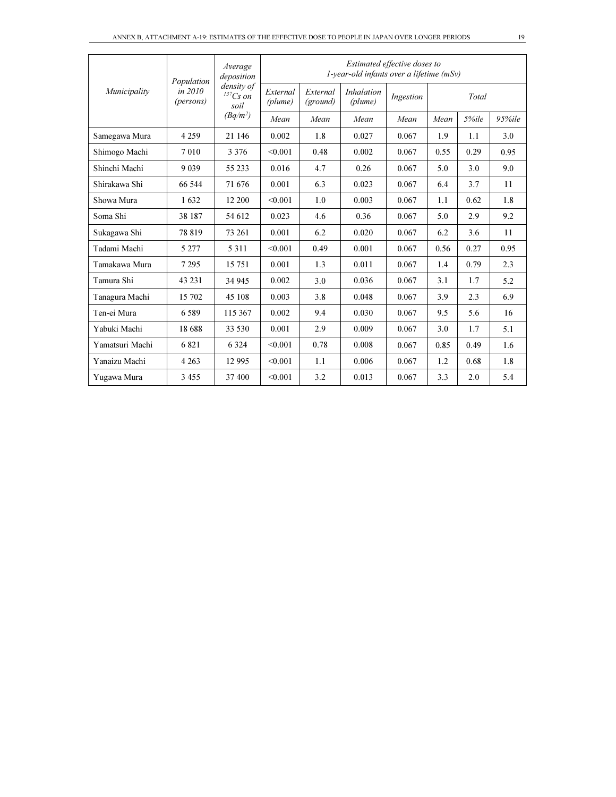|                 | Population             | Average<br>deposition            | Estimated effective doses to<br>$1$ -year-old infants over a lifetime (mSv) |                      |                              |           |      |       |            |  |  |  |
|-----------------|------------------------|----------------------------------|-----------------------------------------------------------------------------|----------------------|------------------------------|-----------|------|-------|------------|--|--|--|
| Municipality    | in $2010$<br>(persons) | density of<br>$137Cs$ on<br>soil | External<br>(plume)                                                         | External<br>(ground) | <i>Inhalation</i><br>(plume) | Ingestion |      | Total |            |  |  |  |
|                 |                        | $(Bq/m^2)$                       | Mean                                                                        | Mean                 | Mean                         | Mean      | Mean | 5%ile | $95\%$ ile |  |  |  |
| Samegawa Mura   | 4 2 5 9                | 21 146                           | 0.002                                                                       | 1.8                  | 0.027                        | 0.067     | 1.9  | 1.1   | 3.0        |  |  |  |
| Shimogo Machi   | 7010                   | 3 3 7 6                          | < 0.001                                                                     | 0.48                 | 0.002                        | 0.067     | 0.55 | 0.29  | 0.95       |  |  |  |
| Shinchi Machi   | 9 0 3 9                | 55 233                           | 0.016                                                                       | 4.7                  | 0.26                         | 0.067     | 5.0  | 3.0   | 9.0        |  |  |  |
| Shirakawa Shi   | 66 544                 | 71 676                           | 0.001                                                                       | 6.3                  | 0.023                        | 0.067     | 6.4  | 3.7   | 11         |  |  |  |
| Showa Mura      | 1632                   | 12 200                           | < 0.001                                                                     | 1.0                  | 0.003                        | 0.067     | 1.1  | 0.62  | 1.8        |  |  |  |
| Soma Shi        | 38 187                 | 54 612                           | 0.023                                                                       | 4.6                  | 0.36                         | 0.067     | 5.0  | 2.9   | 9.2        |  |  |  |
| Sukagawa Shi    | 78 819                 | 73 261                           | 0.001                                                                       | 6.2                  | 0.020                        | 0.067     | 6.2  | 3.6   | 11         |  |  |  |
| Tadami Machi    | 5 2 7 7                | 5 3 1 1                          | < 0.001                                                                     | 0.49                 | 0.001                        | 0.067     | 0.56 | 0.27  | 0.95       |  |  |  |
| Tamakawa Mura   | 7 2 9 5                | 15 751                           | 0.001                                                                       | 1.3                  | 0.011                        | 0.067     | 1.4  | 0.79  | 2.3        |  |  |  |
| Tamura Shi      | 43 231                 | 34 945                           | 0.002                                                                       | 3.0                  | 0.036                        | 0.067     | 3.1  | 1.7   | 5.2        |  |  |  |
| Tanagura Machi  | 15 702                 | 45 108                           | 0.003                                                                       | 3.8                  | 0.048                        | 0.067     | 3.9  | 2.3   | 6.9        |  |  |  |
| Ten-ei Mura     | 6589                   | 115 367                          | 0.002                                                                       | 9.4                  | 0.030                        | 0.067     | 9.5  | 5.6   | 16         |  |  |  |
| Yabuki Machi    | 18 688                 | 33 530                           | 0.001                                                                       | 2.9                  | 0.009                        | 0.067     | 3.0  | 1.7   | 5.1        |  |  |  |
| Yamatsuri Machi | 6821                   | 6 3 2 4                          | < 0.001                                                                     | 0.78                 | 0.008                        | 0.067     | 0.85 | 0.49  | 1.6        |  |  |  |
| Yanaizu Machi   | 4 2 6 3                | 12 9 95                          | < 0.001                                                                     | 1.1                  | 0.006                        | 0.067     | 1.2  | 0.68  | 1.8        |  |  |  |
| Yugawa Mura     | 3455                   | 37 400                           | < 0.001                                                                     | 3.2                  | 0.013                        | 0.067     | 3.3  | 2.0   | 5.4        |  |  |  |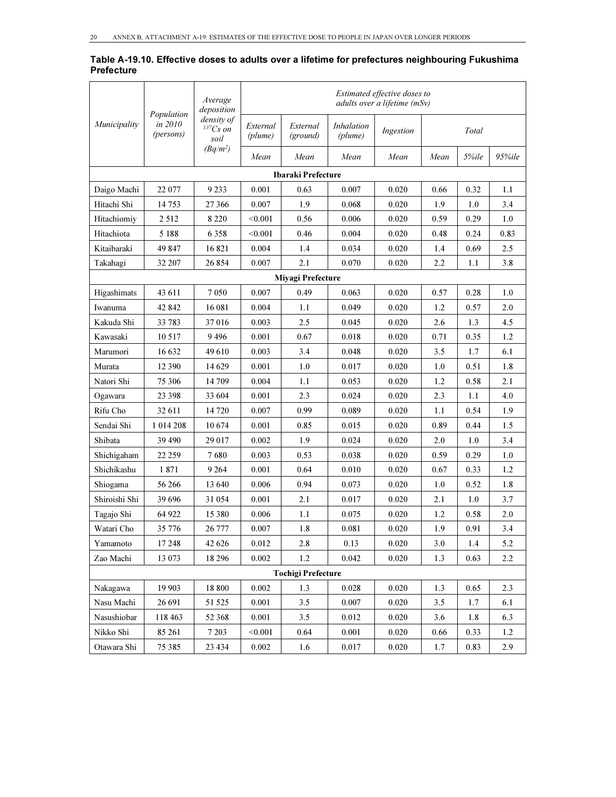| Table A-19.10. Effective doses to adults over a lifetime for prefectures neighbouring Fukushima |  |
|-------------------------------------------------------------------------------------------------|--|
| <b>Prefecture</b>                                                                               |  |

|               | Population           | Average<br>deposition                 |                     |                           |                              | Estimated effective doses to<br>adults over a lifetime (mSv) |       |       |        |
|---------------|----------------------|---------------------------------------|---------------------|---------------------------|------------------------------|--------------------------------------------------------------|-------|-------|--------|
| Municipality  | in 2010<br>(persons) | density of<br>${}^{137}Cs$ on<br>soil | External<br>(plume) | External<br>(ground)      | <i>Inhalation</i><br>(plume) | Ingestion                                                    |       | Total |        |
|               |                      | $(Bq/m^2)$                            | Mean                | Mean                      | Mean                         | Mean                                                         | Mean  | 5%ile | 95%ile |
|               |                      |                                       |                     | <b>Ibaraki Prefecture</b> |                              |                                                              |       |       |        |
| Daigo Machi   | 22 077               | 9 2 3 3                               | 0.001               | 0.63                      | 0.007                        | 0.020                                                        | 0.66  | 0.32  | 1.1    |
| Hitachi Shi   | 14 753               | 27 366                                | 0.007               | 1.9                       | 0.068                        | 0.020                                                        | 1.9   | 1.0   | 3.4    |
| Hitachiomiy   | 2 5 1 2              | 8 2 2 0                               | < 0.001             | 0.56                      | 0.006                        | 0.020                                                        | 0.59  | 0.29  | 1.0    |
| Hitachiota    | 5 1 8 8              | 6 3 5 8                               | < 0.001             | 0.46                      | 0.004                        | 0.020                                                        | 0.48  | 0.24  | 0.83   |
| Kitaibaraki   | 49 847               | 16821                                 | 0.004               | 1.4                       | 0.034                        | 0.020                                                        | 1.4   | 0.69  | 2.5    |
| Takahagi      | 32 207               | 26 854                                | 0.007               | 2.1                       | 0.070                        | 0.020                                                        | 2.2   | 1.1   | 3.8    |
|               |                      |                                       |                     | Miyagi Prefecture         |                              |                                                              |       |       |        |
| Higashimats   | 43 611               | 7 0 5 0                               | 0.007               | 0.49                      | 0.063                        | 0.020                                                        | 0.57  | 0.28  | 1.0    |
| Iwanuma       | 42 842               | 16 081                                | 0.004               | 1.1                       | 0.049                        | 0.020                                                        | 1.2   | 0.57  | 2.0    |
| Kakuda Shi    | 33 783               | 37016                                 | 0.003               | 2.5                       | 0.045                        | 0.020                                                        | 2.6   | 1.3   | 4.5    |
| Kawasaki      | 10 517               | 9496                                  | 0.001               | 0.67                      | 0.018                        | 0.020                                                        | 0.71  | 0.35  | 1.2    |
| Marumori      | 16 632               | 49610                                 | 0.003               | 3.4                       | 0.048                        | 0.020                                                        | 3.5   | 1.7   | 6.1    |
| Murata        | 12 390               | 14 629                                | 0.001               | 1.0                       | 0.017                        | 0.020                                                        | 1.0   | 0.51  | 1.8    |
| Natori Shi    | 75 306               | 14 709                                | 0.004               | 1.1                       | 0.053                        | 0.020                                                        | 1.2   | 0.58  | 2.1    |
| Ogawara       | 23 398               | 33 604                                | 0.001               | 2.3                       | 0.024                        | 0.020                                                        | 2.3   | 1.1   | 4.0    |
| Rifu Cho      | 32 611               | 14 720                                | 0.007               | 0.99                      | 0.089                        | 0.020                                                        | 1.1   | 0.54  | 1.9    |
| Sendai Shi    | 1 014 208            | 10674                                 | 0.001               | 0.85                      | 0.015                        | 0.020                                                        | 0.89  | 0.44  | 1.5    |
| Shibata       | 39 490               | 29 017                                | 0.002               | 1.9                       | 0.024                        | 0.020                                                        | 2.0   | 1.0   | 3.4    |
| Shichigaham   | 22 259               | 7680                                  | 0.003               | 0.53                      | 0.038                        | 0.020                                                        | 0.59  | 0.29  | 1.0    |
| Shichikashu   | 1871                 | 9 2 64                                | 0.001               | 0.64                      | 0.010                        | 0.020                                                        | 0.67  | 0.33  | 1.2    |
| Shiogama      | 56 266               | 13 640                                | 0.006               | 0.94                      | 0.073                        | 0.020                                                        | 1.0   | 0.52  | 1.8    |
| Shiroishi Shi | 39 696               | 31 054                                | 0.001               | 2.1                       | 0.017                        | 0.020                                                        | 2.1   | 1.0   | 3.7    |
| Tagajo Shi    | 64 922               | 15 3 8 0                              | 0.006               | 1.1                       | 0.075                        | 0.020                                                        | 1.2   | 0.58  | 2.0    |
| Watari Cho    | 35 776               | 26 777                                | 0.007               | 1.8                       | 0.081                        | 0.020                                                        | 1.9   | 0.91  | 3.4    |
| Yamamoto      | 17 248               | 42 6 26                               | 0.012               | 2.8                       | 0.13                         | 0.020                                                        | $3.0$ | 1.4   | 5.2    |
| Zao Machi     | 13 073               | 18 29 6                               | 0.002               | 1.2                       | 0.042                        | 0.020                                                        | 1.3   | 0.63  | 2.2    |
|               |                      |                                       |                     | <b>Tochigi Prefecture</b> |                              |                                                              |       |       |        |
| Nakagawa      | 19 903               | 18 800                                | 0.002               | 1.3                       | 0.028                        | 0.020                                                        | 1.3   | 0.65  | 2.3    |
| Nasu Machi    | 26 691               | 51 525                                | 0.001               | 3.5                       | 0.007                        | 0.020                                                        | 3.5   | 1.7   | 6.1    |
| Nasushiobar   | 118 463              | 52 368                                | 0.001               | 3.5                       | 0.012                        | 0.020                                                        | 3.6   | 1.8   | 6.3    |
| Nikko Shi     | 85 261               | 7 2 0 3                               | < 0.001             | 0.64                      | 0.001                        | 0.020                                                        | 0.66  | 0.33  | 1.2    |
| Otawara Shi   | 75 385               | 23 4 34                               | 0.002               | 1.6                       | 0.017                        | 0.020                                                        | 1.7   | 0.83  | 2.9    |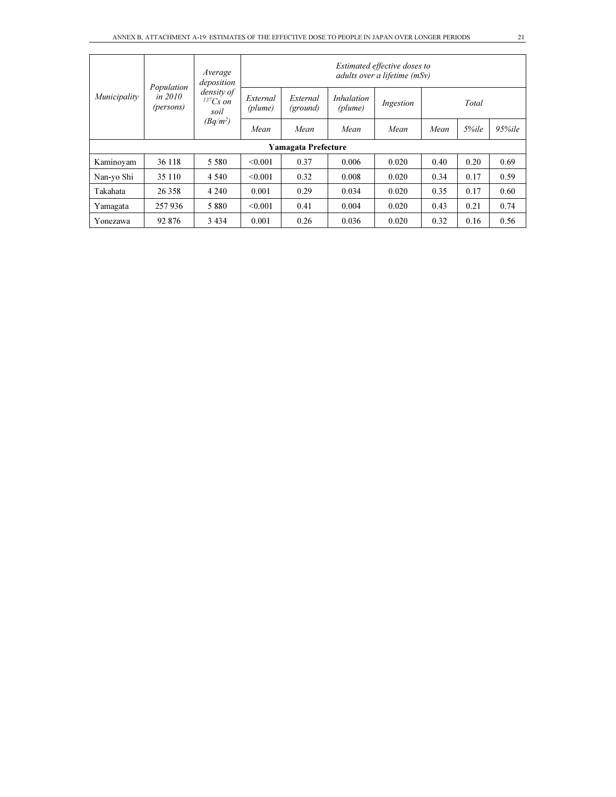|              |                                      | Average<br>deposition            |                     |                      |                              | Estimated effective doses to<br>adults over a lifetime (mSv) |      |       |            |  |  |
|--------------|--------------------------------------|----------------------------------|---------------------|----------------------|------------------------------|--------------------------------------------------------------|------|-------|------------|--|--|
| Municipality | Population<br>in $2010$<br>(persons) | density of<br>$137Cs$ on<br>soil | External<br>(plume) | External<br>(ground) | <i>Inhalation</i><br>(plume) | Ingestion                                                    |      | Total |            |  |  |
|              |                                      | $(Bq/m^2)$                       | Mean                | Mean                 | Mean                         | Mean                                                         | Mean | 5%ile | $95\%$ ile |  |  |
|              | <b>Yamagata Prefecture</b>           |                                  |                     |                      |                              |                                                              |      |       |            |  |  |
| Kaminoyam    | 36 118                               | 5 5 8 0                          | < 0.001             | 0.37                 | 0.006                        | 0.020                                                        | 0.40 | 0.20  | 0.69       |  |  |
| Nan-yo Shi   | 35 110                               | 4 5 4 0                          | < 0.001             | 0.32                 | 0.008                        | 0.020                                                        | 0.34 | 0.17  | 0.59       |  |  |
| Takahata     | 26 358                               | 4 2 4 0                          | 0.001               | 0.29                 | 0.034                        | 0.020                                                        | 0.35 | 0.17  | 0.60       |  |  |
| Yamagata     | 257 936                              | 5 8 8 0                          | < 0.001             | 0.41                 | 0.004                        | 0.020                                                        | 0.43 | 0.21  | 0.74       |  |  |
| Yonezawa     | 92 876                               | 3 4 3 4                          | 0.001               | 0.26                 | 0.036                        | 0.020                                                        | 0.32 | 0.16  | 0.56       |  |  |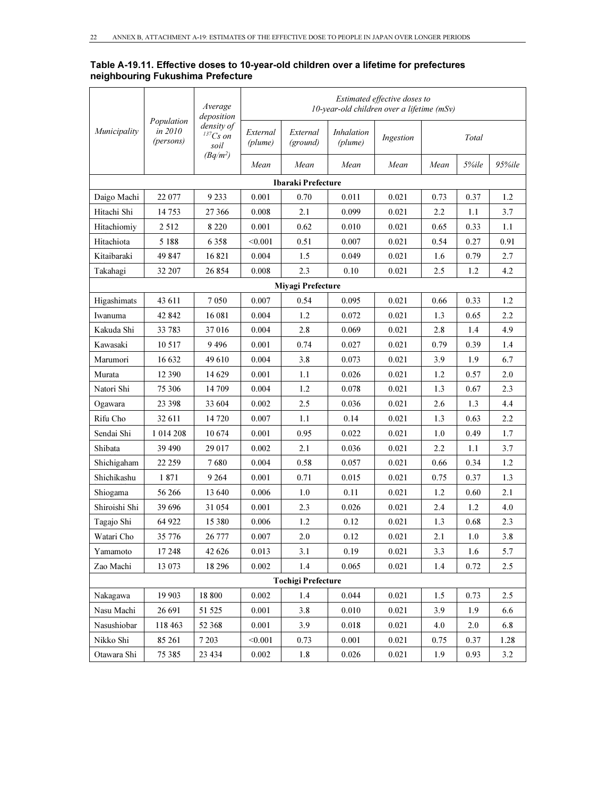#### Table A-19.11. Effective doses to 10-year-old children over a lifetime for prefectures neighbouring Fukushima Prefecture

|               |                                    | Average<br>deposition                 |                                                                                                                                                                                                                                                                                                                                                                                                                                                                                                                                                                                                                                                                                                                                                                                                                                                                                                                                                                                                                                                                                                                                                                                                                                                                                                                                                                                                                                                                                                                                                                                                     |                      |                              | Estimated effective doses to |      |       |      |
|---------------|------------------------------------|---------------------------------------|-----------------------------------------------------------------------------------------------------------------------------------------------------------------------------------------------------------------------------------------------------------------------------------------------------------------------------------------------------------------------------------------------------------------------------------------------------------------------------------------------------------------------------------------------------------------------------------------------------------------------------------------------------------------------------------------------------------------------------------------------------------------------------------------------------------------------------------------------------------------------------------------------------------------------------------------------------------------------------------------------------------------------------------------------------------------------------------------------------------------------------------------------------------------------------------------------------------------------------------------------------------------------------------------------------------------------------------------------------------------------------------------------------------------------------------------------------------------------------------------------------------------------------------------------------------------------------------------------------|----------------------|------------------------------|------------------------------|------|-------|------|
| Municipality  | Population<br>in 2010<br>(persons) | density of<br>${}^{137}Cs$ on<br>soil | External<br>(plume)                                                                                                                                                                                                                                                                                                                                                                                                                                                                                                                                                                                                                                                                                                                                                                                                                                                                                                                                                                                                                                                                                                                                                                                                                                                                                                                                                                                                                                                                                                                                                                                 | External<br>(ground) | <i>Inhalation</i><br>(plume) | Ingestion                    |      | Total |      |
|               |                                    | $(Bq/m^2)$                            | 10-year-old children over a lifetime (mSv)<br>Mean<br>Mean<br>Mean<br>Mean<br>Mean<br>5%ile<br>Ibaraki Prefecture<br>0.001<br>0.011<br>0.021<br>0.37<br>0.70<br>0.73<br>0.008<br>2.1<br>0.099<br>0.021<br>2.2<br>1.1<br>0.001<br>0.021<br>0.62<br>0.010<br>0.65<br>0.33<br>0.021<br>< 0.001<br>0.51<br>0.007<br>0.54<br>0.27<br>0.004<br>1.5<br>0.049<br>0.021<br>0.79<br>1.6<br>2.5<br>0.008<br>2.3<br>0.10<br>0.021<br>1.2<br>Miyagi Prefecture<br>0.007<br>0.54<br>0.095<br>0.021<br>0.33<br>0.66<br>0.004<br>1.2<br>0.072<br>0.021<br>1.3<br>0.65<br>0.004<br>2.8<br>2.8<br>0.069<br>0.021<br>1.4<br>0.001<br>0.74<br>0.027<br>0.021<br>0.79<br>0.39<br>3.8<br>0.004<br>0.073<br>0.021<br>3.9<br>1.9<br>0.021<br>0.001<br>1,1<br>0.026<br>1.2<br>0.57<br>0.004<br>1.2<br>0.078<br>0.021<br>1.3<br>0.67<br>2.5<br>0.002<br>0.036<br>0.021<br>2.6<br>1.3<br>0.007<br>1.1<br>0.14<br>0.021<br>1.3<br>0.63<br>0.001<br>0.95<br>0.022<br>0.021<br>1.0<br>0.49<br>0.002<br>2.1<br>0.036<br>0.021<br>2.2<br>1.1<br>0.004<br>0.58<br>0.021<br>0.34<br>0.057<br>0.66<br>0.001<br>0.71<br>0.015<br>0.021<br>0.75<br>0.37<br>0.006<br>1.0<br>0.11<br>0.021<br>1.2<br>0.60<br>2.3<br>0.026<br>0.021<br>0.001<br>2.4<br>1.2<br>1.2<br>0.006<br>0.12<br>0.021<br>1.3<br>0.68<br>2.1<br>0.007<br>2.0<br>0.12<br>0.021<br>1.0<br>3.1<br>0.19<br>0.021<br>0.013<br>3.3<br>1.6<br>$1.4\,$<br>0.002<br>0.065<br>0.021<br>0.72<br>1.4<br><b>Tochigi Prefecture</b><br>0.002<br>1.4<br>0.044<br>0.021<br>1.5<br>0.73<br>3.8<br>0.001<br>0.010<br>0.021<br>3.9<br>1.9<br>0.001<br>3.9<br>0.018<br>0.021<br>4.0<br>2.0 | 95%ile               |                              |                              |      |       |      |
|               |                                    |                                       |                                                                                                                                                                                                                                                                                                                                                                                                                                                                                                                                                                                                                                                                                                                                                                                                                                                                                                                                                                                                                                                                                                                                                                                                                                                                                                                                                                                                                                                                                                                                                                                                     |                      |                              |                              |      |       |      |
| Daigo Machi   | 22 077                             | 9 2 3 3                               |                                                                                                                                                                                                                                                                                                                                                                                                                                                                                                                                                                                                                                                                                                                                                                                                                                                                                                                                                                                                                                                                                                                                                                                                                                                                                                                                                                                                                                                                                                                                                                                                     |                      |                              |                              |      |       | 1.2  |
| Hitachi Shi   | 14 753                             | 27 366                                |                                                                                                                                                                                                                                                                                                                                                                                                                                                                                                                                                                                                                                                                                                                                                                                                                                                                                                                                                                                                                                                                                                                                                                                                                                                                                                                                                                                                                                                                                                                                                                                                     |                      |                              |                              |      |       | 3.7  |
| Hitachiomiy   | 2512                               | 8 2 2 0                               |                                                                                                                                                                                                                                                                                                                                                                                                                                                                                                                                                                                                                                                                                                                                                                                                                                                                                                                                                                                                                                                                                                                                                                                                                                                                                                                                                                                                                                                                                                                                                                                                     |                      |                              |                              |      |       | 1.1  |
| Hitachiota    | 5 1 8 8                            | 6 3 5 8                               |                                                                                                                                                                                                                                                                                                                                                                                                                                                                                                                                                                                                                                                                                                                                                                                                                                                                                                                                                                                                                                                                                                                                                                                                                                                                                                                                                                                                                                                                                                                                                                                                     |                      |                              |                              |      |       | 0.91 |
| Kitaibaraki   | 49 847                             | 16821                                 |                                                                                                                                                                                                                                                                                                                                                                                                                                                                                                                                                                                                                                                                                                                                                                                                                                                                                                                                                                                                                                                                                                                                                                                                                                                                                                                                                                                                                                                                                                                                                                                                     |                      |                              |                              |      |       | 2.7  |
| Takahagi      | 32 207                             | 26 854                                |                                                                                                                                                                                                                                                                                                                                                                                                                                                                                                                                                                                                                                                                                                                                                                                                                                                                                                                                                                                                                                                                                                                                                                                                                                                                                                                                                                                                                                                                                                                                                                                                     |                      |                              |                              |      |       | 4.2  |
|               |                                    |                                       |                                                                                                                                                                                                                                                                                                                                                                                                                                                                                                                                                                                                                                                                                                                                                                                                                                                                                                                                                                                                                                                                                                                                                                                                                                                                                                                                                                                                                                                                                                                                                                                                     |                      |                              |                              |      |       |      |
| Higashimats   | 43 611                             | 7 0 5 0                               |                                                                                                                                                                                                                                                                                                                                                                                                                                                                                                                                                                                                                                                                                                                                                                                                                                                                                                                                                                                                                                                                                                                                                                                                                                                                                                                                                                                                                                                                                                                                                                                                     |                      |                              |                              |      |       | 1.2  |
| Iwanuma       | 42 842                             | 16 081                                |                                                                                                                                                                                                                                                                                                                                                                                                                                                                                                                                                                                                                                                                                                                                                                                                                                                                                                                                                                                                                                                                                                                                                                                                                                                                                                                                                                                                                                                                                                                                                                                                     |                      |                              |                              |      |       | 2.2  |
| Kakuda Shi    | 33 783                             | 37016                                 |                                                                                                                                                                                                                                                                                                                                                                                                                                                                                                                                                                                                                                                                                                                                                                                                                                                                                                                                                                                                                                                                                                                                                                                                                                                                                                                                                                                                                                                                                                                                                                                                     |                      |                              |                              |      |       | 4.9  |
| Kawasaki      | 10 5 17                            | 9496                                  |                                                                                                                                                                                                                                                                                                                                                                                                                                                                                                                                                                                                                                                                                                                                                                                                                                                                                                                                                                                                                                                                                                                                                                                                                                                                                                                                                                                                                                                                                                                                                                                                     |                      |                              |                              |      |       | 1.4  |
| Marumori      | 16 632                             | 49 610                                |                                                                                                                                                                                                                                                                                                                                                                                                                                                                                                                                                                                                                                                                                                                                                                                                                                                                                                                                                                                                                                                                                                                                                                                                                                                                                                                                                                                                                                                                                                                                                                                                     |                      |                              |                              |      |       | 6.7  |
| Murata        | 12 390                             | 14 629                                |                                                                                                                                                                                                                                                                                                                                                                                                                                                                                                                                                                                                                                                                                                                                                                                                                                                                                                                                                                                                                                                                                                                                                                                                                                                                                                                                                                                                                                                                                                                                                                                                     |                      |                              |                              |      |       | 2.0  |
| Natori Shi    | 75 306                             | 14 709                                |                                                                                                                                                                                                                                                                                                                                                                                                                                                                                                                                                                                                                                                                                                                                                                                                                                                                                                                                                                                                                                                                                                                                                                                                                                                                                                                                                                                                                                                                                                                                                                                                     |                      |                              |                              |      |       | 2.3  |
| Ogawara       | 23 398                             | 33 604                                |                                                                                                                                                                                                                                                                                                                                                                                                                                                                                                                                                                                                                                                                                                                                                                                                                                                                                                                                                                                                                                                                                                                                                                                                                                                                                                                                                                                                                                                                                                                                                                                                     |                      |                              |                              |      |       | 4.4  |
| Rifu Cho      | 32 611                             | 14 7 20                               |                                                                                                                                                                                                                                                                                                                                                                                                                                                                                                                                                                                                                                                                                                                                                                                                                                                                                                                                                                                                                                                                                                                                                                                                                                                                                                                                                                                                                                                                                                                                                                                                     |                      |                              |                              |      |       | 2.2  |
| Sendai Shi    | 1 0 14 2 08                        | 10674                                 |                                                                                                                                                                                                                                                                                                                                                                                                                                                                                                                                                                                                                                                                                                                                                                                                                                                                                                                                                                                                                                                                                                                                                                                                                                                                                                                                                                                                                                                                                                                                                                                                     |                      |                              |                              |      |       | 1.7  |
| Shibata       | 39 490                             | 29 017                                |                                                                                                                                                                                                                                                                                                                                                                                                                                                                                                                                                                                                                                                                                                                                                                                                                                                                                                                                                                                                                                                                                                                                                                                                                                                                                                                                                                                                                                                                                                                                                                                                     |                      |                              |                              |      |       | 3.7  |
| Shichigaham   | 22 259                             | 7680                                  |                                                                                                                                                                                                                                                                                                                                                                                                                                                                                                                                                                                                                                                                                                                                                                                                                                                                                                                                                                                                                                                                                                                                                                                                                                                                                                                                                                                                                                                                                                                                                                                                     |                      |                              |                              |      |       | 1.2  |
| Shichikashu   | 1871                               | 9 2 64                                |                                                                                                                                                                                                                                                                                                                                                                                                                                                                                                                                                                                                                                                                                                                                                                                                                                                                                                                                                                                                                                                                                                                                                                                                                                                                                                                                                                                                                                                                                                                                                                                                     |                      |                              |                              |      |       | 1.3  |
| Shiogama      | 56 266                             | 13 640                                |                                                                                                                                                                                                                                                                                                                                                                                                                                                                                                                                                                                                                                                                                                                                                                                                                                                                                                                                                                                                                                                                                                                                                                                                                                                                                                                                                                                                                                                                                                                                                                                                     |                      |                              |                              |      |       | 2.1  |
| Shiroishi Shi | 39 696                             | 31054                                 |                                                                                                                                                                                                                                                                                                                                                                                                                                                                                                                                                                                                                                                                                                                                                                                                                                                                                                                                                                                                                                                                                                                                                                                                                                                                                                                                                                                                                                                                                                                                                                                                     |                      |                              |                              |      |       | 4.0  |
| Tagajo Shi    | 64 922                             | 15 380                                |                                                                                                                                                                                                                                                                                                                                                                                                                                                                                                                                                                                                                                                                                                                                                                                                                                                                                                                                                                                                                                                                                                                                                                                                                                                                                                                                                                                                                                                                                                                                                                                                     |                      |                              |                              |      |       | 2.3  |
| Watari Cho    | 35 776                             | 26 777                                |                                                                                                                                                                                                                                                                                                                                                                                                                                                                                                                                                                                                                                                                                                                                                                                                                                                                                                                                                                                                                                                                                                                                                                                                                                                                                                                                                                                                                                                                                                                                                                                                     |                      |                              |                              |      |       | 3.8  |
| Yamamoto      | 17 248                             | 42 6 26                               |                                                                                                                                                                                                                                                                                                                                                                                                                                                                                                                                                                                                                                                                                                                                                                                                                                                                                                                                                                                                                                                                                                                                                                                                                                                                                                                                                                                                                                                                                                                                                                                                     |                      |                              |                              |      |       | 5.7  |
| Zao Machi     | 13 073                             | 18 29 6                               |                                                                                                                                                                                                                                                                                                                                                                                                                                                                                                                                                                                                                                                                                                                                                                                                                                                                                                                                                                                                                                                                                                                                                                                                                                                                                                                                                                                                                                                                                                                                                                                                     |                      |                              |                              |      |       | 2.5  |
|               |                                    |                                       |                                                                                                                                                                                                                                                                                                                                                                                                                                                                                                                                                                                                                                                                                                                                                                                                                                                                                                                                                                                                                                                                                                                                                                                                                                                                                                                                                                                                                                                                                                                                                                                                     |                      |                              |                              |      |       |      |
| Nakagawa      | 19 903                             | 18 800                                |                                                                                                                                                                                                                                                                                                                                                                                                                                                                                                                                                                                                                                                                                                                                                                                                                                                                                                                                                                                                                                                                                                                                                                                                                                                                                                                                                                                                                                                                                                                                                                                                     |                      |                              |                              |      |       | 2.5  |
| Nasu Machi    | 26 691                             | 51 525                                |                                                                                                                                                                                                                                                                                                                                                                                                                                                                                                                                                                                                                                                                                                                                                                                                                                                                                                                                                                                                                                                                                                                                                                                                                                                                                                                                                                                                                                                                                                                                                                                                     |                      |                              |                              |      |       | 6.6  |
| Nasushiobar   | 118 463                            | 52 368                                |                                                                                                                                                                                                                                                                                                                                                                                                                                                                                                                                                                                                                                                                                                                                                                                                                                                                                                                                                                                                                                                                                                                                                                                                                                                                                                                                                                                                                                                                                                                                                                                                     |                      |                              |                              |      |       | 6.8  |
| Nikko Shi     | 85 261                             | 7 2 0 3                               | < 0.001                                                                                                                                                                                                                                                                                                                                                                                                                                                                                                                                                                                                                                                                                                                                                                                                                                                                                                                                                                                                                                                                                                                                                                                                                                                                                                                                                                                                                                                                                                                                                                                             | 0.73                 | 0.001                        | 0.021                        | 0.75 | 0.37  | 1.28 |
| Otawara Shi   | 75 385                             | 23 4 34                               | 0.002                                                                                                                                                                                                                                                                                                                                                                                                                                                                                                                                                                                                                                                                                                                                                                                                                                                                                                                                                                                                                                                                                                                                                                                                                                                                                                                                                                                                                                                                                                                                                                                               | 1.8                  | 0.026                        | 0.021                        | 1.9  | 0.93  | 3.2  |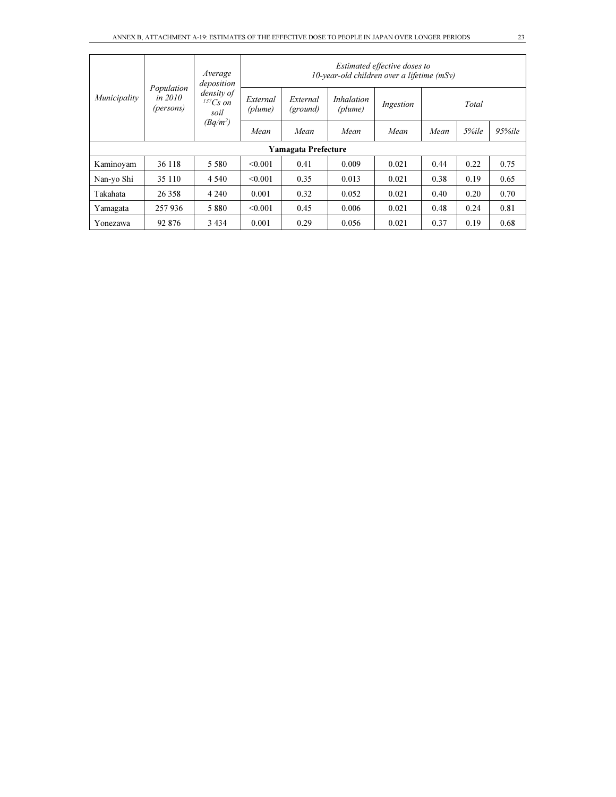|              |                                      | Average<br>deposition            | Estimated effective doses to<br>$10$ -year-old children over a lifetime (mSv) |                                                                                                                                                                   |       |       |      |       |      |  |
|--------------|--------------------------------------|----------------------------------|-------------------------------------------------------------------------------|-------------------------------------------------------------------------------------------------------------------------------------------------------------------|-------|-------|------|-------|------|--|
| Municipality | Population<br>in $2010$<br>(persons) | density of<br>$137Cs$ on<br>soil | External<br>(plume)                                                           | <i>Inhalation</i><br>External<br>Ingestion<br>(plume)<br>(ground)<br>Mean<br>Mean<br>Mean<br>Mean<br><b>Yamagata Prefecture</b><br>0.41<br>0.009<br>0.021<br>0.44 | Total |       |      |       |      |  |
|              |                                      | $(Bq/m^2)$                       | Mean                                                                          |                                                                                                                                                                   |       |       |      | 5%ile |      |  |
|              |                                      |                                  |                                                                               |                                                                                                                                                                   |       |       |      |       |      |  |
| Kaminovam    | 36 118                               | 5 5 8 0                          | < 0.001                                                                       |                                                                                                                                                                   |       |       |      | 0.22  | 0.75 |  |
| Nan-yo Shi   | 35 110                               | 4 5 4 0                          | < 0.001                                                                       | 0.35                                                                                                                                                              | 0.013 | 0.021 | 0.38 | 0.19  | 0.65 |  |
| Takahata     | 26 358                               | 4 2 4 0                          | 0.001                                                                         | 0.32                                                                                                                                                              | 0.052 | 0.021 | 0.40 | 0.20  | 0.70 |  |
| Yamagata     | 257 936                              | 5 8 8 0                          | < 0.001                                                                       | 0.45                                                                                                                                                              | 0.006 | 0.021 | 0.48 | 0.24  | 0.81 |  |
| Yonezawa     | 92 876                               | 3 4 3 4                          | 0.001                                                                         | 0.29                                                                                                                                                              | 0.056 | 0.021 | 0.37 | 0.19  | 0.68 |  |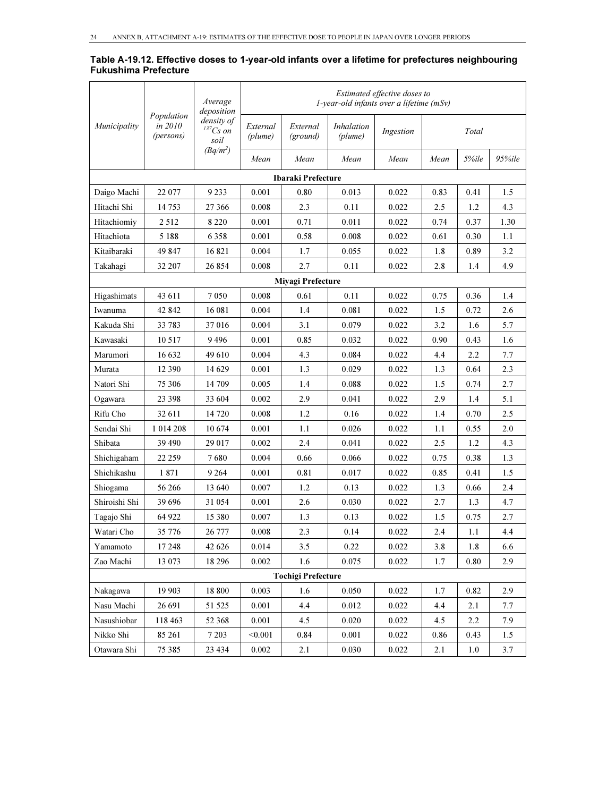### Table A-19.12. Effective doses to 1-year-old infants over a lifetime for prefectures neighbouring Fukushima Prefecture

|               |                                    | Average<br>deposition            |                     |                           | $1$ -year-old infants over a lifetime (mSv) | Estimated effective doses to |      |       |        |
|---------------|------------------------------------|----------------------------------|---------------------|---------------------------|---------------------------------------------|------------------------------|------|-------|--------|
| Municipality  | Population<br>in 2010<br>(persons) | density of<br>$137Cs$ on<br>soil | External<br>(plume) | External<br>(ground)      | <i>Inhalation</i><br>(plume)                | Ingestion                    |      | Total |        |
|               |                                    | $(Bq/m^2)$                       | Mean                | Mean                      | Mean                                        | Mean                         | Mean | 5%ile | 95%ile |
|               |                                    |                                  |                     | Ibaraki Prefecture        |                                             |                              |      |       |        |
| Daigo Machi   | 22 077                             | 9 2 3 3                          | 0.001               | 0.80                      | 0.013                                       | 0.022                        | 0.83 | 0.41  | 1.5    |
| Hitachi Shi   | 14 753                             | 27 366                           | 0.008               | 2.3                       | 0.11                                        | 0.022                        | 2.5  | 1.2   | 4.3    |
| Hitachiomiy   | 2512                               | 8 2 2 0                          | 0.001               | 0.71                      | 0.011                                       | 0.022                        | 0.74 | 0.37  | 1.30   |
| Hitachiota    | 5 1 8 8                            | 6 3 5 8                          | 0.001               | 0.58                      | 0.008                                       | 0.022                        | 0.61 | 0.30  | 1.1    |
| Kitaibaraki   | 49 847                             | 16821                            | 0.004               | 1.7                       | 0.055                                       | 0.022                        | 1.8  | 0.89  | 3.2    |
| Takahagi      | 32 207                             | 26 854                           | 0.008               | 2.7                       | 0.11                                        | 0.022                        | 2.8  | 1.4   | 4.9    |
|               |                                    |                                  |                     | Miyagi Prefecture         |                                             |                              |      |       |        |
| Higashimats   | 43 611                             | 7050                             | 0.008               | 0.61                      | 0.11                                        | 0.022                        | 0.75 | 0.36  | 1.4    |
| Iwanuma       | 42 842                             | 16 081                           | 0.004               | 1.4                       | 0.081                                       | 0.022                        | 1.5  | 0.72  | 2.6    |
| Kakuda Shi    | 33 783                             | 37016                            | 0.004               | 3.1                       | 0.079                                       | 0.022                        | 3.2  | 1.6   | 5.7    |
| Kawasaki      | 10 517                             | 9496                             | 0.001               | 0.85                      | 0.032                                       | 0.022                        | 0.90 | 0.43  | 1.6    |
| Marumori      | 16 632                             | 49610                            | 0.004               | 4.3                       | 0.084                                       | 0.022                        | 4.4  | 2.2   | 7.7    |
| Murata        | 12 390                             | 14 629                           | 0.001               | 1.3                       | 0.029                                       | 0.022                        | 1.3  | 0.64  | 2.3    |
| Natori Shi    | 75 306                             | 14 709                           | 0.005               | 1.4                       | 0.088                                       | 0.022                        | 1.5  | 0.74  | 2.7    |
| Ogawara       | 23 398                             | 33 604                           | 0.002               | 2.9                       | 0.041                                       | 0.022                        | 2.9  | 1.4   | 5.1    |
| Rifu Cho      | 32 611                             | 14 7 20                          | 0.008               | 1.2                       | 0.16                                        | 0.022                        | 1.4  | 0.70  | 2.5    |
| Sendai Shi    | 1 0 14 2 08                        | 10674                            | 0.001               | 1.1                       | 0.026                                       | 0.022                        | 1.1  | 0.55  | 2.0    |
| Shibata       | 39 490                             | 29 017                           | 0.002               | 2.4                       | 0.041                                       | 0.022                        | 2.5  | 1.2   | 4.3    |
| Shichigaham   | 22 259                             | 7680                             | 0.004               | 0.66                      | 0.066                                       | 0.022                        | 0.75 | 0.38  | 1.3    |
| Shichikashu   | 1871                               | 9 2 6 4                          | 0.001               | 0.81                      | 0.017                                       | 0.022                        | 0.85 | 0.41  | 1.5    |
| Shiogama      | 56 266                             | 13 640                           | 0.007               | 1.2                       | 0.13                                        | 0.022                        | 1.3  | 0.66  | 2.4    |
| Shiroishi Shi | 39 696                             | 31 054                           | 0.001               | 2.6                       | 0.030                                       | 0.022                        | 2.7  | 1.3   | 4.7    |
| Tagajo Shi    | 64 922                             | 15 380                           | 0.007               | 1.3                       | 0.13                                        | 0.022                        | 1.5  | 0.75  | 2.7    |
| Watari Cho    | 35 776                             | 26 777                           | 0.008               | 2.3                       | 0.14                                        | 0.022                        | 2.4  | 1.1   | 4.4    |
| Yamamoto      | 17 248                             | 42 6 26                          | 0.014               | 3.5                       | 0.22                                        | 0.022                        | 3.8  | 1.8   | 6.6    |
| Zao Machi     | 13 073                             | 18 29 6                          | 0.002               | 1.6                       | 0.075                                       | 0.022                        | 1.7  | 0.80  | 2.9    |
|               |                                    |                                  |                     | <b>Tochigi Prefecture</b> |                                             |                              |      |       |        |
| Nakagawa      | 19 903                             | 18 800                           | 0.003               | 1.6                       | 0.050                                       | 0.022                        | 1.7  | 0.82  | 2.9    |
| Nasu Machi    | 26 691                             | 51 525                           | 0.001               | 4.4                       | 0.012                                       | 0.022                        | 4.4  | 2.1   | 7.7    |
| Nasushiobar   | 118 463                            | 52 368                           | 0.001               | 4.5                       | 0.020                                       | 0.022                        | 4.5  | 2.2   | 7.9    |
| Nikko Shi     | 85 261                             | 7 2 0 3                          | < 0.001             | 0.84                      | 0.001                                       | 0.022                        | 0.86 | 0.43  | 1.5    |
| Otawara Shi   | 75 385                             | 23 4 34                          | 0.002               | 2.1                       | 0.030                                       | 0.022                        | 2.1  | 1.0   | 3.7    |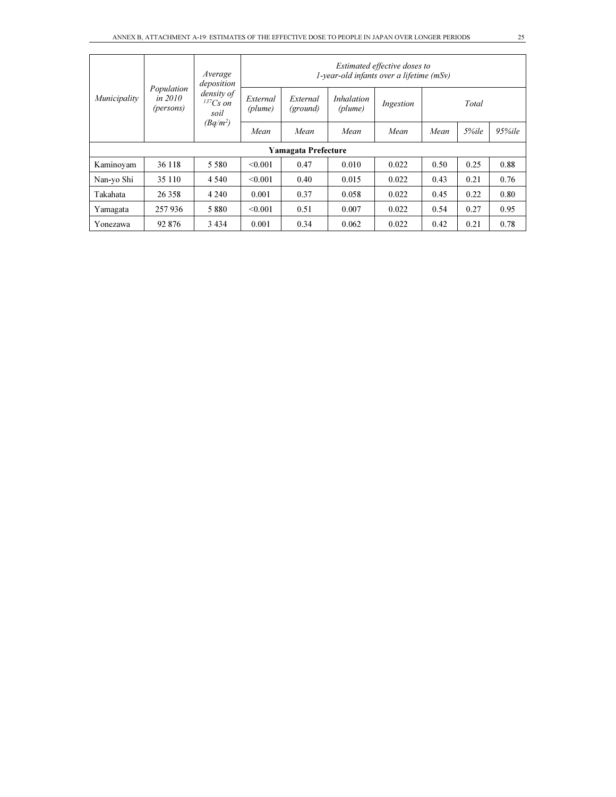|              |                                    | Average<br>deposition            |                     |                      | $1$ -vear-old infants over a lifetime (mSv)                                                                                                   | Estimated effective doses to |      |                 |      |
|--------------|------------------------------------|----------------------------------|---------------------|----------------------|-----------------------------------------------------------------------------------------------------------------------------------------------|------------------------------|------|-----------------|------|
| Municipality | Population<br>in 2010<br>(persons) | density of<br>$137Cs$ on<br>soil | External<br>(plume) | External<br>(ground) | <i>Inhalation</i><br>Ingestion<br>(plume)<br>Mean<br>Mean<br>Mean<br>Mean<br>0.010<br>0.022<br>0.50<br>0.47<br>0.40<br>0.015<br>0.022<br>0.43 | Total                        |      |                 |      |
|              |                                    | $(Bq/m^2)$                       | Mean                |                      |                                                                                                                                               |                              |      | 5%ile<br>95%ile |      |
|              | <b>Yamagata Prefecture</b>         |                                  |                     |                      |                                                                                                                                               |                              |      |                 |      |
| Kaminovam    | 36 118                             | 5 5 8 0                          | < 0.001             |                      |                                                                                                                                               |                              |      | 0.25            | 0.88 |
| Nan-yo Shi   | 35 110                             | 4 5 4 0                          | < 0.001             |                      |                                                                                                                                               |                              |      | 0.21            | 0.76 |
| Takahata     | 26 358                             | 4 2 4 0                          | 0.001               | 0.37                 | 0.058                                                                                                                                         | 0.022                        | 0.45 | 0.22            | 0.80 |
| Yamagata     | 257 936                            | 5880                             | < 0.001             | 0.51                 | 0.007                                                                                                                                         | 0.022                        | 0.54 | 0.27            | 0.95 |
| Yonezawa     | 92 876                             | 3 4 3 4                          | 0.001               | 0.34                 | 0.062                                                                                                                                         | 0.022                        | 0.42 | 0.21            | 0.78 |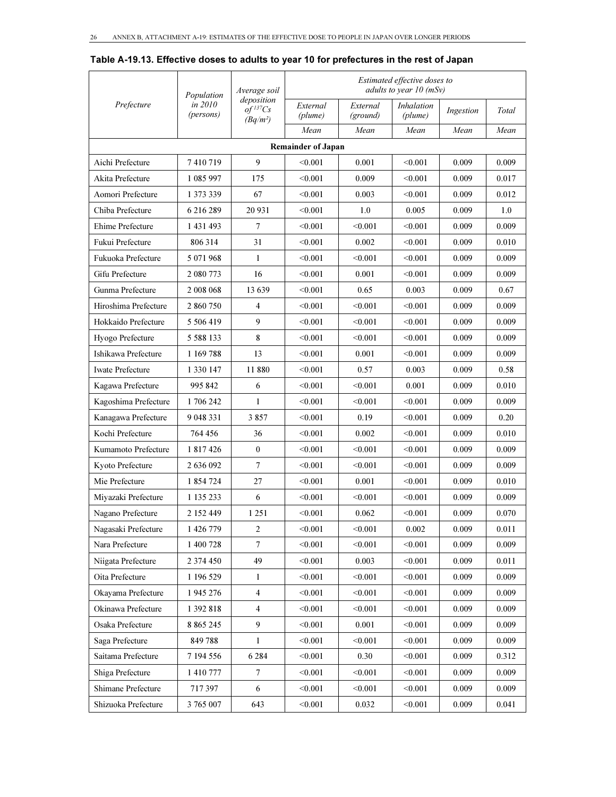|                         | Population           | Average soil                                         |                           |                      |                       | Estimated effective doses to<br>adults to year $10$ (mSv) |       |  |
|-------------------------|----------------------|------------------------------------------------------|---------------------------|----------------------|-----------------------|-----------------------------------------------------------|-------|--|
| Prefecture              | in 2010<br>(persons) | deposition<br>$of$ <sup>137</sup> $Cs$<br>$(Bq/m^2)$ | External<br>(plume)       | External<br>(ground) | Inhalation<br>(plume) | Ingestion                                                 | Total |  |
|                         |                      |                                                      | Mean                      | Mean                 | Mean                  | Mean                                                      | Mean  |  |
|                         |                      |                                                      | <b>Remainder of Japan</b> |                      |                       |                                                           |       |  |
| Aichi Prefecture        | 7410719              | 9                                                    | < 0.001                   | 0.001                | < 0.001               | 0.009                                                     | 0.009 |  |
| Akita Prefecture        | 1 085 997            | 175                                                  | < 0.001                   | 0.009                | < 0.001               | 0.009                                                     | 0.017 |  |
| Aomori Prefecture       | 1 373 339            | 67                                                   | < 0.001                   | 0.003                | < 0.001               | 0.009                                                     | 0.012 |  |
| Chiba Prefecture        | 6 216 289            | 20 931                                               | < 0.001                   | 1.0                  | 0.005                 | 0.009                                                     | 1.0   |  |
| Ehime Prefecture        | 1 431 493            | 7                                                    | < 0.001                   | < 0.001              | < 0.001               | 0.009                                                     | 0.009 |  |
| Fukui Prefecture        | 806314               | 31                                                   | < 0.001                   | 0.002                | < 0.001               | 0.009                                                     | 0.010 |  |
| Fukuoka Prefecture      | 5 071 968            | 1                                                    | < 0.001                   | < 0.001              | < 0.001               | 0.009                                                     | 0.009 |  |
| Gifu Prefecture         | 2 080 773            | 16                                                   | < 0.001                   | 0.001                | < 0.001               | 0.009                                                     | 0.009 |  |
| Gunma Prefecture        | 2 008 068            | 13 639                                               | < 0.001                   | 0.65                 | 0.003                 | 0.009                                                     | 0.67  |  |
| Hiroshima Prefecture    | 2 860 750            | 4                                                    | < 0.001                   | < 0.001              | < 0.001               | 0.009                                                     | 0.009 |  |
| Hokkaido Prefecture     | 5 506 419            | 9                                                    | < 0.001                   | < 0.001              | < 0.001               | 0.009                                                     | 0.009 |  |
| Hyogo Prefecture        | 5 5 8 8 1 3 3        | 8                                                    | < 0.001                   | < 0.001              | < 0.001               | 0.009                                                     | 0.009 |  |
| Ishikawa Prefecture     | 1 169 788            | 13                                                   | < 0.001                   | 0.001                | < 0.001               | 0.009                                                     | 0.009 |  |
| <b>Iwate Prefecture</b> | 1 3 3 0 1 4 7        | 11 880                                               | < 0.001                   | 0.57                 | 0.003                 | 0.009                                                     | 0.58  |  |
| Kagawa Prefecture       | 995 842              | 6                                                    | < 0.001                   | < 0.001              | 0.001                 | 0.009                                                     | 0.010 |  |
| Kagoshima Prefecture    | 1706242              | 1                                                    | < 0.001                   | < 0.001              | < 0.001               | 0.009                                                     | 0.009 |  |
| Kanagawa Prefecture     | 9 048 331            | 3857                                                 | < 0.001                   | 0.19                 | < 0.001               | 0.009                                                     | 0.20  |  |
| Kochi Prefecture        | 764456               | 36                                                   | < 0.001                   | 0.002                | < 0.001               | 0.009                                                     | 0.010 |  |
| Kumamoto Prefecture     | 1 817 426            | $\mathbf{0}$                                         | < 0.001                   | $<$ 0.001 $\,$       | < 0.001               | 0.009                                                     | 0.009 |  |
| Kyoto Prefecture        | 2 636 092            | $\boldsymbol{7}$                                     | < 0.001                   | < 0.001              | < 0.001               | 0.009                                                     | 0.009 |  |
| Mie Prefecture          | 1854724              | 27                                                   | < 0.001                   | 0.001                | < 0.001               | 0.009                                                     | 0.010 |  |
| Miyazaki Prefecture     | 1 135 233            | 6                                                    | < 0.001                   | < 0.001              | < 0.001               | 0.009                                                     | 0.009 |  |
| Nagano Prefecture       | 2 152 449            | 1 2 5 1                                              | < 0.001                   | 0.062                | < 0.001               | 0.009                                                     | 0.070 |  |
| Nagasaki Prefecture     | 1 426 779            | $\overline{2}$                                       | < 0.001                   | < 0.001              | 0.002                 | 0.009                                                     | 0.011 |  |
| Nara Prefecture         | 1 400 728            | $\boldsymbol{7}$                                     | < 0.001                   | < 0.001              | < 0.001               | 0.009                                                     | 0.009 |  |
| Niigata Prefecture      | 2 374 450            | 49                                                   | < 0.001                   | 0.003                | < 0.001               | 0.009                                                     | 0.011 |  |
| Oita Prefecture         | 1 196 529            | 1                                                    | < 0.001                   | < 0.001              | < 0.001               | 0.009                                                     | 0.009 |  |
| Okayama Prefecture      | 1 945 276            | $\overline{4}$                                       | < 0.001                   | < 0.001              | < 0.001               | 0.009                                                     | 0.009 |  |
| Okinawa Prefecture      | 1392818              | $\overline{4}$                                       | < 0.001                   | < 0.001              | < 0.001               | 0.009                                                     | 0.009 |  |
| Osaka Prefecture        | 8 8 6 5 2 4 5        | 9                                                    | < 0.001                   | 0.001                | < 0.001               | 0.009                                                     | 0.009 |  |
| Saga Prefecture         | 849788               | 1                                                    | < 0.001                   | < 0.001              | < 0.001               | 0.009                                                     | 0.009 |  |
| Saitama Prefecture      | 7 194 556            | 6 2 8 4                                              | < 0.001                   | 0.30                 | < 0.001               | 0.009                                                     | 0.312 |  |
| Shiga Prefecture        | 1 410 777            | 7                                                    | < 0.001                   | < 0.001              | < 0.001               | 0.009                                                     | 0.009 |  |
| Shimane Prefecture      | 717397               | 6                                                    | < 0.001                   | < 0.001              | < 0.001               | 0.009                                                     | 0.009 |  |
| Shizuoka Prefecture     | 3 765 007            | 643                                                  | < 0.001                   | 0.032                | < 0.001               | 0.009                                                     | 0.041 |  |

#### Table A-19.13. Effective doses to adults to year 10 for prefectures in the rest of Japan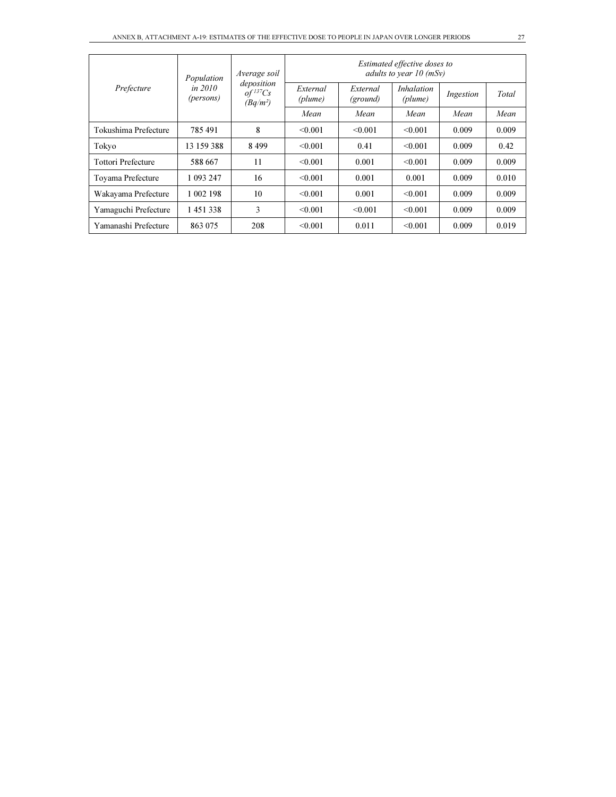|                           | Population             | Average soil                                         |                     |                      |                              | Estimated effective doses to<br>adults to year $10$ (mSy) |       |  |  |  |
|---------------------------|------------------------|------------------------------------------------------|---------------------|----------------------|------------------------------|-----------------------------------------------------------|-------|--|--|--|
| Prefecture                | in $2010$<br>(persons) | deposition<br>$of$ <sup>137</sup> $Cs$<br>$(Bq/m^2)$ | External<br>(plume) | External<br>(ground) | <i>Inhalation</i><br>(plume) | Ingestion                                                 | Total |  |  |  |
|                           |                        |                                                      | Mean                | Mean                 | Mean                         | Mean                                                      | Mean  |  |  |  |
| Tokushima Prefecture      | 785491                 | 8                                                    | < 0.001             | < 0.001              | < 0.001                      | 0.009                                                     | 0.009 |  |  |  |
| Tokyo                     | 13 159 388             | 8499                                                 | < 0.001             | 0.41                 | < 0.001                      | 0.009                                                     | 0.42  |  |  |  |
| <b>Tottori Prefecture</b> | 588 667                | 11                                                   | < 0.001             | 0.001                | < 0.001                      | 0.009                                                     | 0.009 |  |  |  |
| Toyama Prefecture         | 1 093 247              | 16                                                   | < 0.001             | 0.001                | 0.001                        | 0.009                                                     | 0.010 |  |  |  |
| Wakayama Prefecture       | 1 002 198              | 10                                                   | < 0.001             | 0.001                | < 0.001                      | 0.009                                                     | 0.009 |  |  |  |
| Yamaguchi Prefecture      | 1451338                | 3                                                    | < 0.001             | < 0.001              | < 0.001                      | 0.009                                                     | 0.009 |  |  |  |
| Yamanashi Prefecture      | 863 075                | 208                                                  | < 0.001             | 0.011                | < 0.001                      | 0.009                                                     | 0.019 |  |  |  |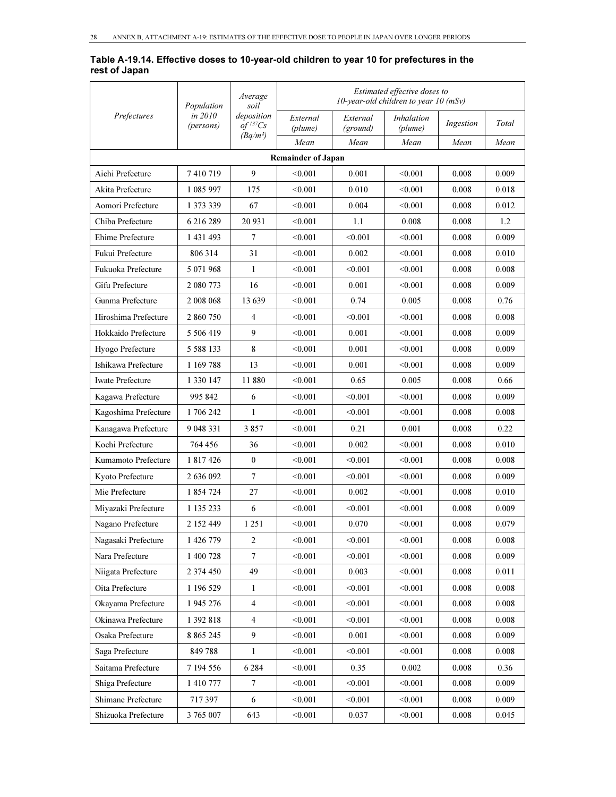#### Table A-19.14. Effective doses to 10-year-old children to year 10 for prefectures in the rest of Japan

|                         | Population           | Average<br>soil                                      |                           |                      | Estimated effective doses to<br>10-year-old children to year 10 $(mSv)$ |           |       |
|-------------------------|----------------------|------------------------------------------------------|---------------------------|----------------------|-------------------------------------------------------------------------|-----------|-------|
| Prefectures             | in 2010<br>(persons) | deposition<br>$of$ <sup>137</sup> $Cs$<br>$(Bq/m^2)$ | External<br>(plume)       | External<br>(ground) | <i>Inhalation</i><br>(plume)                                            | Ingestion | Total |
|                         |                      |                                                      | Mean                      | Mean                 | Mean                                                                    | Mean      | Mean  |
|                         |                      |                                                      | <b>Remainder of Japan</b> |                      |                                                                         |           |       |
| Aichi Prefecture        | 7 410 719            | 9                                                    | < 0.001                   | 0.001                | < 0.001                                                                 | 0.008     | 0.009 |
| Akita Prefecture        | 1 085 997            | 175                                                  | < 0.001                   | 0.010                | < 0.001                                                                 | 0.008     | 0.018 |
| Aomori Prefecture       | 1 373 339            | 67                                                   | < 0.001                   | 0.004                | < 0.001                                                                 | 0.008     | 0.012 |
| Chiba Prefecture        | 6 216 289            | 20 931                                               | < 0.001                   | 1.1                  | 0.008                                                                   | 0.008     | 1.2   |
| Ehime Prefecture        | 1 431 493            | $\overline{7}$                                       | < 0.001                   | < 0.001              | < 0.001                                                                 | 0.008     | 0.009 |
| Fukui Prefecture        | 806 314              | 31                                                   | < 0.001                   | 0.002                | < 0.001                                                                 | 0.008     | 0.010 |
| Fukuoka Prefecture      | 5 071 968            | 1                                                    | < 0.001                   | < 0.001              | < 0.001                                                                 | 0.008     | 0.008 |
| Gifu Prefecture         | 2 080 773            | 16                                                   | < 0.001                   | 0.001                | < 0.001                                                                 | 0.008     | 0.009 |
| Gunma Prefecture        | 2 008 068            | 13639                                                | < 0.001                   | 0.74                 | 0.005                                                                   | 0.008     | 0.76  |
| Hiroshima Prefecture    | 2 860 750            | $\overline{4}$                                       | < 0.001                   | < 0.001              | < 0.001                                                                 | 0.008     | 0.008 |
| Hokkaido Prefecture     | 5 506 419            | 9                                                    | < 0.001                   | 0.001                | < 0.001                                                                 | 0.008     | 0.009 |
| Hyogo Prefecture        | 5 5 8 8 1 3 3        | 8                                                    | < 0.001                   | 0.001                | < 0.001                                                                 | 0.008     | 0.009 |
| Ishikawa Prefecture     | 1 169 788            | 13                                                   | < 0.001                   | 0.001                | < 0.001                                                                 | 0.008     | 0.009 |
| <b>Iwate Prefecture</b> | 1 330 147            | 11880                                                | < 0.001                   | 0.65                 | 0.005                                                                   | 0.008     | 0.66  |
| Kagawa Prefecture       | 995 842              | 6                                                    | $<$ 0.001 $\,$            | < 0.001              | $<$ 0.001 $\,$                                                          | 0.008     | 0.009 |
| Kagoshima Prefecture    | 1 706 242            | $\mathbf{1}$                                         | < 0.001                   | < 0.001              | < 0.001                                                                 | 0.008     | 0.008 |
| Kanagawa Prefecture     | 9 048 331            | 3857                                                 | $0.001$                   | 0.21                 | 0.001                                                                   | 0.008     | 0.22  |
| Kochi Prefecture        | 764 456              | 36                                                   | < 0.001                   | 0.002                | < 0.001                                                                 | 0.008     | 0.010 |
| Kumamoto Prefecture     | 1 817 426            | $\mathbf{0}$                                         | < 0.001                   | < 0.001              | < 0.001                                                                 | 0.008     | 0.008 |
| Kyoto Prefecture        | 2 636 092            | $\tau$                                               | < 0.001                   | < 0.001              | < 0.001                                                                 | 0.008     | 0.009 |
| Mie Prefecture          | 1 854 724            | 27                                                   | < 0.001                   | 0.002                | < 0.001                                                                 | 0.008     | 0.010 |
| Miyazaki Prefecture     | 1 135 233            | 6                                                    | < 0.001                   | < 0.001              | < 0.001                                                                 | 0.008     | 0.009 |
| Nagano Prefecture       | 2 152 449            | 1 2 5 1                                              | < 0.001                   | 0.070                | < 0.001                                                                 | 0.008     | 0.079 |
| Nagasaki Prefecture     | 1 426 779            | $\overline{2}$                                       | < 0.001                   | < 0.001              | < 0.001                                                                 | 0.008     | 0.008 |
| Nara Prefecture         | 1 400 728            | $\tau$                                               | < 0.001                   | < 0.001              | < 0.001                                                                 | 0.008     | 0.009 |
| Niigata Prefecture      | 2 374 450            | 49                                                   | < 0.001                   | 0.003                | < 0.001                                                                 | 0.008     | 0.011 |
| Oita Prefecture         | 1 196 529            | $\mathbf{1}$                                         | < 0.001                   | < 0.001              | < 0.001                                                                 | 0.008     | 0.008 |
| Okayama Prefecture      | 1 945 276            | $\overline{4}$                                       | < 0.001                   | < 0.001              | < 0.001                                                                 | 0.008     | 0.008 |
| Okinawa Prefecture      | 1 392 818            | $\overline{4}$                                       | < 0.001                   | < 0.001              | < 0.001                                                                 | 0.008     | 0.008 |
| Osaka Prefecture        | 8 8 6 5 2 4 5        | $\overline{9}$                                       | < 0.001                   | 0.001                | < 0.001                                                                 | 0.008     | 0.009 |
| Saga Prefecture         | 849788               | 1                                                    | < 0.001                   | < 0.001              | < 0.001                                                                 | 0.008     | 0.008 |
| Saitama Prefecture      | 7 194 556            | 6 2 8 4                                              | < 0.001                   | 0.35                 | 0.002                                                                   | 0.008     | 0.36  |
| Shiga Prefecture        | 1 410 777            | $\boldsymbol{7}$                                     | < 0.001                   | < 0.001              | < 0.001                                                                 | 0.008     | 0.009 |
| Shimane Prefecture      | 717397               | 6                                                    | < 0.001                   | < 0.001              | < 0.001                                                                 | 0.008     | 0.009 |
| Shizuoka Prefecture     | 3 765 007            | 643                                                  | < 0.001                   | 0.037                | < 0.001                                                                 | 0.008     | 0.045 |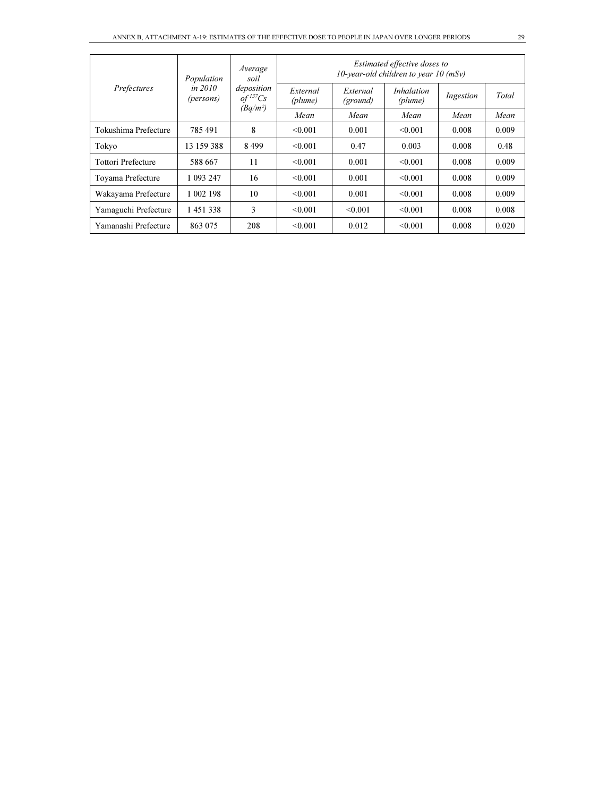|                           | Population             | Average<br>soil                                    | Estimated effective doses to<br>10-year-old children to year 10 $(mSv)$ |                      |                              |           |       |
|---------------------------|------------------------|----------------------------------------------------|-------------------------------------------------------------------------|----------------------|------------------------------|-----------|-------|
| Prefectures               | in $2010$<br>(persons) | deposition<br>$of$ <sup>137</sup> Cs<br>$(Bq/m^2)$ | External<br>(plume)                                                     | External<br>(ground) | <i>Inhalation</i><br>(plume) | Ingestion | Total |
|                           |                        |                                                    | Mean                                                                    | Mean                 | Mean                         | Mean      | Mean  |
| Tokushima Prefecture      | 785491                 | 8                                                  | < 0.001                                                                 | 0.001                | < 0.001                      | 0.008     | 0.009 |
| Tokyo                     | 13 159 388             | 8499                                               | < 0.001                                                                 | 0.47                 | 0.003                        | 0.008     | 0.48  |
| <b>Tottori Prefecture</b> | 588 667                | 11                                                 | < 0.001                                                                 | 0.001                | < 0.001                      | 0.008     | 0.009 |
| Toyama Prefecture         | 1 093 247              | 16                                                 | < 0.001                                                                 | 0.001                | < 0.001                      | 0.008     | 0.009 |
| Wakayama Prefecture       | 1 002 198              | 10                                                 | < 0.001                                                                 | 0.001                | < 0.001                      | 0.008     | 0.009 |
| Yamaguchi Prefecture      | 1451338                | 3                                                  | < 0.001                                                                 | < 0.001              | < 0.001                      | 0.008     | 0.008 |
| Yamanashi Prefecture      | 863 075                | 208                                                | < 0.001                                                                 | 0.012                | < 0.001                      | 0.008     | 0.020 |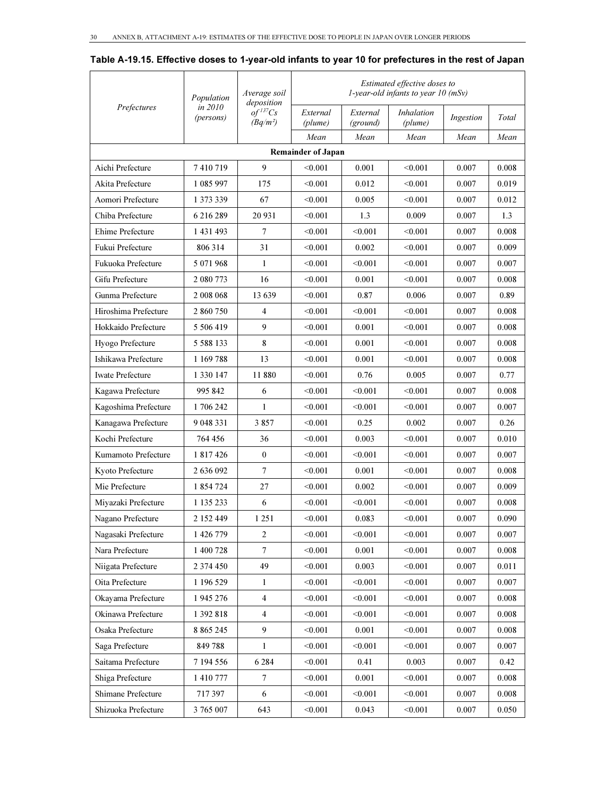|                         | Population           | Average soil<br>deposition           |                           |                      | Estimated effective doses to<br>$1$ -year-old infants to year 10 (mSv) |           |       |
|-------------------------|----------------------|--------------------------------------|---------------------------|----------------------|------------------------------------------------------------------------|-----------|-------|
| Prefectures             | in 2010<br>(persons) | $of$ <sup>137</sup> Cs<br>$(Bq/m^2)$ | External<br>(plume)       | External<br>(ground) | Inhalation<br>(plume)                                                  | Ingestion | Total |
|                         |                      |                                      | Mean                      | Mean                 | Mean                                                                   | Mean      | Mean  |
|                         |                      |                                      | <b>Remainder of Japan</b> |                      |                                                                        |           |       |
| Aichi Prefecture        | 7410719              | 9                                    | < 0.001                   | 0.001                | < 0.001                                                                | 0.007     | 0.008 |
| Akita Prefecture        | 1 085 997            | 175                                  | < 0.001                   | 0.012                | < 0.001                                                                | 0.007     | 0.019 |
| Aomori Prefecture       | 1 373 339            | 67                                   | < 0.001                   | 0.005                | < 0.001                                                                | 0.007     | 0.012 |
| Chiba Prefecture        | 6 216 289            | 20 931                               | < 0.001                   | 1.3                  | 0.009                                                                  | 0.007     | 1.3   |
| Ehime Prefecture        | 1 431 493            | 7                                    | < 0.001                   | < 0.001              | < 0.001                                                                | 0.007     | 0.008 |
| Fukui Prefecture        | 806 314              | 31                                   | < 0.001                   | 0.002                | < 0.001                                                                | 0.007     | 0.009 |
| Fukuoka Prefecture      | 5 071 968            | 1                                    | < 0.001                   | < 0.001              | < 0.001                                                                | 0.007     | 0.007 |
| Gifu Prefecture         | 2 080 773            | 16                                   | < 0.001                   | 0.001                | < 0.001                                                                | 0.007     | 0.008 |
| Gunma Prefecture        | 2 008 068            | 13 639                               | < 0.001                   | 0.87                 | 0.006                                                                  | 0.007     | 0.89  |
| Hiroshima Prefecture    | 2 860 750            | 4                                    | < 0.001                   | < 0.001              | < 0.001                                                                | 0.007     | 0.008 |
| Hokkaido Prefecture     | 5 506 419            | 9                                    | < 0.001                   | 0.001                | < 0.001                                                                | 0.007     | 0.008 |
| Hyogo Prefecture        | 5 5 8 8 1 3 3        | 8                                    | < 0.001                   | 0.001                | < 0.001                                                                | 0.007     | 0.008 |
| Ishikawa Prefecture     | 1 169 788            | 13                                   | < 0.001                   | 0.001                | < 0.001                                                                | 0.007     | 0.008 |
| <b>Iwate Prefecture</b> | 1 330 147            | 11880                                | < 0.001                   | 0.76                 | 0.005                                                                  | 0.007     | 0.77  |
| Kagawa Prefecture       | 995 842              | 6                                    | < 0.001                   | < 0.001              | < 0.001                                                                | 0.007     | 0.008 |
| Kagoshima Prefecture    | 1 706 242            | 1                                    | < 0.001                   | < 0.001              | < 0.001                                                                | 0.007     | 0.007 |
| Kanagawa Prefecture     | 9 048 331            | 3857                                 | < 0.001                   | 0.25                 | 0.002                                                                  | 0.007     | 0.26  |
| Kochi Prefecture        | 764 456              | 36                                   | < 0.001                   | 0.003                | < 0.001                                                                | 0.007     | 0.010 |
| Kumamoto Prefecture     | 1 817 426            | $\mathbf{0}$                         | < 0.001                   | < 0.001              | < 0.001                                                                | 0.007     | 0.007 |
| Kyoto Prefecture        | 2 636 092            | 7                                    | < 0.001                   | 0.001                | < 0.001                                                                | 0.007     | 0.008 |
| Mie Prefecture          | 1 854 724            | 27                                   | < 0.001                   | 0.002                | < 0.001                                                                | 0.007     | 0.009 |
| Miyazaki Prefecture     | 1 135 233            | 6                                    | < 0.001                   | < 0.001              | < 0.001                                                                | 0.007     | 0.008 |
| Nagano Prefecture       | 2 152 449            | 1 251                                | < 0.001                   | 0.083                | < 0.001                                                                | 0.007     | 0.090 |
| Nagasaki Prefecture     | 1 426 779            | $\overline{2}$                       | < 0.001                   | < 0.001              | < 0.001                                                                | 0.007     | 0.007 |
| Nara Prefecture         | 1 400 728            | $\overline{7}$                       | < 0.001                   | 0.001                | < 0.001                                                                | 0.007     | 0.008 |
| Niigata Prefecture      | 2 374 450            | 49                                   | < 0.001                   | 0.003                | < 0.001                                                                | 0.007     | 0.011 |
| Oita Prefecture         | 1 196 529            | 1                                    | < 0.001                   | < 0.001              | < 0.001                                                                | 0.007     | 0.007 |
| Okayama Prefecture      | 1 945 276            | $\overline{4}$                       | < 0.001                   | < 0.001              | < 0.001                                                                | 0.007     | 0.008 |
| Okinawa Prefecture      | 1 392 818            | $\overline{4}$                       | < 0.001                   | < 0.001              | < 0.001                                                                | 0.007     | 0.008 |
| Osaka Prefecture        | 8 865 245            | 9                                    | < 0.001                   | 0.001                | < 0.001                                                                | 0.007     | 0.008 |
| Saga Prefecture         | 849788               | $\mathbf{1}$                         | < 0.001                   | < 0.001              | < 0.001                                                                | 0.007     | 0.007 |
| Saitama Prefecture      | 7 194 556            | 6 2 8 4                              | < 0.001                   | 0.41                 | 0.003                                                                  | 0.007     | 0.42  |
| Shiga Prefecture        | 1 410 777            | 7                                    | < 0.001                   | 0.001                | < 0.001                                                                | 0.007     | 0.008 |
| Shimane Prefecture      | 717397               | 6                                    | < 0.001                   | < 0.001              | < 0.001                                                                | 0.007     | 0.008 |

Shizuoka Prefecture 3 765 007 643  $\leq 0.001$  0.043  $\leq 0.001$  0.007 0.050

#### Table A-19.15. Effective doses to 1-year-old infants to year 10 for prefectures in the rest of Japan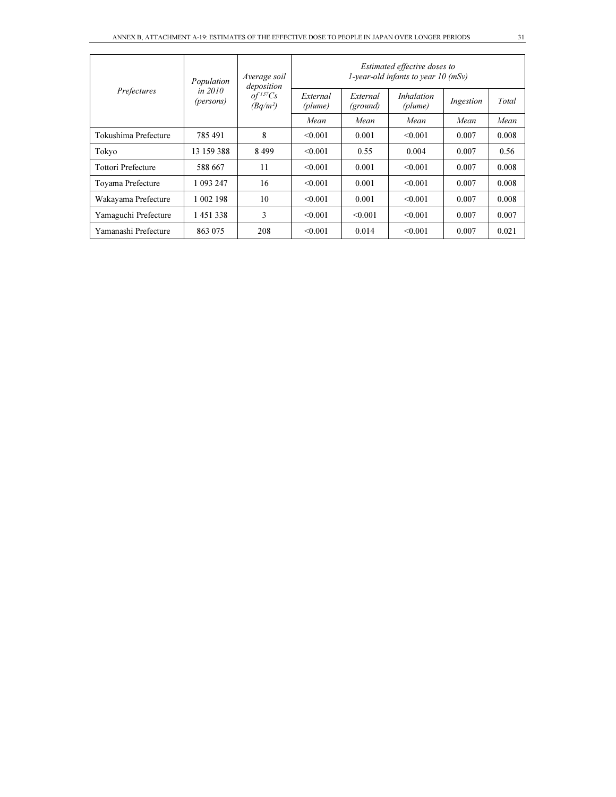|                           | Population           | Average soil<br>deposition           |                     |                      | Estimated effective doses to<br>1-year-old infants to year $10$ (mSv) |           |       |
|---------------------------|----------------------|--------------------------------------|---------------------|----------------------|-----------------------------------------------------------------------|-----------|-------|
| Prefectures               | in 2010<br>(persons) | $of$ <sup>137</sup> Cs<br>$(Bq/m^2)$ | External<br>(plume) | External<br>(ground) | <i>Inhalation</i><br>(plume)                                          | Ingestion | Total |
|                           |                      |                                      | Mean                | Mean                 | Mean                                                                  | Mean      | Mean  |
| Tokushima Prefecture      | 785491               | 8                                    | < 0.001             | 0.001                | < 0.001                                                               | 0.007     | 0.008 |
| Tokyo                     | 13 159 388           | 8499                                 | < 0.001             | 0.55                 | 0.004                                                                 | 0.007     | 0.56  |
| <b>Tottori Prefecture</b> | 588 667              | 11                                   | < 0.001             | 0.001                | < 0.001                                                               | 0.007     | 0.008 |
| Toyama Prefecture         | 1 093 247            | 16                                   | < 0.001             | 0.001                | < 0.001                                                               | 0.007     | 0.008 |
| Wakayama Prefecture       | 1 002 198            | 10                                   | < 0.001             | 0.001                | < 0.001                                                               | 0.007     | 0.008 |
| Yamaguchi Prefecture      | 1451338              | 3                                    | < 0.001             | < 0.001              | < 0.001                                                               | 0.007     | 0.007 |
| Yamanashi Prefecture      | 863 075              | 208                                  | < 0.001             | 0.014                | < 0.001                                                               | 0.007     | 0.021 |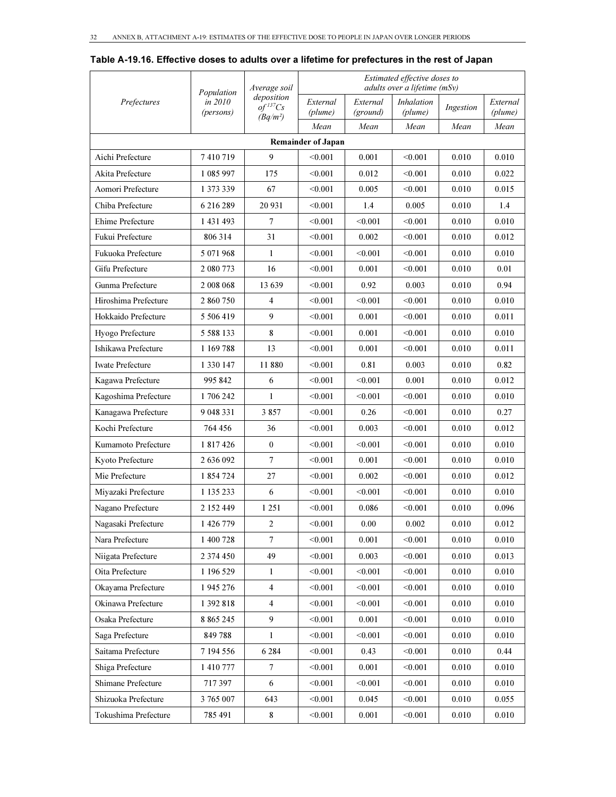|                         |                                    | Average soil                         |                           |                      | Estimated effective doses to<br>adults over a lifetime (mSv) |           |                     |
|-------------------------|------------------------------------|--------------------------------------|---------------------------|----------------------|--------------------------------------------------------------|-----------|---------------------|
| Prefectures             | Population<br>in 2010<br>(persons) | deposition<br>$of$ <sup>137</sup> Cs | External<br>(plume)       | External<br>(ground) | <i>Inhalation</i><br>(plume)                                 | Ingestion | External<br>(plume) |
|                         |                                    | $(Bq/m^2)$                           | Mean                      | Mean                 | Mean                                                         | Mean      | Mean                |
|                         |                                    |                                      | <b>Remainder of Japan</b> |                      |                                                              |           |                     |
| Aichi Prefecture        | 7410719                            | 9                                    | < 0.001                   | 0.001                | < 0.001                                                      | 0.010     | 0.010               |
| Akita Prefecture        | 1 085 997                          | 175                                  | < 0.001                   | 0.012                | < 0.001                                                      | 0.010     | 0.022               |
| Aomori Prefecture       | 1 373 339                          | 67                                   | < 0.001                   | 0.005                | < 0.001                                                      | 0.010     | 0.015               |
| Chiba Prefecture        | 6 216 289                          | 20 9 31                              | < 0.001                   | 1.4                  | 0.005                                                        | 0.010     | 1.4                 |
| Ehime Prefecture        | 1 431 493                          | 7                                    | < 0.001                   | < 0.001              | < 0.001                                                      | 0.010     | 0.010               |
| Fukui Prefecture        | 806 314                            | 31                                   | < 0.001                   | 0.002                | < 0.001                                                      | 0.010     | 0.012               |
| Fukuoka Prefecture      | 5 071 968                          | $\mathbf{1}$                         | < 0.001                   | < 0.001              | < 0.001                                                      | 0.010     | 0.010               |
| Gifu Prefecture         | 2 080 773                          | 16                                   | < 0.001                   | 0.001                | < 0.001                                                      | 0.010     | 0.01                |
| Gunma Prefecture        | 2 008 068                          | 13 639                               | < 0.001                   | 0.92                 | 0.003                                                        | 0.010     | 0.94                |
| Hiroshima Prefecture    | 2 860 750                          | $\overline{4}$                       | < 0.001                   | < 0.001              | < 0.001                                                      | 0.010     | 0.010               |
| Hokkaido Prefecture     | 5 506 419                          | 9                                    | < 0.001                   | 0.001                | < 0.001                                                      | 0.010     | 0.011               |
| Hyogo Prefecture        | 5 5 8 8 1 3 3                      | 8                                    | < 0.001                   | 0.001                | < 0.001                                                      | 0.010     | 0.010               |
| Ishikawa Prefecture     | 1 169 788                          | 13                                   | < 0.001                   | 0.001                | < 0.001                                                      | 0.010     | 0.011               |
| <b>Iwate Prefecture</b> | 1 330 147                          | 11 880                               | < 0.001                   | 0.81                 | 0.003                                                        | 0.010     | 0.82                |
| Kagawa Prefecture       | 995 842                            | 6                                    | < 0.001                   | < 0.001              | 0.001                                                        | 0.010     | 0.012               |
| Kagoshima Prefecture    | 1706242                            | 1                                    | < 0.001                   | < 0.001              | < 0.001                                                      | 0.010     | 0.010               |
| Kanagawa Prefecture     | 9 048 331                          | 3857                                 | < 0.001                   | 0.26                 | < 0.001                                                      | 0.010     | 0.27                |
| Kochi Prefecture        | 764 456                            | 36                                   | < 0.001                   | 0.003                | < 0.001                                                      | 0.010     | 0.012               |
| Kumamoto Prefecture     | 1 817 426                          | $\mathbf{0}$                         | < 0.001                   | < 0.001              | < 0.001                                                      | 0.010     | 0.010               |
| Kyoto Prefecture        | 2 636 092                          | $\overline{7}$                       | < 0.001                   | 0.001                | < 0.001                                                      | 0.010     | 0.010               |
| Mie Prefecture          | 1 854 724                          | 27                                   | < 0.001                   | 0.002                | < 0.001                                                      | 0.010     | 0.012               |
| Miyazaki Prefecture     | 1 135 233                          | 6                                    | < 0.001                   | < 0.001              | < 0.001                                                      | 0.010     | 0.010               |
| Nagano Prefecture       | 2 152 449                          | 1 2 5 1                              | < 0.001                   | 0.086                | < 0.001                                                      | 0.010     | 0.096               |
| Nagasaki Prefecture     | 1 426 779                          | $\sqrt{2}$                           | < 0.001                   | $0.00\,$             | 0.002                                                        | 0.010     | 0.012               |
| Nara Prefecture         | 1 400 728                          | $\tau$                               | < 0.001                   | 0.001                | < 0.001                                                      | 0.010     | 0.010               |
| Niigata Prefecture      | 2 374 450                          | 49                                   | < 0.001                   | 0.003                | < 0.001                                                      | 0.010     | 0.013               |
| Oita Prefecture         | 1 196 529                          | $\mathbf{1}$                         | < 0.001                   | < 0.001              | < 0.001                                                      | 0.010     | 0.010               |
| Okayama Prefecture      | 1 945 276                          | $\overline{4}$                       | < 0.001                   | < 0.001              | < 0.001                                                      | 0.010     | 0.010               |
| Okinawa Prefecture      | 1 392 818                          | $\overline{4}$                       | < 0.001                   | < 0.001              | < 0.001                                                      | 0.010     | 0.010               |
| Osaka Prefecture        | 8 8 6 5 2 4 5                      | 9                                    | < 0.001                   | 0.001                | < 0.001                                                      | 0.010     | 0.010               |
| Saga Prefecture         | 849788                             | $\mathbf{1}$                         | < 0.001                   | < 0.001              | < 0.001                                                      | 0.010     | 0.010               |
| Saitama Prefecture      | 7 194 556                          | 6 2 8 4                              | < 0.001                   | 0.43                 | < 0.001                                                      | 0.010     | 0.44                |
| Shiga Prefecture        | 1410777                            | $7\phantom{.0}$                      | < 0.001                   | 0.001                | < 0.001                                                      | 0.010     | 0.010               |
| Shimane Prefecture      | 717397                             | 6                                    | < 0.001                   | < 0.001              | < 0.001                                                      | 0.010     | 0.010               |
| Shizuoka Prefecture     | 3 765 007                          | 643                                  | < 0.001                   | 0.045                | < 0.001                                                      | 0.010     | 0.055               |
| Tokushima Prefecture    | 785 491                            | 8                                    | < 0.001                   | 0.001                | < 0.001                                                      | 0.010     | 0.010               |

Table A-19.16. Effective doses to adults over a lifetime for prefectures in the rest of Japan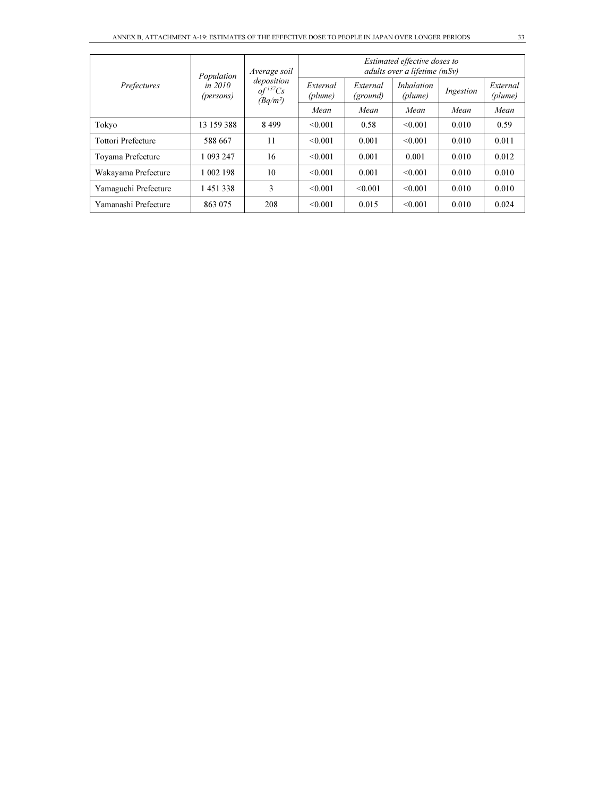| Prefectures               | Population             | Average soil                                       | Estimated effective doses to<br>adults over a lifetime (mSv) |                      |                              |           |                     |  |
|---------------------------|------------------------|----------------------------------------------------|--------------------------------------------------------------|----------------------|------------------------------|-----------|---------------------|--|
|                           | in $2010$<br>(persons) | deposition<br>$of$ <sup>137</sup> Cs<br>$(Bq/m^2)$ | External<br>(plume)                                          | External<br>(ground) | <i>Inhalation</i><br>(plume) | Ingestion | External<br>(plume) |  |
|                           |                        |                                                    | Mean                                                         | Mean                 | Mean                         | Mean      | Mean                |  |
| Tokyo                     | 13 159 388             | 8499                                               | < 0.001                                                      | 0.58                 | < 0.001                      | 0.010     | 0.59                |  |
| <b>Tottori Prefecture</b> | 588 667                | 11                                                 | < 0.001                                                      | 0.001                | < 0.001                      | 0.010     | 0.011               |  |
| Toyama Prefecture         | 1 093 247              | 16                                                 | < 0.001                                                      | 0.001                | 0.001                        | 0.010     | 0.012               |  |
| Wakayama Prefecture       | 1 002 198              | 10                                                 | < 0.001                                                      | 0.001                | < 0.001                      | 0.010     | 0.010               |  |
| Yamaguchi Prefecture      | 1451338                | 3                                                  | < 0.001                                                      | < 0.001              | < 0.001                      | 0.010     | 0.010               |  |
| Yamanashi Prefecture      | 863 075                | 208                                                | < 0.001                                                      | 0.015                | < 0.001                      | 0.010     | 0.024               |  |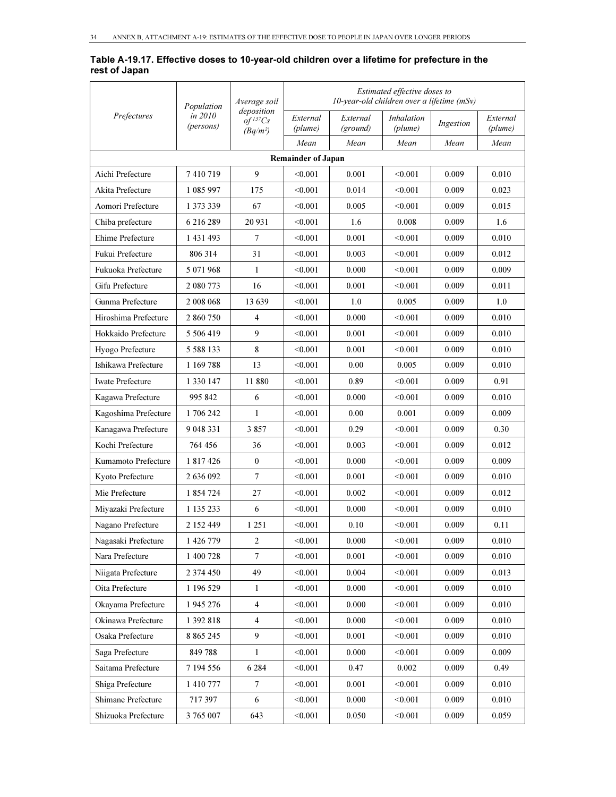#### Table A-19.17. Effective doses to 10-year-old children over a lifetime for prefecture in the rest of Japan

| Prefectures             | Population           | Average soil                                       | Estimated effective doses to<br>10-year-old children over a lifetime $(mSv)$ |                      |                              |           |                     |  |  |
|-------------------------|----------------------|----------------------------------------------------|------------------------------------------------------------------------------|----------------------|------------------------------|-----------|---------------------|--|--|
|                         | in 2010<br>(persons) | deposition<br>$of$ <sup>137</sup> Cs<br>$(Bq/m^2)$ | External<br>(plume)                                                          | External<br>(ground) | <i>Inhalation</i><br>(plume) | Ingestion | External<br>(plume) |  |  |
|                         |                      |                                                    | Mean                                                                         | Mean                 | Mean                         | Mean      | Mean                |  |  |
|                         |                      |                                                    | <b>Remainder of Japan</b>                                                    |                      |                              |           |                     |  |  |
| Aichi Prefecture        | 7410719              | 9                                                  | < 0.001                                                                      | 0.001                | < 0.001                      | 0.009     | 0.010               |  |  |
| Akita Prefecture        | 1 085 997            | 175                                                | < 0.001                                                                      | 0.014                | < 0.001                      | 0.009     | 0.023               |  |  |
| Aomori Prefecture       | 1 373 339            | 67                                                 | < 0.001                                                                      | 0.005                | < 0.001                      | 0.009     | 0.015               |  |  |
| Chiba prefecture        | 6 216 289            | 20 931                                             | < 0.001                                                                      | 1.6                  | 0.008                        | 0.009     | 1.6                 |  |  |
| Ehime Prefecture        | 1 431 493            | 7                                                  | < 0.001                                                                      | 0.001                | < 0.001                      | 0.009     | 0.010               |  |  |
| Fukui Prefecture        | 806 314              | 31                                                 | < 0.001                                                                      | 0.003                | < 0.001                      | 0.009     | 0.012               |  |  |
| Fukuoka Prefecture      | 5 071 968            | 1                                                  | < 0.001                                                                      | 0.000                | < 0.001                      | 0.009     | 0.009               |  |  |
| Gifu Prefecture         | 2 080 773            | 16                                                 | < 0.001                                                                      | 0.001                | < 0.001                      | 0.009     | 0.011               |  |  |
| Gunma Prefecture        | 2 008 068            | 13 639                                             | < 0.001                                                                      | 1.0                  | 0.005                        | 0.009     | 1.0                 |  |  |
| Hiroshima Prefecture    | 2 860 750            | $\overline{4}$                                     | < 0.001                                                                      | 0.000                | < 0.001                      | 0.009     | 0.010               |  |  |
| Hokkaido Prefecture     | 5 506 419            | 9                                                  | < 0.001                                                                      | 0.001                | < 0.001                      | 0.009     | 0.010               |  |  |
| Hyogo Prefecture        | 5 5 8 8 1 3 3        | 8                                                  | < 0.001                                                                      | 0.001                | < 0.001                      | 0.009     | 0.010               |  |  |
| Ishikawa Prefecture     | 1 169 788            | 13                                                 | < 0.001                                                                      | 0.00                 | 0.005                        | 0.009     | 0.010               |  |  |
| <b>Iwate Prefecture</b> | 1 330 147            | 11880                                              | < 0.001                                                                      | 0.89                 | < 0.001                      | 0.009     | 0.91                |  |  |
| Kagawa Prefecture       | 995 842              | 6                                                  | < 0.001                                                                      | 0.000                | < 0.001                      | 0.009     | 0.010               |  |  |
| Kagoshima Prefecture    | 1706242              | 1                                                  | < 0.001                                                                      | 0.00                 | 0.001                        | 0.009     | 0.009               |  |  |
| Kanagawa Prefecture     | 9 048 331            | 3857                                               | < 0.001                                                                      | 0.29                 | < 0.001                      | 0.009     | 0.30                |  |  |
| Kochi Prefecture        | 764 456              | 36                                                 | < 0.001                                                                      | 0.003                | < 0.001                      | 0.009     | 0.012               |  |  |
| Kumamoto Prefecture     | 1 817 426            | $\mathbf{0}$                                       | < 0.001                                                                      | 0.000                | < 0.001                      | 0.009     | 0.009               |  |  |
| Kyoto Prefecture        | 2 636 092            | $\overline{7}$                                     | < 0.001                                                                      | 0.001                | < 0.001                      | 0.009     | 0.010               |  |  |
| Mie Prefecture          | 1 854 724            | 27                                                 | < 0.001                                                                      | 0.002                | < 0.001                      | 0.009     | 0.012               |  |  |
| Miyazaki Prefecture     | 1 135 233            | 6                                                  | < 0.001                                                                      | 0.000                | < 0.001                      | 0.009     | 0.010               |  |  |
| Nagano Prefecture       | 2 152 449            | 1 25 1                                             | < 0.001                                                                      | 0.10                 | < 0.001                      | 0.009     | 0.11                |  |  |
| Nagasaki Prefecture     | 1 426 779            | $\boldsymbol{2}$                                   | < 0.001                                                                      | 0.000                | < 0.001                      | 0.009     | 0.010               |  |  |
| Nara Prefecture         | 1 400 728            | $\boldsymbol{7}$                                   | < 0.001                                                                      | 0.001                | < 0.001                      | 0.009     | 0.010               |  |  |
| Niigata Prefecture      | 2 374 450            | 49                                                 | < 0.001                                                                      | 0.004                | < 0.001                      | 0.009     | 0.013               |  |  |
| Oita Prefecture         | 1 196 529            | $\mathbf{1}$                                       | < 0.001                                                                      | 0.000                | < 0.001                      | 0.009     | 0.010               |  |  |
| Okayama Prefecture      | 1 945 276            | $\overline{4}$                                     | < 0.001                                                                      | 0.000                | < 0.001                      | 0.009     | 0.010               |  |  |
| Okinawa Prefecture      | 1 392 818            | 4                                                  | < 0.001                                                                      | 0.000                | < 0.001                      | 0.009     | 0.010               |  |  |
| Osaka Prefecture        | 8 8 6 5 2 4 5        | $\overline{9}$                                     | < 0.001                                                                      | 0.001                | < 0.001                      | 0.009     | 0.010               |  |  |
| Saga Prefecture         | 849788               | 1                                                  | < 0.001                                                                      | 0.000                | < 0.001                      | 0.009     | 0.009               |  |  |
| Saitama Prefecture      | 7 194 556            | 6 2 8 4                                            | < 0.001                                                                      | 0.47                 | 0.002                        | 0.009     | 0.49                |  |  |
| Shiga Prefecture        | 1 410 777            | $\boldsymbol{7}$                                   | < 0.001                                                                      | 0.001                | < 0.001                      | 0.009     | 0.010               |  |  |
| Shimane Prefecture      | 717397               | 6                                                  | < 0.001                                                                      | 0.000                | < 0.001                      | 0.009     | 0.010               |  |  |
| Shizuoka Prefecture     | 3 765 007            | 643                                                | < 0.001                                                                      | 0.050                | < 0.001                      | 0.009     | 0.059               |  |  |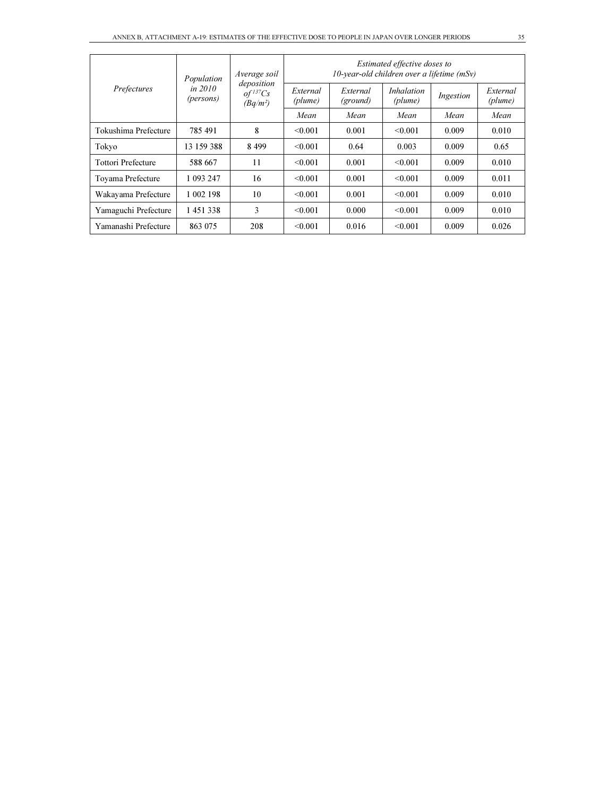| Prefectures          | Population           | Average soil<br>deposition<br>$of$ <sup>137</sup> $Cs$<br>$(Bq/m^2)$ | Estimated effective doses to<br>10-year-old children over a lifetime $(mSv)$ |                      |                              |           |                     |  |  |
|----------------------|----------------------|----------------------------------------------------------------------|------------------------------------------------------------------------------|----------------------|------------------------------|-----------|---------------------|--|--|
|                      | in 2010<br>(persons) |                                                                      | External<br>(plume)                                                          | External<br>(ground) | <i>Inhalation</i><br>(plume) | Ingestion | External<br>(plume) |  |  |
|                      |                      |                                                                      | Mean                                                                         | Mean                 | Mean                         | Mean      | Mean                |  |  |
| Tokushima Prefecture | 785491               | 8                                                                    | < 0.001                                                                      | 0.001                | < 0.001                      | 0.009     | 0.010               |  |  |
| Tokyo                | 13 159 388           | 8499                                                                 | < 0.001                                                                      | 0.64                 | 0.003                        | 0.009     | 0.65                |  |  |
| Tottori Prefecture   | 588 667              | 11                                                                   | < 0.001                                                                      | 0.001                | < 0.001                      | 0.009     | 0.010               |  |  |
| Toyama Prefecture    | 1 093 247            | 16                                                                   | < 0.001                                                                      | 0.001                | < 0.001                      | 0.009     | 0.011               |  |  |
| Wakayama Prefecture  | 1 002 198            | 10                                                                   | < 0.001                                                                      | 0.001                | < 0.001                      | 0.009     | 0.010               |  |  |
| Yamaguchi Prefecture | 1451338              | 3                                                                    | < 0.001                                                                      | 0.000                | < 0.001                      | 0.009     | 0.010               |  |  |
| Yamanashi Prefecture | 863 075              | 208                                                                  | < 0.001                                                                      | 0.016                | < 0.001                      | 0.009     | 0.026               |  |  |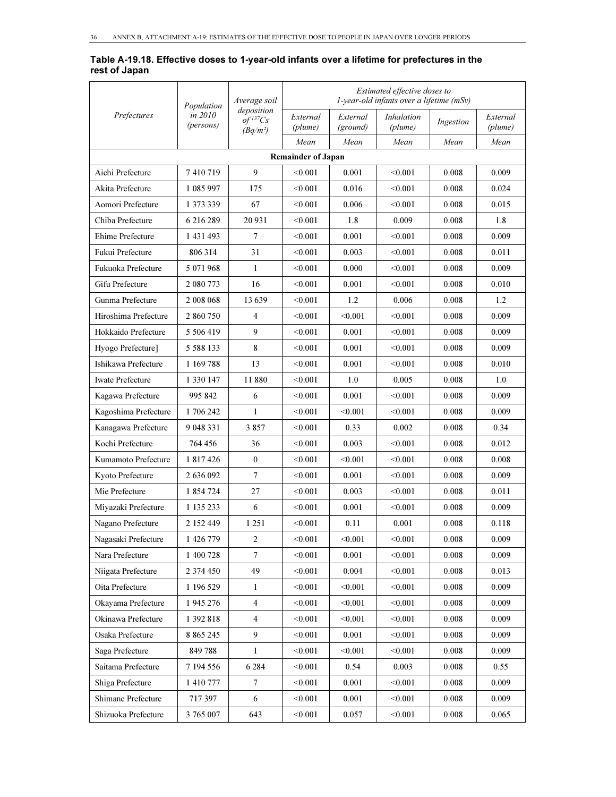#### Table A-19.18. Effective doses to 1-year-old infants over a lifetime for prefectures in the rest of Japan

|                         | Population           | Average soil                                         |                           | Estimated effective doses to<br>$1$ -year-old infants over a lifetime (mSv) |                              |           |                     |  |  |  |
|-------------------------|----------------------|------------------------------------------------------|---------------------------|-----------------------------------------------------------------------------|------------------------------|-----------|---------------------|--|--|--|
| Prefectures             | in 2010<br>(persons) | deposition<br>$of$ <sup>137</sup> $Cs$<br>$(Bq/m^2)$ | External<br>(plume)       | External<br>(ground)                                                        | <i>Inhalation</i><br>(plume) | Ingestion | External<br>(plume) |  |  |  |
|                         |                      |                                                      | Mean                      | Mean                                                                        | Mean                         | Mean      | Mean                |  |  |  |
|                         |                      |                                                      | <b>Remainder of Japan</b> |                                                                             |                              |           |                     |  |  |  |
| Aichi Prefecture        | 7410719              | 9                                                    | < 0.001                   | 0.001                                                                       | < 0.001                      | 0.008     | 0.009               |  |  |  |
| Akita Prefecture        | 1 085 997            | 175                                                  | < 0.001                   | 0.016                                                                       | < 0.001                      | 0.008     | 0.024               |  |  |  |
| Aomori Prefecture       | 1 373 339            | 67                                                   | < 0.001                   | 0.006                                                                       | < 0.001                      | 0.008     | 0.015               |  |  |  |
| Chiba Prefecture        | 6 216 289            | 20 931                                               | < 0.001                   | 1.8                                                                         | 0.009                        | 0.008     | 1.8                 |  |  |  |
| Ehime Prefecture        | 1 431 493            | 7                                                    | < 0.001                   | 0.001                                                                       | < 0.001                      | 0.008     | 0.009               |  |  |  |
| Fukui Prefecture        | 806 314              | 31                                                   | < 0.001                   | 0.003                                                                       | < 0.001                      | 0.008     | 0.011               |  |  |  |
| Fukuoka Prefecture      | 5 071 968            | 1                                                    | < 0.001                   | 0.000                                                                       | < 0.001                      | 0.008     | 0.009               |  |  |  |
| Gifu Prefecture         | 2 080 773            | 16                                                   | < 0.001                   | 0.001                                                                       | < 0.001                      | 0.008     | 0.010               |  |  |  |
| Gunma Prefecture        | 2 008 068            | 13639                                                | < 0.001                   | 1.2                                                                         | 0.006                        | 0.008     | 1.2                 |  |  |  |
| Hiroshima Prefecture    | 2 860 750            | $\overline{4}$                                       | < 0.001                   | < 0.001                                                                     | < 0.001                      | 0.008     | 0.009               |  |  |  |
| Hokkaido Prefecture     | 5 506 419            | 9                                                    | < 0.001                   | 0.001                                                                       | < 0.001                      | 0.008     | 0.009               |  |  |  |
| Hyogo Prefecture]       | 5 5 8 8 1 3 3        | 8                                                    | < 0.001                   | 0.001                                                                       | < 0.001                      | 0.008     | 0.009               |  |  |  |
| Ishikawa Prefecture     | 1 169 788            | 13                                                   | < 0.001                   | 0.001                                                                       | < 0.001                      | 0.008     | 0.010               |  |  |  |
| <b>Iwate Prefecture</b> | 1 330 147            | 11880                                                | < 0.001                   | 1.0                                                                         | 0.005                        | 0.008     | 1.0                 |  |  |  |
| Kagawa Prefecture       | 995 842              | 6                                                    | < 0.001                   | 0.001                                                                       | < 0.001                      | 0.008     | 0.009               |  |  |  |
| Kagoshima Prefecture    | 1 706 242            | 1                                                    | < 0.001                   | < 0.001                                                                     | < 0.001                      | 0.008     | 0.009               |  |  |  |
| Kanagawa Prefecture     | 9 048 331            | 3857                                                 | < 0.001                   | 0.33                                                                        | 0.002                        | 0.008     | 0.34                |  |  |  |
| Kochi Prefecture        | 764 456              | 36                                                   | < 0.001                   | 0.003                                                                       | < 0.001                      | 0.008     | 0.012               |  |  |  |
| Kumamoto Prefecture     | 1 817 426            | $\mathbf{0}$                                         | < 0.001                   | < 0.001                                                                     | < 0.001                      | 0.008     | 0.008               |  |  |  |
| Kyoto Prefecture        | 2 636 092            | $\tau$                                               | < 0.001                   | 0.001                                                                       | < 0.001                      | 0.008     | 0.009               |  |  |  |
| Mie Prefecture          | 1 854 724            | 27                                                   | < 0.001                   | 0.003                                                                       | < 0.001                      | 0.008     | 0.011               |  |  |  |
| Miyazaki Prefecture     | 1 135 233            | 6                                                    | < 0.001                   | 0.001                                                                       | < 0.001                      | 0.008     | 0.009               |  |  |  |
| Nagano Prefecture       | 2 152 449            | 1 2 5 1                                              | < 0.001                   | 0.11                                                                        | 0.001                        | 0.008     | 0.118               |  |  |  |
| Nagasaki Prefecture     | 1 426 779            | $\overline{2}$                                       | < 0.001                   | < 0.001                                                                     | < 0.001                      | 0.008     | 0.009               |  |  |  |
| Nara Prefecture         | 1 400 728            | $\tau$                                               | < 0.001                   | 0.001                                                                       | < 0.001                      | 0.008     | 0.009               |  |  |  |
| Niigata Prefecture      | 2 374 450            | 49                                                   | < 0.001                   | 0.004                                                                       | < 0.001                      | 0.008     | 0.013               |  |  |  |
| Oita Prefecture         | 1 196 529            | 1                                                    | < 0.001                   | < 0.001                                                                     | < 0.001                      | 0.008     | 0.009               |  |  |  |
| Okayama Prefecture      | 1 945 276            | 4                                                    | < 0.001                   | < 0.001                                                                     | < 0.001                      | 0.008     | 0.009               |  |  |  |
| Okinawa Prefecture      | 1 392 818            | $\overline{4}$                                       | < 0.001                   | < 0.001                                                                     | < 0.001                      | 0.008     | 0.009               |  |  |  |
| Osaka Prefecture        | 8 8 6 5 2 4 5        | $\boldsymbol{9}$                                     | < 0.001                   | 0.001                                                                       | < 0.001                      | 0.008     | 0.009               |  |  |  |
| Saga Prefecture         | 849788               | 1                                                    | < 0.001                   | < 0.001                                                                     | < 0.001                      | 0.008     | 0.009               |  |  |  |
| Saitama Prefecture      | 7 194 556            | 6 2 8 4                                              | < 0.001                   | 0.54                                                                        | 0.003                        | 0.008     | 0.55                |  |  |  |
| Shiga Prefecture        | 1 410 777            | $\boldsymbol{7}$                                     | < 0.001                   | 0.001                                                                       | < 0.001                      | 0.008     | 0.009               |  |  |  |
| Shimane Prefecture      | 717397               | 6                                                    | < 0.001                   | 0.001                                                                       | < 0.001                      | 0.008     | 0.009               |  |  |  |
| Shizuoka Prefecture     | 3 765 007            | 643                                                  | < 0.001                   | 0.057                                                                       | < 0.001                      | 0.008     | 0.065               |  |  |  |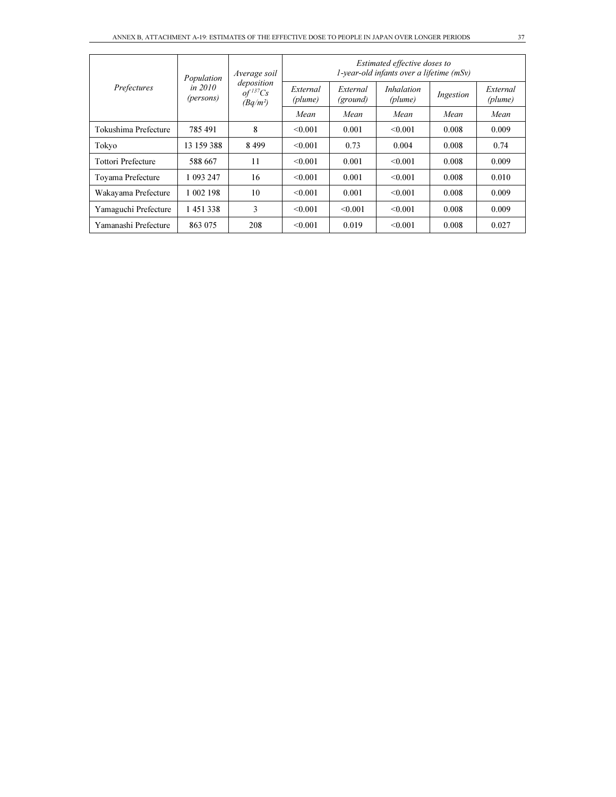| Prefectures          | Population           | Average soil                                         | Estimated effective doses to<br>$1$ -year-old infants over a lifetime (mSv) |                      |                              |           |                     |  |  |
|----------------------|----------------------|------------------------------------------------------|-----------------------------------------------------------------------------|----------------------|------------------------------|-----------|---------------------|--|--|
|                      | in 2010<br>(persons) | deposition<br>$of$ <sup>137</sup> $Cs$<br>$(Bq/m^2)$ | External<br>(plume)                                                         | External<br>(ground) | <i>Inhalation</i><br>(plume) | Ingestion | External<br>(plume) |  |  |
|                      |                      |                                                      | Mean                                                                        | Mean                 | Mean                         | Mean      | Mean                |  |  |
| Tokushima Prefecture | 785491               | 8                                                    | < 0.001                                                                     | 0.001                | < 0.001                      | 0.008     | 0.009               |  |  |
| Tokyo                | 13 159 388           | 8499                                                 | $\leq 0.001$                                                                | 0.73                 | 0.004                        | 0.008     | 0.74                |  |  |
| Tottori Prefecture   | 588 667              | 11                                                   | < 0.001                                                                     | 0.001                | < 0.001                      | 0.008     | 0.009               |  |  |
| Toyama Prefecture    | 1 093 247            | 16                                                   | < 0.001                                                                     | 0.001                | < 0.001                      | 0.008     | 0.010               |  |  |
| Wakayama Prefecture  | 1 002 198            | 10                                                   | < 0.001                                                                     | 0.001                | < 0.001                      | 0.008     | 0.009               |  |  |
| Yamaguchi Prefecture | 1451338              | 3                                                    | < 0.001                                                                     | < 0.001              | < 0.001                      | 0.008     | 0.009               |  |  |
| Yamanashi Prefecture | 863 075              | 208                                                  | < 0.001                                                                     | 0.019                | < 0.001                      | 0.008     | 0.027               |  |  |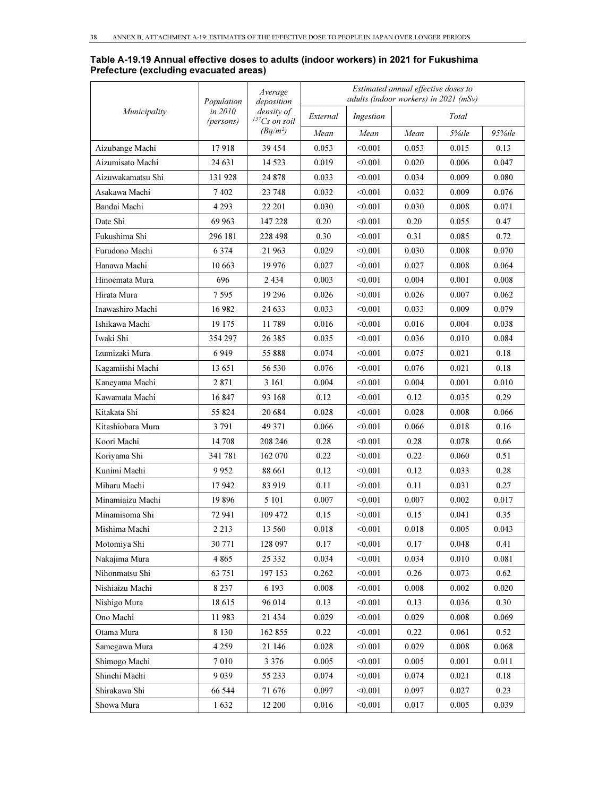#### Table A-19.19 Annual effective doses to adults (indoor workers) in 2021 for Fukushima Prefecture (excluding evacuated areas)

|                   | Population           | Average<br>deposition            |          | adults (indoor workers) in 2021 (mSv) | Estimated annual effective doses to |       |            |
|-------------------|----------------------|----------------------------------|----------|---------------------------------------|-------------------------------------|-------|------------|
| Municipality      | in 2010<br>(persons) | density of<br>$^{137}Cs$ on soil | External | Ingestion                             |                                     | Total |            |
|                   |                      | $(Bq/m^2)$                       | Mean     | Mean                                  | Mean                                | 5%ile | $95\%$ ile |
| Aizubange Machi   | 17918                | 39 454                           | 0.053    | < 0.001                               | 0.053                               | 0.015 | 0.13       |
| Aizumisato Machi  | 24 631               | 14 5 23                          | 0.019    | < 0.001                               | 0.020                               | 0.006 | 0.047      |
| Aizuwakamatsu Shi | 131928               | 24 878                           | 0.033    | < 0.001                               | 0.034                               | 0.009 | 0.080      |
| Asakawa Machi     | 7402                 | 23 748                           | 0.032    | < 0.001                               | 0.032                               | 0.009 | 0.076      |
| Bandai Machi      | 4 2 9 3              | 22 201                           | 0.030    | < 0.001                               | 0.030                               | 0.008 | 0.071      |
| Date Shi          | 69 963               | 147 228                          | 0.20     | < 0.001                               | 0.20                                | 0.055 | 0.47       |
| Fukushima Shi     | 296 181              | 228 498                          | 0.30     | < 0.001                               | 0.31                                | 0.085 | 0.72       |
| Furudono Machi    | 6 3 7 4              | 21 963                           | 0.029    | < 0.001                               | 0.030                               | 0.008 | 0.070      |
| Hanawa Machi      | 10 663               | 19 976                           | 0.027    | < 0.001                               | 0.027                               | 0.008 | 0.064      |
| Hinoemata Mura    | 696                  | 2434                             | 0.003    | < 0.001                               | 0.004                               | 0.001 | 0.008      |
| Hirata Mura       | 7 595                | 19 29 6                          | 0.026    | < 0.001                               | 0.026                               | 0.007 | 0.062      |
| Inawashiro Machi  | 16982                | 24 633                           | 0.033    | < 0.001                               | 0.033                               | 0.009 | 0.079      |
| Ishikawa Machi    | 19 175               | 11789                            | 0.016    | < 0.001                               | 0.016                               | 0.004 | 0.038      |
| Iwaki Shi         | 354 297              | 26 38 5                          | 0.035    | < 0.001                               | 0.036                               | 0.010 | 0.084      |
| Izumizaki Mura    | 6949                 | 55 888                           | 0.074    | < 0.001                               | 0.075                               | 0.021 | 0.18       |
| Kagamiishi Machi  | 13 651               | 56 530                           | 0.076    | < 0.001                               | 0.076                               | 0.021 | 0.18       |
| Kaneyama Machi    | 2 8 7 1              | 3 1 6 1                          | 0.004    | < 0.001                               | 0.004                               | 0.001 | 0.010      |
| Kawamata Machi    | 16847                | 93 168                           | 0.12     | < 0.001                               | 0.12                                | 0.035 | 0.29       |
| Kitakata Shi      | 55 824               | 20 684                           | 0.028    | < 0.001                               | 0.028                               | 0.008 | 0.066      |
| Kitashiobara Mura | 3 7 9 1              | 49 371                           | 0.066    | < 0.001                               | 0.066                               | 0.018 | 0.16       |
| Koori Machi       | 14 708               | 208 246                          | 0.28     | < 0.001                               | 0.28                                | 0.078 | 0.66       |
| Koriyama Shi      | 341 781              | 162 070                          | 0.22     | < 0.001                               | 0.22                                | 0.060 | 0.51       |
| Kunimi Machi      | 9952                 | 88 661                           | 0.12     | < 0.001                               | 0.12                                | 0.033 | 0.28       |
| Miharu Machi      | 17942                | 83919                            | 0.11     | < 0.001                               | 0.11                                | 0.031 | 0.27       |
| Minamiaizu Machi  | 19896                | 5 101                            | 0.007    | < 0.001                               | 0.007                               | 0.002 | 0.017      |
| Minamisoma Shi    | 72 941               | 109 472                          | 0.15     | < 0.001                               | 0.15                                | 0.041 | 0.35       |
| Mishima Machi     | 2 2 1 3              | 13 560                           | 0.018    | < 0.001                               | 0.018                               | 0.005 | 0.043      |
| Motomiya Shi      | 30 771               | 128 097                          | 0.17     | < 0.001                               | 0.17                                | 0.048 | 0.41       |
| Nakajima Mura     | 4 8 6 5              | 25 332                           | 0.034    | < 0.001                               | 0.034                               | 0.010 | 0.081      |
| Nihonmatsu Shi    | 63 751               | 197 153                          | 0.262    | < 0.001                               | 0.26                                | 0.073 | 0.62       |
| Nishiaizu Machi   | 8 2 3 7              | 6 1 9 3                          | 0.008    | < 0.001                               | 0.008                               | 0.002 | 0.020      |
| Nishigo Mura      | 18615                | 96 014                           | 0.13     | < 0.001                               | 0.13                                | 0.036 | 0.30       |
| Ono Machi         | 11983                | 21 434                           | 0.029    | < 0.001                               | 0.029                               | 0.008 | 0.069      |
| Otama Mura        | 8 1 3 0              | 162 855                          | 0.22     | < 0.001                               | 0.22                                | 0.061 | 0.52       |
| Samegawa Mura     | 4 2 5 9              | 21 146                           | 0.028    | < 0.001                               | 0.029                               | 0.008 | 0.068      |
| Shimogo Machi     | 7 0 1 0              | 3 3 7 6                          | 0.005    | < 0.001                               | 0.005                               | 0.001 | 0.011      |
| Shinchi Machi     | 9 0 3 9              | 55 233                           | 0.074    | < 0.001                               | 0.074                               | 0.021 | 0.18       |
| Shirakawa Shi     | 66 544               | 71 676                           | 0.097    | < 0.001                               | 0.097                               | 0.027 | 0.23       |
| Showa Mura        | 1632                 | 12 200                           | 0.016    | < 0.001                               | 0.017                               | 0.005 | 0.039      |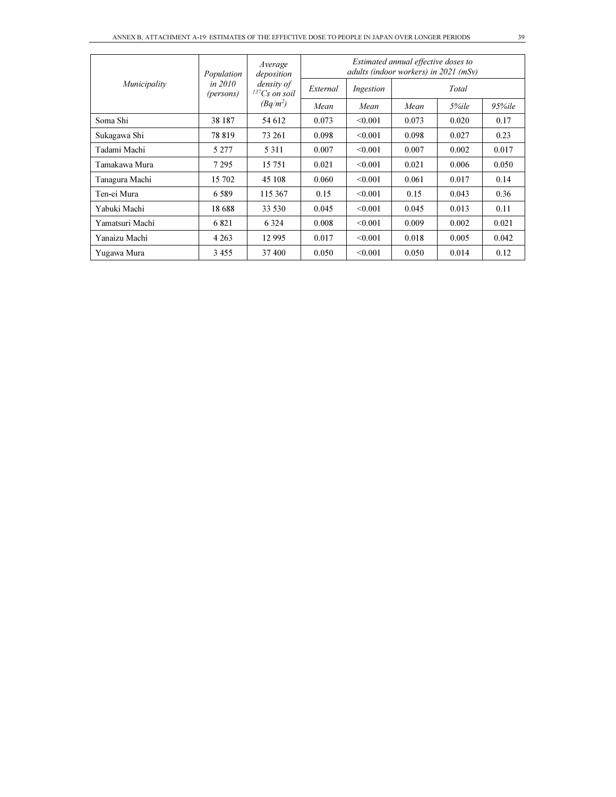|                 | Population           | Average<br>deposition<br>density of<br>$^{137}Cs$ on soil | Estimated annual effective doses to<br>adults (indoor workers) in 2021 (mSv) |           |       |       |            |  |  |
|-----------------|----------------------|-----------------------------------------------------------|------------------------------------------------------------------------------|-----------|-------|-------|------------|--|--|
| Municipality    | in 2010<br>(persons) |                                                           | External                                                                     | Ingestion |       | Total |            |  |  |
|                 |                      | $(Bq/m^2)$                                                | Mean                                                                         | Mean      | Mean  | 5%ile | $95\%$ ile |  |  |
| Soma Shi        | 38 187               | 54 612                                                    | 0.073                                                                        | < 0.001   | 0.073 | 0.020 | 0.17       |  |  |
| Sukagawa Shi    | 78 8 19              | 73 261                                                    | 0.098                                                                        | < 0.001   | 0.098 | 0.027 | 0.23       |  |  |
| Tadami Machi    | 5 2 7 7              | 5 3 1 1                                                   | 0.007                                                                        | < 0.001   | 0.007 | 0.002 | 0.017      |  |  |
| Tamakawa Mura   | 7 2 9 5              | 15 751                                                    | 0.021                                                                        | < 0.001   | 0.021 | 0.006 | 0.050      |  |  |
| Tanagura Machi  | 15 702               | 45 108                                                    | 0.060                                                                        | < 0.001   | 0.061 | 0.017 | 0.14       |  |  |
| Ten-ei Mura     | 6.589                | 115 367                                                   | 0.15                                                                         | < 0.001   | 0.15  | 0.043 | 0.36       |  |  |
| Yabuki Machi    | 18688                | 33 530                                                    | 0.045                                                                        | < 0.001   | 0.045 | 0.013 | 0.11       |  |  |
| Yamatsuri Machi | 6821                 | 6 3 2 4                                                   | 0.008                                                                        | < 0.001   | 0.009 | 0.002 | 0.021      |  |  |
| Yanaizu Machi   | 4 2 6 3              | 12 9 95                                                   | 0.017                                                                        | < 0.001   | 0.018 | 0.005 | 0.042      |  |  |
| Yugawa Mura     | 3455                 | 37400                                                     | 0.050                                                                        | < 0.001   | 0.050 | 0.014 | 0.12       |  |  |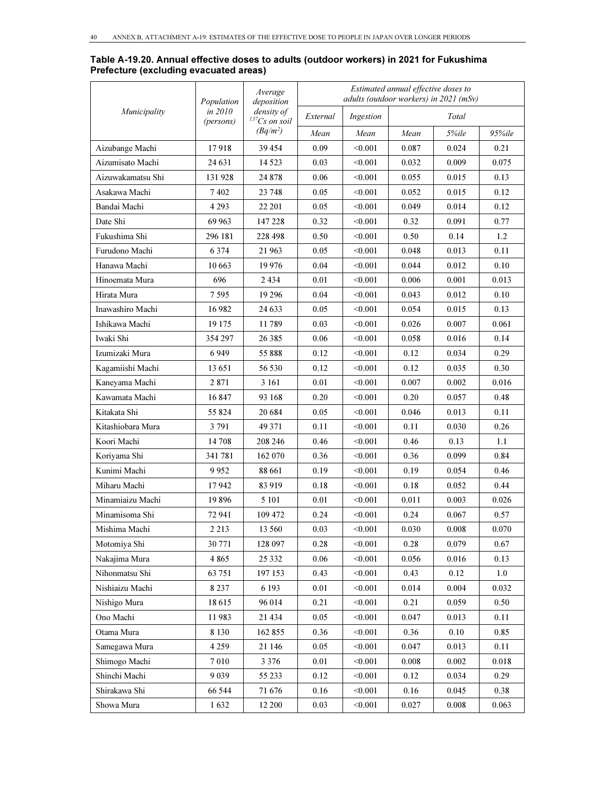#### Table A-19.20. Annual effective doses to adults (outdoor workers) in 2021 for Fukushima Prefecture (excluding evacuated areas)

|                   | Population           | Average<br>deposition              |          |           | Estimated annual effective doses to | adults (outdoor workers) in 2021 (mSv) |            |
|-------------------|----------------------|------------------------------------|----------|-----------|-------------------------------------|----------------------------------------|------------|
| Municipality      | in 2010<br>(persons) | density of<br>${}^{137}Cs$ on soil | External | Ingestion |                                     | Total                                  |            |
|                   |                      | $(Bq/m^2)$                         | Mean     | Mean      | Mean                                | 5%ile                                  | $95\%$ ile |
| Aizubange Machi   | 17918                | 39 454                             | 0.09     | < 0.001   | 0.087                               | 0.024                                  | 0.21       |
| Aizumisato Machi  | 24 631               | 14 5 23                            | 0.03     | < 0.001   | 0.032                               | 0.009                                  | 0.075      |
| Aizuwakamatsu Shi | 131 928              | 24 878                             | 0.06     | < 0.001   | 0.055                               | 0.015                                  | 0.13       |
| Asakawa Machi     | 7402                 | 23 748                             | 0.05     | < 0.001   | 0.052                               | 0.015                                  | 0.12       |
| Bandai Machi      | 4 2 9 3              | 22 201                             | 0.05     | < 0.001   | 0.049                               | 0.014                                  | 0.12       |
| Date Shi          | 69 963               | 147 228                            | 0.32     | < 0.001   | 0.32                                | 0.091                                  | 0.77       |
| Fukushima Shi     | 296 181              | 228 498                            | 0.50     | < 0.001   | 0.50                                | 0.14                                   | 1.2        |
| Furudono Machi    | 6 3 7 4              | 21 963                             | 0.05     | < 0.001   | 0.048                               | 0.013                                  | 0.11       |
| Hanawa Machi      | 10 663               | 19976                              | 0.04     | < 0.001   | 0.044                               | 0.012                                  | 0.10       |
| Hinoemata Mura    | 696                  | 2434                               | 0.01     | < 0.001   | 0.006                               | 0.001                                  | 0.013      |
| Hirata Mura       | 7 5 9 5              | 19 2 9 6                           | 0.04     | < 0.001   | 0.043                               | 0.012                                  | 0.10       |
| Inawashiro Machi  | 16 9 82              | 24 633                             | 0.05     | < 0.001   | 0.054                               | 0.015                                  | 0.13       |
| Ishikawa Machi    | 19 175               | 11789                              | 0.03     | < 0.001   | 0.026                               | 0.007                                  | 0.061      |
| Iwaki Shi         | 354 297              | 26 3 8 5                           | 0.06     | < 0.001   | 0.058                               | 0.016                                  | 0.14       |
| Izumizaki Mura    | 6949                 | 55 888                             | 0.12     | < 0.001   | 0.12                                | 0.034                                  | 0.29       |
| Kagamiishi Machi  | 13 651               | 56 530                             | 0.12     | < 0.001   | 0.12                                | 0.035                                  | 0.30       |
| Kaneyama Machi    | 2871                 | 3 16 1                             | 0.01     | < 0.001   | 0.007                               | 0.002                                  | 0.016      |
| Kawamata Machi    | 16847                | 93 168                             | 0.20     | < 0.001   | 0.20                                | 0.057                                  | 0.48       |
| Kitakata Shi      | 55 824               | 20 6 84                            | 0.05     | < 0.001   | 0.046                               | 0.013                                  | 0.11       |
| Kitashiobara Mura | 3 7 9 1              | 49 371                             | 0.11     | < 0.001   | 0.11                                | 0.030                                  | 0.26       |
| Koori Machi       | 14 708               | 208 246                            | 0.46     | < 0.001   | 0.46                                | 0.13                                   | 1.1        |
| Koriyama Shi      | 341781               | 162 070                            | 0.36     | < 0.001   | 0.36                                | 0.099                                  | 0.84       |
| Kunimi Machi      | 9952                 | 88 661                             | 0.19     | < 0.001   | 0.19                                | 0.054                                  | 0.46       |
| Miharu Machi      | 17942                | 83919                              | 0.18     | < 0.001   | 0.18                                | 0.052                                  | 0.44       |
| Minamiaizu Machi  | 19896                | 5 101                              | 0.01     | < 0.001   | 0.011                               | 0.003                                  | 0.026      |
| Minamisoma Shi    | 72 941               | 109 472                            | 0.24     | < 0.001   | 0.24                                | 0.067                                  | 0.57       |
| Mishima Machi     | 2 2 1 3              | 13 560                             | 0.03     | < 0.001   | 0.030                               | 0.008                                  | 0.070      |
| Motomiya Shi      | 30 771               | 128 097                            | 0.28     | < 0.001   | 0.28                                | 0.079                                  | 0.67       |
| Nakajima Mura     | 4 8 6 5              | 25 332                             | 0.06     | < 0.001   | 0.056                               | 0.016                                  | 0.13       |
| Nihonmatsu Shi    | 63 751               | 197 153                            | 0.43     | < 0.001   | 0.43                                | 0.12                                   | 1.0        |
| Nishiaizu Machi   | 8 2 3 7              | 6 1 9 3                            | 0.01     | < 0.001   | 0.014                               | 0.004                                  | 0.032      |
| Nishigo Mura      | 18615                | 96 014                             | 0.21     | < 0.001   | 0.21                                | 0.059                                  | 0.50       |
| Ono Machi         | 11983                | 21 434                             | $0.05\,$ | < 0.001   | 0.047                               | 0.013                                  | 0.11       |
| Otama Mura        | 8 1 3 0              | 162 855                            | 0.36     | < 0.001   | 0.36                                | 0.10                                   | 0.85       |
| Samegawa Mura     | 4 2 5 9              | 21 146                             | 0.05     | < 0.001   | 0.047                               | 0.013                                  | 0.11       |
| Shimogo Machi     | 7010                 | 3 3 7 6                            | 0.01     | < 0.001   | 0.008                               | 0.002                                  | 0.018      |
| Shinchi Machi     | 9 0 3 9              | 55 233                             | 0.12     | < 0.001   | 0.12                                | 0.034                                  | 0.29       |
| Shirakawa Shi     | 66 544               | 71676                              | 0.16     | < 0.001   | 0.16                                | 0.045                                  | 0.38       |
| Showa Mura        | 1632                 | 12 200                             | 0.03     | < 0.001   | 0.027                               | 0.008                                  | 0.063      |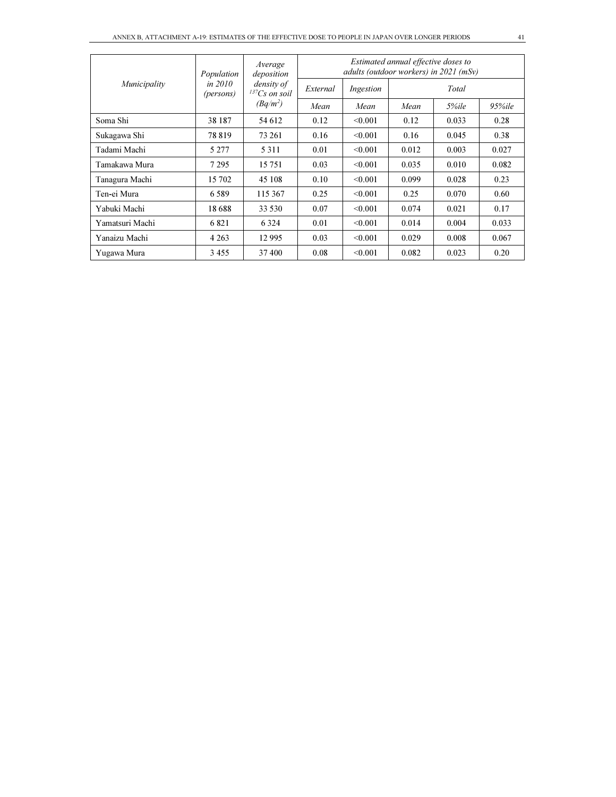| Municipality    | Population             | Average<br>deposition<br>density of<br>$^{137}Cs$ on soil | Estimated annual effective doses to<br>adults (outdoor workers) in $2021$ (mSv) |           |       |       |            |  |
|-----------------|------------------------|-----------------------------------------------------------|---------------------------------------------------------------------------------|-----------|-------|-------|------------|--|
|                 | in $2010$<br>(persons) |                                                           | External                                                                        | Ingestion |       | Total |            |  |
|                 |                        | $(Bq/m^2)$                                                | Mean                                                                            | Mean      | Mean  | 5%ile | $95\%$ ile |  |
| Soma Shi        | 38 187                 | 54 612                                                    | 0.12                                                                            | < 0.001   | 0.12  | 0.033 | 0.28       |  |
| Sukagawa Shi    | 78819                  | 73 261                                                    | 0.16                                                                            | < 0.001   | 0.16  | 0.045 | 0.38       |  |
| Tadami Machi    | 5 2 7 7                | 5 3 1 1                                                   | 0.01                                                                            | < 0.001   | 0.012 | 0.003 | 0.027      |  |
| Tamakawa Mura   | 7 2 9 5                | 15 751                                                    | 0.03                                                                            | < 0.001   | 0.035 | 0.010 | 0.082      |  |
| Tanagura Machi  | 15 702                 | 45 108                                                    | 0.10                                                                            | < 0.001   | 0.099 | 0.028 | 0.23       |  |
| Ten-ei Mura     | 6589                   | 115 367                                                   | 0.25                                                                            | < 0.001   | 0.25  | 0.070 | 0.60       |  |
| Yabuki Machi    | 18688                  | 33 530                                                    | 0.07                                                                            | < 0.001   | 0.074 | 0.021 | 0.17       |  |
| Yamatsuri Machi | 6821                   | 6 3 2 4                                                   | 0.01                                                                            | < 0.001   | 0.014 | 0.004 | 0.033      |  |
| Yanaizu Machi   | 4 2 6 3                | 12 9 95                                                   | 0.03                                                                            | < 0.001   | 0.029 | 0.008 | 0.067      |  |
| Yugawa Mura     | 3455                   | 37400                                                     | 0.08                                                                            | < 0.001   | 0.082 | 0.023 | 0.20       |  |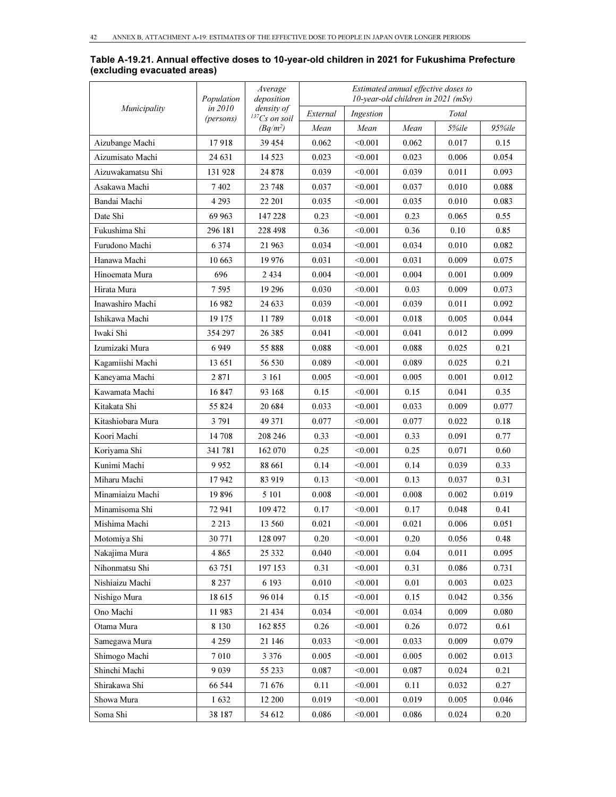|                   | Population | Average<br>deposition            |          |           | Estimated annual effective doses to<br>10-year-old children in 2021 (mSv) |       |          |
|-------------------|------------|----------------------------------|----------|-----------|---------------------------------------------------------------------------|-------|----------|
| Municipality      | in 2010    | density of<br>$^{137}Cs$ on soil | External | Ingestion |                                                                           | Total |          |
|                   | (persons)  | $(Bq/m^2)$                       | Mean     | Mean      | Mean                                                                      | 5%ile | 95%ile   |
| Aizubange Machi   | 17918      | 39 454                           | 0.062    | < 0.001   | 0.062                                                                     | 0.017 | 0.15     |
| Aizumisato Machi  | 24 631     | 14 5 23                          | 0.023    | < 0.001   | 0.023                                                                     | 0.006 | 0.054    |
| Aizuwakamatsu Shi | 131928     | 24 878                           | 0.039    | < 0.001   | 0.039                                                                     | 0.011 | 0.093    |
| Asakawa Machi     | 7402       | 23 748                           | 0.037    | < 0.001   | 0.037                                                                     | 0.010 | 0.088    |
| Bandai Machi      | 4 2 9 3    | 22 201                           | 0.035    | < 0.001   | 0.035                                                                     | 0.010 | 0.083    |
| Date Shi          | 69 963     | 147 228                          | 0.23     | < 0.001   | 0.23                                                                      | 0.065 | 0.55     |
| Fukushima Shi     | 296 181    | 228 498                          | 0.36     | < 0.001   | 0.36                                                                      | 0.10  | 0.85     |
| Furudono Machi    | 6 3 7 4    | 21 963                           | 0.034    | < 0.001   | 0.034                                                                     | 0.010 | 0.082    |
| Hanawa Machi      | 10 663     | 19 9 76                          | 0.031    | < 0.001   | 0.031                                                                     | 0.009 | 0.075    |
| Hinoemata Mura    | 696        | 2 4 3 4                          | 0.004    | < 0.001   | 0.004                                                                     | 0.001 | 0.009    |
| Hirata Mura       | 7595       | 19 29 6                          | 0.030    | < 0.001   | 0.03                                                                      | 0.009 | 0.073    |
| Inawashiro Machi  | 16 982     | 24 633                           | 0.039    | < 0.001   | 0.039                                                                     | 0.011 | 0.092    |
| Ishikawa Machi    | 19 175     | 11789                            | 0.018    | < 0.001   | 0.018                                                                     | 0.005 | 0.044    |
| Iwaki Shi         | 354 297    | 26 385                           | 0.041    | < 0.001   | 0.041                                                                     | 0.012 | 0.099    |
| Izumizaki Mura    | 6 9 4 9    | 55 888                           | 0.088    | < 0.001   | 0.088                                                                     | 0.025 | 0.21     |
| Kagamiishi Machi  | 13 651     | 56 530                           | 0.089    | < 0.001   | 0.089                                                                     | 0.025 | 0.21     |
| Kaneyama Machi    | 2 871      | 3 16 1                           | 0.005    | < 0.001   | 0.005                                                                     | 0.001 | 0.012    |
| Kawamata Machi    | 16847      | 93 168                           | 0.15     | < 0.001   | 0.15                                                                      | 0.041 | 0.35     |
| Kitakata Shi      | 55 824     | 20 684                           | 0.033    | < 0.001   | 0.033                                                                     | 0.009 | 0.077    |
| Kitashiobara Mura | 3 791      | 49 371                           | 0.077    | < 0.001   | 0.077                                                                     | 0.022 | 0.18     |
| Koori Machi       | 14 708     | 208 246                          | 0.33     | < 0.001   | 0.33                                                                      | 0.091 | 0.77     |
| Koriyama Shi      | 341 781    | 162 070                          | 0.25     | < 0.001   | 0.25                                                                      | 0.071 | 0.60     |
| Kunimi Machi      | 9952       | 88 661                           | 0.14     | < 0.001   | 0.14                                                                      | 0.039 | 0.33     |
| Miharu Machi      | 17942      | 83 919                           | 0.13     | < 0.001   | 0.13                                                                      | 0.037 | 0.31     |
| Minamiaizu Machi  | 19896      | 5 10 1                           | 0.008    | < 0.001   | 0.008                                                                     | 0.002 | 0.019    |
| Minamisoma Shi    | 72 941     | 109 472                          | 0.17     | < 0.001   | 0.17                                                                      | 0.048 | 0.41     |
| Mishima Machi     | 2 2 1 3    | 13 560                           | 0.021    | < 0.001   | 0.021                                                                     | 0.006 | 0.051    |
| Motomiya Shi      | 30 771     | 128 097                          | 0.20     | < 0.001   | $0.20\,$                                                                  | 0.056 | $0.48\,$ |
| Nakajima Mura     | 4 8 6 5    | 25 332                           | 0.040    | < 0.001   | 0.04                                                                      | 0.011 | 0.095    |
| Nihonmatsu Shi    | 63 751     | 197 153                          | 0.31     | < 0.001   | 0.31                                                                      | 0.086 | 0.731    |
| Nishiaizu Machi   | 8 2 3 7    | 6 193                            | 0.010    | < 0.001   | 0.01                                                                      | 0.003 | 0.023    |
| Nishigo Mura      | 18615      | 96 014                           | 0.15     | < 0.001   | 0.15                                                                      | 0.042 | 0.356    |
| Ono Machi         | 11983      | 21 434                           | 0.034    | < 0.001   | 0.034                                                                     | 0.009 | 0.080    |
| Otama Mura        | 8 1 3 0    | 162 855                          | 0.26     | < 0.001   | 0.26                                                                      | 0.072 | 0.61     |
| Samegawa Mura     | 4 2 5 9    | 21 146                           | 0.033    | < 0.001   | 0.033                                                                     | 0.009 | 0.079    |
| Shimogo Machi     | 7 0 1 0    | 3 3 7 6                          | 0.005    | < 0.001   | 0.005                                                                     | 0.002 | 0.013    |
| Shinchi Machi     | 9 0 3 9    | 55 233                           | 0.087    | < 0.001   | 0.087                                                                     | 0.024 | 0.21     |
| Shirakawa Shi     | 66 544     | 71 676                           | 0.11     | < 0.001   | 0.11                                                                      | 0.032 | 0.27     |
| Showa Mura        | 1632       | 12 200                           | 0.019    | < 0.001   | 0.019                                                                     | 0.005 | 0.046    |
| Soma Shi          | 38 187     | 54 612                           | 0.086    | < 0.001   | 0.086                                                                     | 0.024 | 0.20     |

Table A-19.21. Annual effective doses to 10-year-old children in 2021 for Fukushima Prefecture (excluding evacuated areas)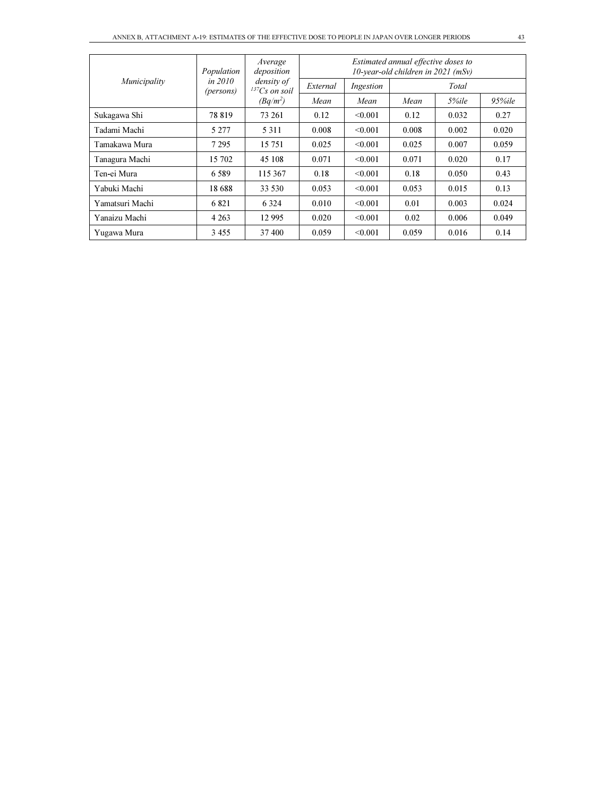| Municipality    | Population           | Average<br>deposition<br>density of<br>$^{137}Cs$ on soil | Estimated annual effective doses to<br>$10$ -year-old children in $2021$ (mSv) |           |       |       |        |  |
|-----------------|----------------------|-----------------------------------------------------------|--------------------------------------------------------------------------------|-----------|-------|-------|--------|--|
|                 | in 2010<br>(persons) |                                                           | External                                                                       | Ingestion | Total |       |        |  |
|                 |                      | $(Bq/m^2)$                                                | Mean                                                                           | Mean      | Mean  | 5%ile | 95%ile |  |
| Sukagawa Shi    | 78819                | 73 261                                                    | 0.12                                                                           | < 0.001   | 0.12  | 0.032 | 0.27   |  |
| Tadami Machi    | 5 277                | 5 3 1 1                                                   | 0.008                                                                          | < 0.001   | 0.008 | 0.002 | 0.020  |  |
| Tamakawa Mura   | 7 2 9 5              | 15 751                                                    | 0.025                                                                          | < 0.001   | 0.025 | 0.007 | 0.059  |  |
| Tanagura Machi  | 15 702               | 45 108                                                    | 0.071                                                                          | < 0.001   | 0.071 | 0.020 | 0.17   |  |
| Ten-ei Mura     | 6589                 | 115 367                                                   | 0.18                                                                           | < 0.001   | 0.18  | 0.050 | 0.43   |  |
| Yabuki Machi    | 18688                | 33 530                                                    | 0.053                                                                          | < 0.001   | 0.053 | 0.015 | 0.13   |  |
| Yamatsuri Machi | 6821                 | 6 3 2 4                                                   | 0.010                                                                          | < 0.001   | 0.01  | 0.003 | 0.024  |  |
| Yanaizu Machi   | 4 2 6 3              | 12 9 95                                                   | 0.020                                                                          | < 0.001   | 0.02  | 0.006 | 0.049  |  |
| Yugawa Mura     | 3 4 5 5              | 37 400                                                    | 0.059                                                                          | < 0.001   | 0.059 | 0.016 | 0.14   |  |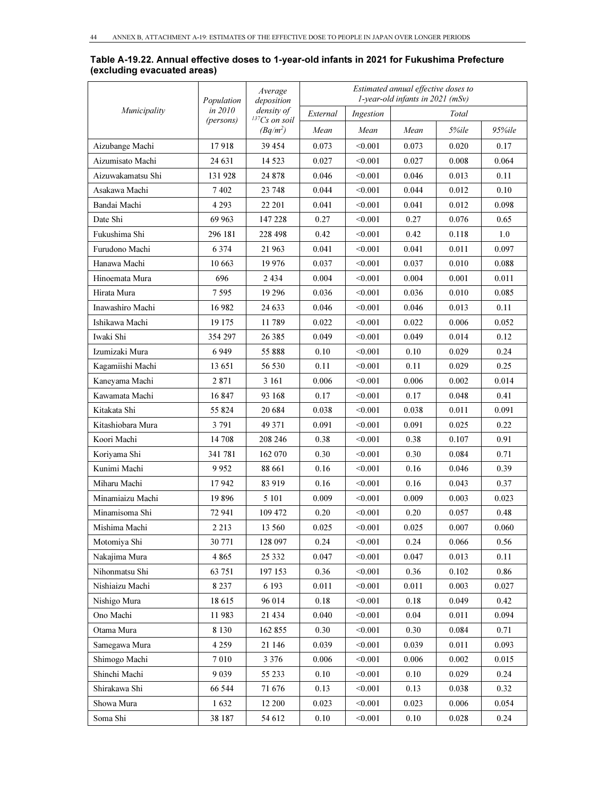|                   | Population | Average<br>deposition            | Estimated annual effective doses to<br>1-year-old infants in 2021 (mSv) |                |          |       |        |  |
|-------------------|------------|----------------------------------|-------------------------------------------------------------------------|----------------|----------|-------|--------|--|
| Municipality      | in 2010    | density of                       | External                                                                | Ingestion      |          | Total |        |  |
|                   | (persons)  | $^{137}Cs$ on soil<br>$(Bq/m^2)$ | Mean                                                                    | Mean           | Mean     | 5%ile | 95%ile |  |
| Aizubange Machi   | 17918      | 39 454                           | 0.073                                                                   | < 0.001        | 0.073    | 0.020 | 0.17   |  |
| Aizumisato Machi  | 24 631     | 14 5 23                          | 0.027                                                                   | < 0.001        | 0.027    | 0.008 | 0.064  |  |
| Aizuwakamatsu Shi | 131 928    | 24 878                           | 0.046                                                                   | < 0.001        | 0.046    | 0.013 | 0.11   |  |
| Asakawa Machi     | 7402       | 23 748                           | 0.044                                                                   | < 0.001        | 0.044    | 0.012 | 0.10   |  |
| Bandai Machi      | 4 2 9 3    | 22 201                           | 0.041                                                                   | < 0.001        | 0.041    | 0.012 | 0.098  |  |
| Date Shi          | 69 963     | 147 228                          | 0.27                                                                    | < 0.001        | 0.27     | 0.076 | 0.65   |  |
| Fukushima Shi     | 296 181    | 228 498                          | 0.42                                                                    | < 0.001        | 0.42     | 0.118 | 1.0    |  |
| Furudono Machi    | 6 3 7 4    | 21 963                           | 0.041                                                                   | < 0.001        | 0.041    | 0.011 | 0.097  |  |
| Hanawa Machi      | 10 663     | 19 9 76                          | 0.037                                                                   | < 0.001        | 0.037    | 0.010 | 0.088  |  |
| Hinoemata Mura    | 696        | 2 4 3 4                          | 0.004                                                                   | < 0.001        | 0.004    | 0.001 | 0.011  |  |
| Hirata Mura       | 7 595      | 19 29 6                          | 0.036                                                                   | < 0.001        | 0.036    | 0.010 | 0.085  |  |
| Inawashiro Machi  | 16 982     | 24 633                           | 0.046                                                                   | < 0.001        | 0.046    | 0.013 | 0.11   |  |
| Ishikawa Machi    | 19 175     | 11789                            | 0.022                                                                   | < 0.001        | 0.022    | 0.006 | 0.052  |  |
| Iwaki Shi         | 354 297    | 26 385                           | 0.049                                                                   | $<$ 0.001 $\,$ | 0.049    | 0.014 | 0.12   |  |
| Izumizaki Mura    | 6949       | 55 888                           | 0.10                                                                    | < 0.001        | 0.10     | 0.029 | 0.24   |  |
| Kagamiishi Machi  | 13 651     | 56 530                           | 0.11                                                                    | < 0.001        | 0.11     | 0.029 | 0.25   |  |
| Kaneyama Machi    | 2871       | 3 1 6 1                          | 0.006                                                                   | < 0.001        | 0.006    | 0.002 | 0.014  |  |
| Kawamata Machi    | 16847      | 93 168                           | 0.17                                                                    | < 0.001        | 0.17     | 0.048 | 0.41   |  |
| Kitakata Shi      | 55 824     | 20 684                           | 0.038                                                                   | < 0.001        | 0.038    | 0.011 | 0.091  |  |
| Kitashiobara Mura | 3 7 9 1    | 49 371                           | 0.091                                                                   | < 0.001        | 0.091    | 0.025 | 0.22   |  |
| Koori Machi       | 14 708     | 208 246                          | 0.38                                                                    | $<$ 0.001 $\,$ | 0.38     | 0.107 | 0.91   |  |
| Koriyama Shi      | 341 781    | 162 070                          | 0.30                                                                    | < 0.001        | 0.30     | 0.084 | 0.71   |  |
| Kunimi Machi      | 9952       | 88 661                           | 0.16                                                                    | < 0.001        | 0.16     | 0.046 | 0.39   |  |
| Miharu Machi      | 17942      | 83 919                           | 0.16                                                                    | < 0.001        | 0.16     | 0.043 | 0.37   |  |
| Minamiaizu Machi  | 19896      | 5 1 0 1                          | 0.009                                                                   | < 0.001        | 0.009    | 0.003 | 0.023  |  |
| Minamisoma Shi    | 72 941     | 109 472                          | 0.20                                                                    | < 0.001        | 0.20     | 0.057 | 0.48   |  |
| Mishima Machi     | 2 2 1 3    | 13 560                           | 0.025                                                                   | < 0.001        | 0.025    | 0.007 | 0.060  |  |
| Motomiya Shi      | 30 771     | 128 097                          | 0.24                                                                    | < 0.001        | 0.24     | 0.066 | 0.56   |  |
| Nakajima Mura     | 4 8 6 5    | 25 332                           | 0.047                                                                   | < 0.001        | 0.047    | 0.013 | 0.11   |  |
| Nihonmatsu Shi    | 63 751     | 197 153                          | 0.36                                                                    | < 0.001        | 0.36     | 0.102 | 0.86   |  |
| Nishiaizu Machi   | 8 2 3 7    | 6 1 9 3                          | 0.011                                                                   | < 0.001        | 0.011    | 0.003 | 0.027  |  |
| Nishigo Mura      | 18615      | 96 014                           | 0.18                                                                    | < 0.001        | 0.18     | 0.049 | 0.42   |  |
| Ono Machi         | 11983      | 21 434                           | 0.040                                                                   | < 0.001        | 0.04     | 0.011 | 0.094  |  |
| Otama Mura        | 8 1 3 0    | 162 855                          | 0.30                                                                    | < 0.001        | 0.30     | 0.084 | 0.71   |  |
| Samegawa Mura     | 4 2 5 9    | 21 146                           | 0.039                                                                   | < 0.001        | 0.039    | 0.011 | 0.093  |  |
| Shimogo Machi     | 7010       | 3 3 7 6                          | 0.006                                                                   | < 0.001        | 0.006    | 0.002 | 0.015  |  |
| Shinchi Machi     | 9 0 3 9    | 55 233                           | 0.10                                                                    | < 0.001        | $0.10\,$ | 0.029 | 0.24   |  |
| Shirakawa Shi     | 66 544     | 71 676                           | 0.13                                                                    | < 0.001        | 0.13     | 0.038 | 0.32   |  |
| Showa Mura        | 1632       | 12 200                           | 0.023                                                                   | < 0.001        | 0.023    | 0.006 | 0.054  |  |
| Soma Shi          | 38 187     | 54 612                           | 0.10                                                                    | < 0.001        | 0.10     | 0.028 | 0.24   |  |

#### Table A-19.22. Annual effective doses to 1-year-old infants in 2021 for Fukushima Prefecture (excluding evacuated areas)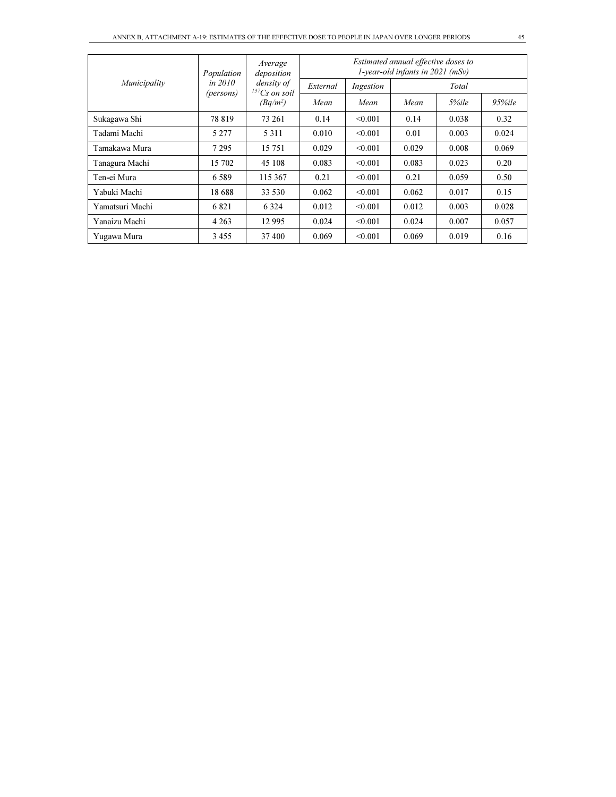| Municipality    | Population             | Average<br>deposition<br>density of<br>$137Cs$ on soil | Estimated annual effective doses to<br>1-year-old infants in $2021$ (mSy) |           |       |       |            |  |
|-----------------|------------------------|--------------------------------------------------------|---------------------------------------------------------------------------|-----------|-------|-------|------------|--|
|                 | in $2010$<br>(persons) |                                                        | External                                                                  | Ingestion |       | Total |            |  |
|                 |                        | $(Bq/m^2)$                                             | Mean                                                                      | Mean      | Mean  | 5%ile | $95\%$ ile |  |
| Sukagawa Shi    | 78 819                 | 73 261                                                 | 0.14                                                                      | < 0.001   | 0.14  | 0.038 | 0.32       |  |
| Tadami Machi    | 5 2 7 7                | 5 3 1 1                                                | 0.010                                                                     | < 0.001   | 0.01  | 0.003 | 0.024      |  |
| Tamakawa Mura   | 7 2 9 5                | 15 751                                                 | 0.029                                                                     | < 0.001   | 0.029 | 0.008 | 0.069      |  |
| Tanagura Machi  | 15 702                 | 45 108                                                 | 0.083                                                                     | < 0.001   | 0.083 | 0.023 | 0.20       |  |
| Ten-ei Mura     | 6.589                  | 115 367                                                | 0.21                                                                      | < 0.001   | 0.21  | 0.059 | 0.50       |  |
| Yabuki Machi    | 18.688                 | 33 530                                                 | 0.062                                                                     | < 0.001   | 0.062 | 0.017 | 0.15       |  |
| Yamatsuri Machi | 6821                   | 6 3 2 4                                                | 0.012                                                                     | < 0.001   | 0.012 | 0.003 | 0.028      |  |
| Yanaizu Machi   | 4 2 6 3                | 12 9 95                                                | 0.024                                                                     | < 0.001   | 0.024 | 0.007 | 0.057      |  |
| Yugawa Mura     | 3455                   | 37 400                                                 | 0.069                                                                     | < 0.001   | 0.069 | 0.019 | 0.16       |  |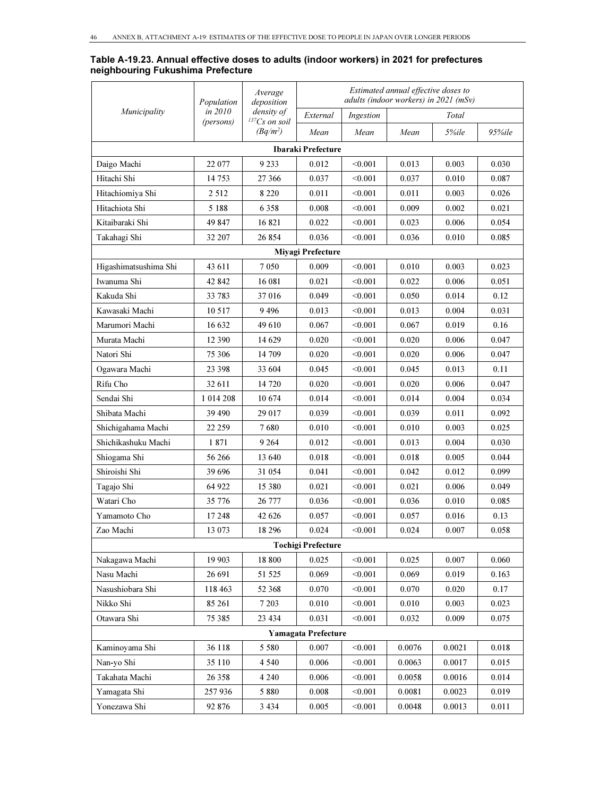#### Table A-19.23. Annual effective doses to adults (indoor workers) in 2021 for prefectures neighbouring Fukushima Prefecture

|                       | Population | Average<br>deposition            |                            |           | Estimated annual effective doses to<br>adults (indoor workers) in 2021 (mSv) |        |        |
|-----------------------|------------|----------------------------------|----------------------------|-----------|------------------------------------------------------------------------------|--------|--------|
| Municipality          | in 2010    | density of<br>$^{137}Cs$ on soil | External                   | Ingestion |                                                                              | Total  |        |
|                       | (persons)  | $(Bq/m^2)$                       | Mean                       | Mean      | Mean                                                                         | 5%ile  | 95%ile |
|                       |            |                                  | <b>Ibaraki Prefecture</b>  |           |                                                                              |        |        |
| Daigo Machi           | 22 077     | 9 2 3 3                          | 0.012                      | < 0.001   | 0.013                                                                        | 0.003  | 0.030  |
| Hitachi Shi           | 14 753     | 27 366                           | 0.037                      | < 0.001   | 0.037                                                                        | 0.010  | 0.087  |
| Hitachiomiya Shi      | 2 5 1 2    | 8 2 2 0                          | 0.011                      | < 0.001   | 0.011                                                                        | 0.003  | 0.026  |
| Hitachiota Shi        | 5 1 8 8    | 6 3 5 8                          | 0.008                      | < 0.001   | 0.009                                                                        | 0.002  | 0.021  |
| Kitaibaraki Shi       | 49 847     | 16821                            | 0.022                      | < 0.001   | 0.023                                                                        | 0.006  | 0.054  |
| Takahagi Shi          | 32 207     | 26 854                           | 0.036                      | < 0.001   | 0.036                                                                        | 0.010  | 0.085  |
|                       |            |                                  | Miyagi Prefecture          |           |                                                                              |        |        |
| Higashimatsushima Shi | 43 611     | 7 0 5 0                          | 0.009                      | < 0.001   | 0.010                                                                        | 0.003  | 0.023  |
| Iwanuma Shi           | 42 842     | 16 081                           | 0.021                      | < 0.001   | 0.022                                                                        | 0.006  | 0.051  |
| Kakuda Shi            | 33 783     | 37016                            | 0.049                      | < 0.001   | 0.050                                                                        | 0.014  | 0.12   |
| Kawasaki Machi        | 10 5 17    | 9496                             | 0.013                      | < 0.001   | 0.013                                                                        | 0.004  | 0.031  |
| Marumori Machi        | 16 632     | 49 610                           | 0.067                      | < 0.001   | 0.067                                                                        | 0.019  | 0.16   |
| Murata Machi          | 12 390     | 14 629                           | 0.020                      | < 0.001   | 0.020                                                                        | 0.006  | 0.047  |
| Natori Shi            | 75 306     | 14 709                           | 0.020                      | < 0.001   | 0.020                                                                        | 0.006  | 0.047  |
| Ogawara Machi         | 23 398     | 33 604                           | 0.045                      | < 0.001   | 0.045                                                                        | 0.013  | 0.11   |
| Rifu Cho              | 32 611     | 14 720                           | 0.020                      | < 0.001   | 0.020                                                                        | 0.006  | 0.047  |
| Sendai Shi            | 1 014 208  | 10 674                           | 0.014                      | < 0.001   | 0.014                                                                        | 0.004  | 0.034  |
| Shibata Machi         | 39 490     | 29 017                           | 0.039                      | < 0.001   | 0.039                                                                        | 0.011  | 0.092  |
| Shichigahama Machi    | 22 259     | 7680                             | 0.010                      | < 0.001   | 0.010                                                                        | 0.003  | 0.025  |
| Shichikashuku Machi   | 1871       | 9 2 6 4                          | 0.012                      | < 0.001   | 0.013                                                                        | 0.004  | 0.030  |
| Shiogama Shi          | 56 266     | 13 640                           | 0.018                      | < 0.001   | 0.018                                                                        | 0.005  | 0.044  |
| Shiroishi Shi         | 39 696     | 31 054                           | 0.041                      | < 0.001   | 0.042                                                                        | 0.012  | 0.099  |
| Tagajo Shi            | 64 922     | 15 380                           | 0.021                      | < 0.001   | 0.021                                                                        | 0.006  | 0.049  |
| Watari Cho            | 35 776     | 26 777                           | 0.036                      | < 0.001   | 0.036                                                                        | 0.010  | 0.085  |
| Yamamoto Cho          | 17 248     | 42 626                           | 0.057                      | < 0.001   | 0.057                                                                        | 0.016  | 0.13   |
| Zao Machi             | 13 073     | 18 29 6                          | 0.024                      | < 0.001   | 0.024                                                                        | 0.007  | 0.058  |
|                       |            |                                  | <b>Tochigi Prefecture</b>  |           |                                                                              |        |        |
| Nakagawa Machi        | 19 903     | 18 800                           | 0.025                      | < 0.001   | 0.025                                                                        | 0.007  | 0.060  |
| Nasu Machi            | 26 691     | 51 525                           | 0.069                      | < 0.001   | 0.069                                                                        | 0.019  | 0.163  |
| Nasushiobara Shi      | 118 463    | 52 368                           | 0.070                      | < 0.001   | 0.070                                                                        | 0.020  | 0.17   |
| Nikko Shi             | 85 261     | 7 2 0 3                          | 0.010                      | < 0.001   | 0.010                                                                        | 0.003  | 0.023  |
| Otawara Shi           | 75 385     | 23 4 34                          | 0.031                      | < 0.001   | 0.032                                                                        | 0.009  | 0.075  |
|                       |            |                                  | <b>Yamagata Prefecture</b> |           |                                                                              |        |        |
| Kaminoyama Shi        | 36 118     | 5 5 8 0                          | 0.007                      | < 0.001   | 0.0076                                                                       | 0.0021 | 0.018  |
| Nan-yo Shi            | 35 110     | 4 5 4 0                          | 0.006                      | < 0.001   | 0.0063                                                                       | 0.0017 | 0.015  |
| Takahata Machi        | 26 358     | 4 2 4 0                          | 0.006                      | < 0.001   | 0.0058                                                                       | 0.0016 | 0.014  |
| Yamagata Shi          | 257 936    | 5 8 8 0                          | 0.008                      | < 0.001   | 0.0081                                                                       | 0.0023 | 0.019  |
| Yonezawa Shi          | 92 876     | 3 4 3 4                          | 0.005                      | < 0.001   | 0.0048                                                                       | 0.0013 | 0.011  |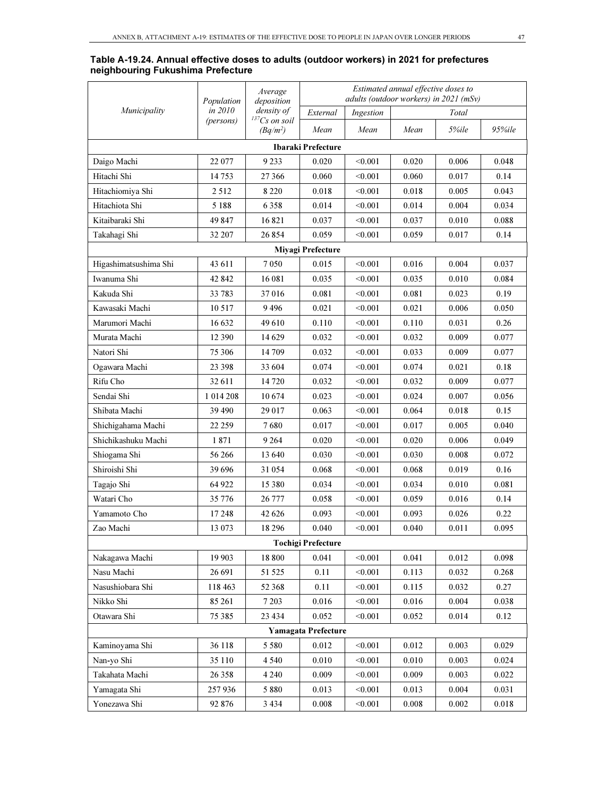|                       | Population | Average<br>deposition            | Estimated annual effective doses to<br>adults (outdoor workers) in 2021 (mSv) |           |       |       |        |  |  |  |
|-----------------------|------------|----------------------------------|-------------------------------------------------------------------------------|-----------|-------|-------|--------|--|--|--|
| Municipality          | in 2010    | density of                       | External                                                                      | Ingestion |       | Total |        |  |  |  |
|                       | (persons)  | $^{137}Cs$ on soil<br>$(Bq/m^2)$ | Mean                                                                          | Mean      | Mean  | 5%ile | 95%ile |  |  |  |
|                       |            |                                  | Ibaraki Prefecture                                                            |           |       |       |        |  |  |  |
| Daigo Machi           | 22 077     | 9 2 3 3                          | 0.020                                                                         | < 0.001   | 0.020 | 0.006 | 0.048  |  |  |  |
| Hitachi Shi           | 14753      | 27 366                           | 0.060                                                                         | < 0.001   | 0.060 | 0.017 | 0.14   |  |  |  |
| Hitachiomiya Shi      | 2 5 1 2    | 8 2 2 0                          | 0.018                                                                         | < 0.001   | 0.018 | 0.005 | 0.043  |  |  |  |
| Hitachiota Shi        | 5 1 8 8    | 6358                             | 0.014                                                                         | < 0.001   | 0.014 | 0.004 | 0.034  |  |  |  |
| Kitaibaraki Shi       | 49 847     | 16821                            | 0.037                                                                         | < 0.001   | 0.037 | 0.010 | 0.088  |  |  |  |
| Takahagi Shi          | 32 207     | 26 854                           | 0.059                                                                         | < 0.001   | 0.059 | 0.017 | 0.14   |  |  |  |
| Miyagi Prefecture     |            |                                  |                                                                               |           |       |       |        |  |  |  |
| Higashimatsushima Shi | 43 611     | 7050                             | 0.015                                                                         | < 0.001   | 0.016 | 0.004 | 0.037  |  |  |  |
| Iwanuma Shi           | 42 842     | 16 08 1                          | 0.035                                                                         | < 0.001   | 0.035 | 0.010 | 0.084  |  |  |  |
| Kakuda Shi            | 33 783     | 37016                            | 0.081                                                                         | < 0.001   | 0.081 | 0.023 | 0.19   |  |  |  |
| Kawasaki Machi        | 10 5 17    | 9496                             | 0.021                                                                         | < 0.001   | 0.021 | 0.006 | 0.050  |  |  |  |
| Marumori Machi        | 16 632     | 49 610                           | 0.110                                                                         | < 0.001   | 0.110 | 0.031 | 0.26   |  |  |  |
| Murata Machi          | 12 390     | 14 629                           | 0.032                                                                         | < 0.001   | 0.032 | 0.009 | 0.077  |  |  |  |
| Natori Shi            | 75 306     | 14 709                           | 0.032                                                                         | < 0.001   | 0.033 | 0.009 | 0.077  |  |  |  |
| Ogawara Machi         | 23 3 98    | 33 604                           | 0.074                                                                         | < 0.001   | 0.074 | 0.021 | 0.18   |  |  |  |
| Rifu Cho              | 32 611     | 14 720                           | 0.032                                                                         | < 0.001   | 0.032 | 0.009 | 0.077  |  |  |  |
| Sendai Shi            | 1 014 208  | 10674                            | 0.023                                                                         | < 0.001   | 0.024 | 0.007 | 0.056  |  |  |  |
| Shibata Machi         | 39 490     | 29 017                           | 0.063                                                                         | < 0.001   | 0.064 | 0.018 | 0.15   |  |  |  |
| Shichigahama Machi    | 22 259     | 7680                             | 0.017                                                                         | < 0.001   | 0.017 | 0.005 | 0.040  |  |  |  |
| Shichikashuku Machi   | 1871       | 9 2 6 4                          | 0.020                                                                         | < 0.001   | 0.020 | 0.006 | 0.049  |  |  |  |
| Shiogama Shi          | 56 266     | 13 640                           | 0.030                                                                         | < 0.001   | 0.030 | 0.008 | 0.072  |  |  |  |
| Shiroishi Shi         | 39696      | 31 054                           | 0.068                                                                         | < 0.001   | 0.068 | 0.019 | 0.16   |  |  |  |
| Tagajo Shi            | 64 922     | 15 380                           | 0.034                                                                         | < 0.001   | 0.034 | 0.010 | 0.081  |  |  |  |
| Watari Cho            | 35 776     | 26 777                           | 0.058                                                                         | < 0.001   | 0.059 | 0.016 | 0.14   |  |  |  |
| Yamamoto Cho          | 17 248     | 42 626                           | 0.093                                                                         | < 0.001   | 0.093 | 0.026 | 0.22   |  |  |  |
| Zao Machi             | 13 073     | 18 29 6                          | 0.040                                                                         | < 0.001   | 0.040 | 0.011 | 0.095  |  |  |  |
|                       |            |                                  | <b>Tochigi Prefecture</b>                                                     |           |       |       |        |  |  |  |
| Nakagawa Machi        | 19 903     | 18 800                           | 0.041                                                                         | < 0.001   | 0.041 | 0.012 | 0.098  |  |  |  |
| Nasu Machi            | 26 691     | 51 525                           | 0.11                                                                          | < 0.001   | 0.113 | 0.032 | 0.268  |  |  |  |
| Nasushiobara Shi      | 118 463    | 52 368                           | 0.11                                                                          | < 0.001   | 0.115 | 0.032 | 0.27   |  |  |  |
| Nikko Shi             | 85 261     | 7 2 0 3                          | 0.016                                                                         | < 0.001   | 0.016 | 0.004 | 0.038  |  |  |  |
| Otawara Shi           | 75 385     | 23 4 34                          | 0.052                                                                         | < 0.001   | 0.052 | 0.014 | 0.12   |  |  |  |
|                       |            |                                  | <b>Yamagata Prefecture</b>                                                    |           |       |       |        |  |  |  |
| Kaminoyama Shi        | 36 118     | 5 5 8 0                          | 0.012                                                                         | < 0.001   | 0.012 | 0.003 | 0.029  |  |  |  |
| Nan-yo Shi            | 35 110     | 4 5 4 0                          | 0.010                                                                         | < 0.001   | 0.010 | 0.003 | 0.024  |  |  |  |
| Takahata Machi        | 26 3 5 8   | 4 2 4 0                          | 0.009                                                                         | < 0.001   | 0.009 | 0.003 | 0.022  |  |  |  |
| Yamagata Shi          | 257936     | 5 8 8 0                          | 0.013                                                                         | < 0.001   | 0.013 | 0.004 | 0.031  |  |  |  |
| Yonezawa Shi          | 92 876     | 3 4 3 4                          | 0.008                                                                         | < 0.001   | 0.008 | 0.002 | 0.018  |  |  |  |

#### Table A-19.24. Annual effective doses to adults (outdoor workers) in 2021 for prefectures neighbouring Fukushima Prefecture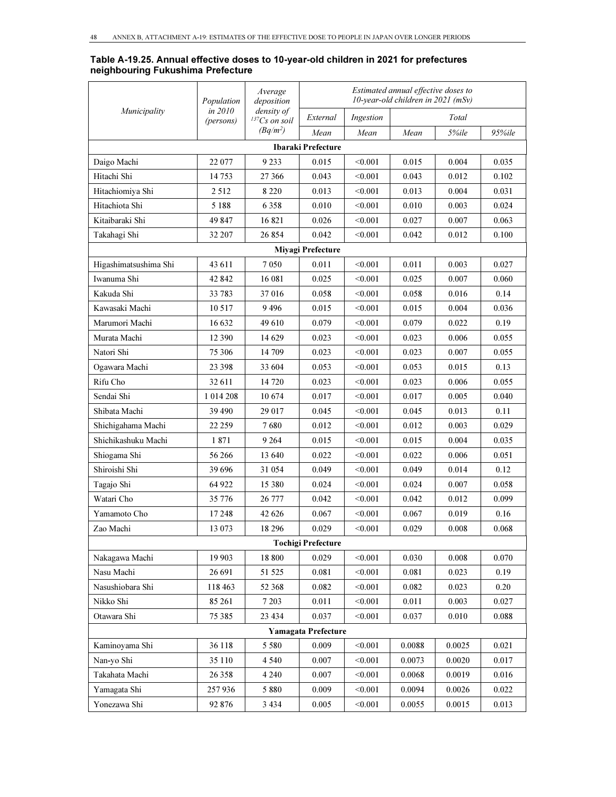#### Table A-19.25. Annual effective doses to 10-year-old children in 2021 for prefectures neighbouring Fukushima Prefecture

|                       | Population           | Average<br>deposition              | Estimated annual effective doses to<br>$10$ -year-old children in 2021 (mSv) |           |        |        |        |  |  |  |
|-----------------------|----------------------|------------------------------------|------------------------------------------------------------------------------|-----------|--------|--------|--------|--|--|--|
| Municipality          | in 2010<br>(persons) | density of<br>${}^{137}Cs$ on soil | External                                                                     | Ingestion |        | Total  |        |  |  |  |
|                       |                      | $(Bq/m^2)$                         | Mean                                                                         | Mean      | Mean   | 5%ile  | 95%ile |  |  |  |
|                       |                      |                                    | Ibaraki Prefecture                                                           |           |        |        |        |  |  |  |
| Daigo Machi           | 22 077               | 9 2 3 3                            | 0.015                                                                        | < 0.001   | 0.015  | 0.004  | 0.035  |  |  |  |
| Hitachi Shi           | 14753                | 27 366                             | 0.043                                                                        | < 0.001   | 0.043  | 0.012  | 0.102  |  |  |  |
| Hitachiomiya Shi      | 2512                 | 8 2 2 0                            | 0.013                                                                        | < 0.001   | 0.013  | 0.004  | 0.031  |  |  |  |
| Hitachiota Shi        | 5 1 8 8              | 6 3 5 8                            | 0.010                                                                        | < 0.001   | 0.010  | 0.003  | 0.024  |  |  |  |
| Kitaibaraki Shi       | 49 847               | 16821                              | 0.026                                                                        | < 0.001   | 0.027  | 0.007  | 0.063  |  |  |  |
| Takahagi Shi          | 32 207               | 26 854                             | 0.042                                                                        | < 0.001   | 0.042  | 0.012  | 0.100  |  |  |  |
| Miyagi Prefecture     |                      |                                    |                                                                              |           |        |        |        |  |  |  |
| Higashimatsushima Shi | 43 611               | 7 0 5 0                            | 0.011                                                                        | < 0.001   | 0.011  | 0.003  | 0.027  |  |  |  |
| Iwanuma Shi           | 42 842               | 16 081                             | 0.025                                                                        | < 0.001   | 0.025  | 0.007  | 0.060  |  |  |  |
| Kakuda Shi            | 33 783               | 37 016                             | 0.058                                                                        | < 0.001   | 0.058  | 0.016  | 0.14   |  |  |  |
| Kawasaki Machi        | 10517                | 9496                               | 0.015                                                                        | < 0.001   | 0.015  | 0.004  | 0.036  |  |  |  |
| Marumori Machi        | 16 632               | 49 610                             | 0.079                                                                        | < 0.001   | 0.079  | 0.022  | 0.19   |  |  |  |
| Murata Machi          | 12 390               | 14 629                             | 0.023                                                                        | < 0.001   | 0.023  | 0.006  | 0.055  |  |  |  |
| Natori Shi            | 75 306               | 14 709                             | 0.023                                                                        | < 0.001   | 0.023  | 0.007  | 0.055  |  |  |  |
| Ogawara Machi         | 23 3 98              | 33 604                             | 0.053                                                                        | < 0.001   | 0.053  | 0.015  | 0.13   |  |  |  |
| Rifu Cho              | 32 611               | 14 720                             | 0.023                                                                        | < 0.001   | 0.023  | 0.006  | 0.055  |  |  |  |
| Sendai Shi            | 1 0 1 4 2 0 8        | 10 674                             | 0.017                                                                        | < 0.001   | 0.017  | 0.005  | 0.040  |  |  |  |
| Shibata Machi         | 39 490               | 29 017                             | 0.045                                                                        | < 0.001   | 0.045  | 0.013  | 0.11   |  |  |  |
| Shichigahama Machi    | 22 259               | 7680                               | 0.012                                                                        | < 0.001   | 0.012  | 0.003  | 0.029  |  |  |  |
| Shichikashuku Machi   | 1871                 | 9 2 6 4                            | 0.015                                                                        | < 0.001   | 0.015  | 0.004  | 0.035  |  |  |  |
| Shiogama Shi          | 56 266               | 13 640                             | 0.022                                                                        | < 0.001   | 0.022  | 0.006  | 0.051  |  |  |  |
| Shiroishi Shi         | 39696                | 31 054                             | 0.049                                                                        | < 0.001   | 0.049  | 0.014  | 0.12   |  |  |  |
| Tagajo Shi            | 64 922               | 15 380                             | 0.024                                                                        | < 0.001   | 0.024  | 0.007  | 0.058  |  |  |  |
| Watari Cho            | 35 776               | 26 777                             | 0.042                                                                        | < 0.001   | 0.042  | 0.012  | 0.099  |  |  |  |
| Yamamoto Cho          | 17248                | 42 626                             | 0.067                                                                        | < 0.001   | 0.067  | 0.019  | 0.16   |  |  |  |
| Zao Machi             | 13 073               | 18 29 6                            | 0.029                                                                        | < 0.001   | 0.029  | 0.008  | 0.068  |  |  |  |
|                       |                      |                                    | <b>Tochigi Prefecture</b>                                                    |           |        |        |        |  |  |  |
| Nakagawa Machi        | 19 903               | 18 800                             | 0.029                                                                        | < 0.001   | 0.030  | 0.008  | 0.070  |  |  |  |
| Nasu Machi            | 26 691               | 51 525                             | 0.081                                                                        | < 0.001   | 0.081  | 0.023  | 0.19   |  |  |  |
| Nasushiobara Shi      | 118 463              | 52 368                             | 0.082                                                                        | < 0.001   | 0.082  | 0.023  | 0.20   |  |  |  |
| Nikko Shi             | 85 261               | 7 2 0 3                            | 0.011                                                                        | < 0.001   | 0.011  | 0.003  | 0.027  |  |  |  |
| Otawara Shi           | 75 385               | 23 4 34                            | 0.037                                                                        | < 0.001   | 0.037  | 0.010  | 0.088  |  |  |  |
|                       |                      |                                    | <b>Yamagata Prefecture</b>                                                   |           |        |        |        |  |  |  |
| Kaminoyama Shi        | 36 118               | 5 5 8 0                            | 0.009                                                                        | < 0.001   | 0.0088 | 0.0025 | 0.021  |  |  |  |
| Nan-yo Shi            | 35 110               | 4 5 4 0                            | 0.007                                                                        | < 0.001   | 0.0073 | 0.0020 | 0.017  |  |  |  |
| Takahata Machi        | 26 358               | 4 2 4 0                            | 0.007                                                                        | < 0.001   | 0.0068 | 0.0019 | 0.016  |  |  |  |
| Yamagata Shi          | 257936               | 5 8 8 0                            | 0.009                                                                        | < 0.001   | 0.0094 | 0.0026 | 0.022  |  |  |  |
| Yonezawa Shi          | 92 876               | 3 4 3 4                            | 0.005                                                                        | < 0.001   | 0.0055 | 0.0015 | 0.013  |  |  |  |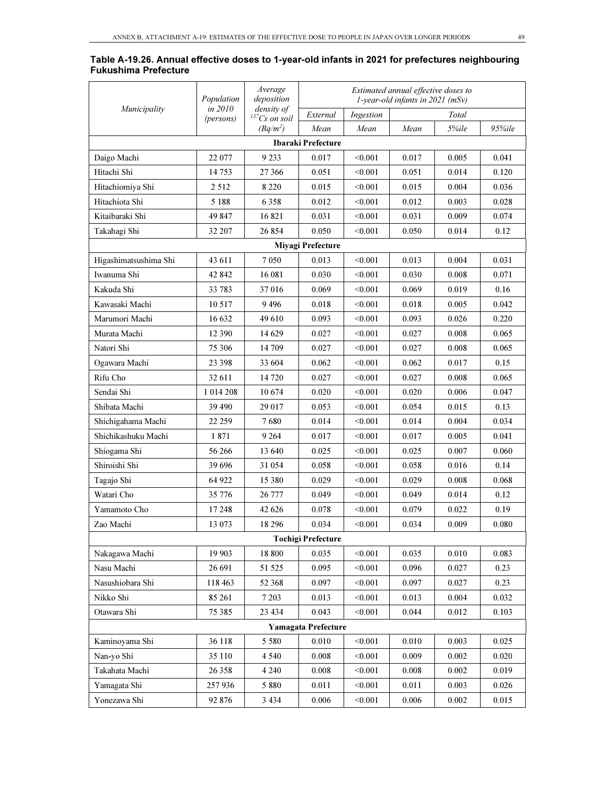|                             |  |  |  | Table A-19.26. Annual effective doses to 1-year-old infants in 2021 for prefectures neighbouring |  |
|-----------------------------|--|--|--|--------------------------------------------------------------------------------------------------|--|
| <b>Fukushima Prefecture</b> |  |  |  |                                                                                                  |  |

|                       | Population  | Average<br>deposition            | Estimated annual effective doses to<br>1-year-old infants in $2021$ (mSv) |           |       |       |        |  |  |  |
|-----------------------|-------------|----------------------------------|---------------------------------------------------------------------------|-----------|-------|-------|--------|--|--|--|
| Municipality          | in 2010     | density of<br>$^{137}Cs$ on soil | External                                                                  | Ingestion |       | Total |        |  |  |  |
|                       | (persons)   | $(Bq/m^2)$                       | Mean                                                                      | Mean      | Mean  | 5%ile | 95%ile |  |  |  |
|                       |             |                                  | Ibaraki Prefecture                                                        |           |       |       |        |  |  |  |
| Daigo Machi           | 22 077      | 9 2 3 3                          | 0.017                                                                     | < 0.001   | 0.017 | 0.005 | 0.041  |  |  |  |
| Hitachi Shi           | 14 753      | 27 366                           | 0.051                                                                     | < 0.001   | 0.051 | 0.014 | 0.120  |  |  |  |
| Hitachiomiya Shi      | 2 5 1 2     | 8 2 2 0                          | 0.015                                                                     | < 0.001   | 0.015 | 0.004 | 0.036  |  |  |  |
| Hitachiota Shi        | 5 1 8 8     | 6 3 5 8                          | 0.012                                                                     | < 0.001   | 0.012 | 0.003 | 0.028  |  |  |  |
| Kitaibaraki Shi       | 49 847      | 16821                            | 0.031                                                                     | < 0.001   | 0.031 | 0.009 | 0.074  |  |  |  |
| Takahagi Shi          | 32 207      | 26 854                           | 0.050                                                                     | < 0.001   | 0.050 | 0.014 | 0.12   |  |  |  |
| Miyagi Prefecture     |             |                                  |                                                                           |           |       |       |        |  |  |  |
| Higashimatsushima Shi | 43 611      | 7 0 5 0                          | 0.013                                                                     | < 0.001   | 0.013 | 0.004 | 0.031  |  |  |  |
| Iwanuma Shi           | 42 842      | 16 081                           | 0.030                                                                     | < 0.001   | 0.030 | 0.008 | 0.071  |  |  |  |
| Kakuda Shi            | 33 783      | 37 016                           | 0.069                                                                     | < 0.001   | 0.069 | 0.019 | 0.16   |  |  |  |
| Kawasaki Machi        | 10 517      | 9496                             | 0.018                                                                     | < 0.001   | 0.018 | 0.005 | 0.042  |  |  |  |
| Marumori Machi        | 16 632      | 49 610                           | 0.093                                                                     | < 0.001   | 0.093 | 0.026 | 0.220  |  |  |  |
| Murata Machi          | 12 390      | 14 629                           | 0.027                                                                     | < 0.001   | 0.027 | 0.008 | 0.065  |  |  |  |
| Natori Shi            | 75 306      | 14 709                           | 0.027                                                                     | < 0.001   | 0.027 | 0.008 | 0.065  |  |  |  |
| Ogawara Machi         | 23 398      | 33 604                           | 0.062                                                                     | < 0.001   | 0.062 | 0.017 | 0.15   |  |  |  |
| Rifu Cho              | 32 611      | 14 720                           | 0.027                                                                     | < 0.001   | 0.027 | 0.008 | 0.065  |  |  |  |
| Sendai Shi            | 1 0 14 2 08 | 10 674                           | 0.020                                                                     | < 0.001   | 0.020 | 0.006 | 0.047  |  |  |  |
| Shibata Machi         | 39 490      | 29 017                           | 0.053                                                                     | < 0.001   | 0.054 | 0.015 | 0.13   |  |  |  |
| Shichigahama Machi    | 22 259      | 7680                             | 0.014                                                                     | < 0.001   | 0.014 | 0.004 | 0.034  |  |  |  |
| Shichikashuku Machi   | 1871        | 9 2 64                           | 0.017                                                                     | < 0.001   | 0.017 | 0.005 | 0.041  |  |  |  |
| Shiogama Shi          | 56 266      | 13 640                           | 0.025                                                                     | < 0.001   | 0.025 | 0.007 | 0.060  |  |  |  |
| Shiroishi Shi         | 39 696      | 31 054                           | 0.058                                                                     | < 0.001   | 0.058 | 0.016 | 0.14   |  |  |  |
| Tagajo Shi            | 64 922      | 15 380                           | 0.029                                                                     | < 0.001   | 0.029 | 0.008 | 0.068  |  |  |  |
| Watari Cho            | 35 776      | 26 777                           | 0.049                                                                     | < 0.001   | 0.049 | 0.014 | 0.12   |  |  |  |
| Yamamoto Cho          | 17 248      | 42 626                           | 0.078                                                                     | < 0.001   | 0.079 | 0.022 | 0.19   |  |  |  |
| Zao Machi             | 13 073      | 18 29 6                          | 0.034                                                                     | < 0.001   | 0.034 | 0.009 | 0.080  |  |  |  |
|                       |             |                                  | Tochigi Prefecture                                                        |           |       |       |        |  |  |  |
| Nakagawa Machi        | 19 903      | 18 800                           | 0.035                                                                     | < 0.001   | 0.035 | 0.010 | 0.083  |  |  |  |
| Nasu Machi            | 26 691      | 51 525                           | 0.095                                                                     | < 0.001   | 0.096 | 0.027 | 0.23   |  |  |  |
| Nasushiobara Shi      | 118 463     | 52 368                           | 0.097                                                                     | < 0.001   | 0.097 | 0.027 | 0.23   |  |  |  |
| Nikko Shi             | 85 261      | 7 2 0 3                          | 0.013                                                                     | < 0.001   | 0.013 | 0.004 | 0.032  |  |  |  |
| Otawara Shi           | 75 385      | 23 4 34                          | 0.043                                                                     | < 0.001   | 0.044 | 0.012 | 0.103  |  |  |  |
|                       |             |                                  | <b>Yamagata Prefecture</b>                                                |           |       |       |        |  |  |  |
| Kaminoyama Shi        | 36 118      | 5 5 8 0                          | 0.010                                                                     | < 0.001   | 0.010 | 0.003 | 0.025  |  |  |  |
| Nan-yo Shi            | 35 110      | 4 5 4 0                          | 0.008                                                                     | < 0.001   | 0.009 | 0.002 | 0.020  |  |  |  |
| Takahata Machi        | 26 358      | 4 2 4 0                          | 0.008                                                                     | < 0.001   | 0.008 | 0.002 | 0.019  |  |  |  |
| Yamagata Shi          | 257936      | 5 8 8 0                          | 0.011                                                                     | < 0.001   | 0.011 | 0.003 | 0.026  |  |  |  |
| Yonezawa Shi          | 92 876      | 3 4 3 4                          | 0.006                                                                     | < 0.001   | 0.006 | 0.002 | 0.015  |  |  |  |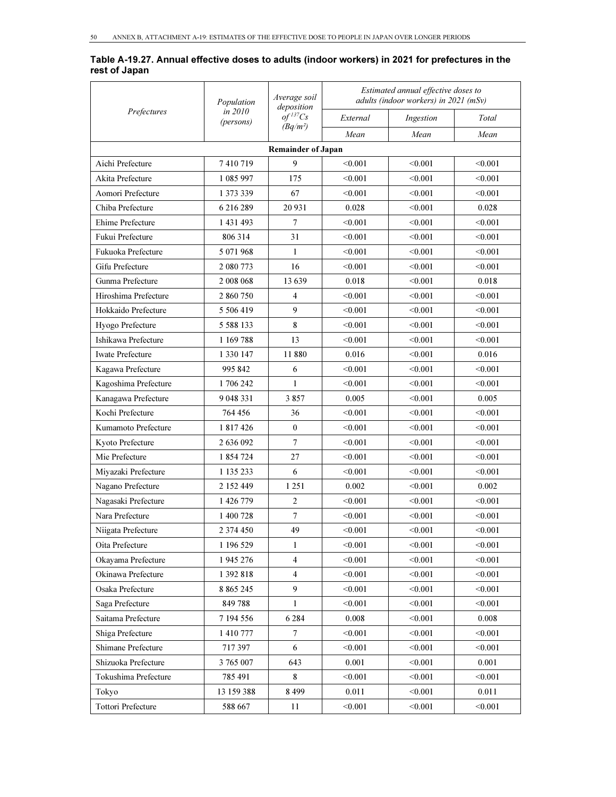#### Table A-19.27. Annual effective doses to adults (indoor workers) in 2021 for prefectures in the rest of Japan

|                           | Population           | Average soil<br>deposition |          | Estimated annual effective doses to<br>adults (indoor workers) in 2021 (mSv) |         |  |  |
|---------------------------|----------------------|----------------------------|----------|------------------------------------------------------------------------------|---------|--|--|
| Prefectures               | in 2010<br>(persons) | $of$ <sup>137</sup> Cs     | External | Ingestion                                                                    | Total   |  |  |
|                           |                      | $(Bq/m^2)$                 | Mean     | Mean                                                                         | Mean    |  |  |
|                           |                      | <b>Remainder of Japan</b>  |          |                                                                              |         |  |  |
| Aichi Prefecture          | 7410719              | 9                          | < 0.001  | < 0.001                                                                      | < 0.001 |  |  |
| Akita Prefecture          | 1 085 997            | 175                        | < 0.001  | < 0.001                                                                      | < 0.001 |  |  |
| Aomori Prefecture         | 1 373 339            | 67                         | < 0.001  | < 0.001                                                                      | < 0.001 |  |  |
| Chiba Prefecture          | 6 216 289            | 20 9 31                    | 0.028    | < 0.001                                                                      | 0.028   |  |  |
| Ehime Prefecture          | 1 431 493            | 7                          | < 0.001  | < 0.001                                                                      | < 0.001 |  |  |
| Fukui Prefecture          | 806 314              | 31                         | < 0.001  | < 0.001                                                                      | < 0.001 |  |  |
| Fukuoka Prefecture        | 5 071 968            | 1                          | < 0.001  | < 0.001                                                                      | < 0.001 |  |  |
| Gifu Prefecture           | 2 080 773            | 16                         | < 0.001  | < 0.001                                                                      | < 0.001 |  |  |
| Gunma Prefecture          | 2 008 068            | 13 639                     | 0.018    | < 0.001                                                                      | 0.018   |  |  |
| Hiroshima Prefecture      | 2 860 750            | 4                          | < 0.001  | < 0.001                                                                      | < 0.001 |  |  |
| Hokkaido Prefecture       | 5 506 419            | 9                          | < 0.001  | < 0.001                                                                      | < 0.001 |  |  |
| Hyogo Prefecture          | 5 5 8 8 1 3 3        | 8                          | < 0.001  | < 0.001                                                                      | < 0.001 |  |  |
| Ishikawa Prefecture       | 1 169 788            | 13                         | < 0.001  | < 0.001                                                                      | < 0.001 |  |  |
| <b>Iwate Prefecture</b>   | 1 3 3 0 1 4 7        | 11880                      | 0.016    | < 0.001                                                                      | 0.016   |  |  |
| Kagawa Prefecture         | 995 842              | 6                          | < 0.001  | < 0.001                                                                      | < 0.001 |  |  |
| Kagoshima Prefecture      | 1706242              | 1                          | < 0.001  | < 0.001                                                                      | < 0.001 |  |  |
| Kanagawa Prefecture       | 9 048 331            | 3857                       | 0.005    | < 0.001                                                                      | 0.005   |  |  |
| Kochi Prefecture          | 764 456              | 36                         | < 0.001  | < 0.001                                                                      | < 0.001 |  |  |
| Kumamoto Prefecture       | 1 817 426            | $\boldsymbol{0}$           | < 0.001  | < 0.001                                                                      | < 0.001 |  |  |
| Kyoto Prefecture          | 2 636 092            | $\overline{7}$             | < 0.001  | < 0.001                                                                      | < 0.001 |  |  |
| Mie Prefecture            | 1 854 724            | 27                         | < 0.001  | < 0.001                                                                      | < 0.001 |  |  |
| Miyazaki Prefecture       | 1 135 233            | 6                          | < 0.001  | < 0.001                                                                      | < 0.001 |  |  |
| Nagano Prefecture         | 2 152 449            | 1 2 5 1                    | 0.002    | < 0.001                                                                      | 0.002   |  |  |
| Nagasaki Prefecture       | 1 426 779            | 2                          | < 0.001  | < 0.001                                                                      | < 0.001 |  |  |
| Nara Prefecture           | 1 400 728            | $\tau$                     | < 0.001  | < 0.001                                                                      | < 0.001 |  |  |
| Niigata Prefecture        | 2 374 450            | 49                         | < 0.001  | < 0.001                                                                      | < 0.001 |  |  |
| Oita Prefecture           | 1 196 529            | 1                          | < 0.001  | < 0.001                                                                      | < 0.001 |  |  |
| Okayama Prefecture        | 1 945 276            | $\overline{4}$             | < 0.001  | < 0.001                                                                      | < 0.001 |  |  |
| Okinawa Prefecture        | 1 392 818            | $\overline{4}$             | < 0.001  | < 0.001                                                                      | < 0.001 |  |  |
| Osaka Prefecture          | 8 8 6 5 2 4 5        | 9                          | < 0.001  | < 0.001                                                                      | < 0.001 |  |  |
| Saga Prefecture           | 849788               | 1                          | < 0.001  | < 0.001                                                                      | < 0.001 |  |  |
| Saitama Prefecture        | 7 194 556            | 6 2 8 4                    | 0.008    | < 0.001                                                                      | 0.008   |  |  |
| Shiga Prefecture          | 1 410 777            | $\overline{7}$             | < 0.001  | < 0.001                                                                      | < 0.001 |  |  |
| Shimane Prefecture        | 717397               | 6                          | < 0.001  | < 0.001                                                                      | < 0.001 |  |  |
| Shizuoka Prefecture       | 3 765 007            | 643                        | 0.001    | < 0.001                                                                      | 0.001   |  |  |
| Tokushima Prefecture      | 785 491              | 8                          | < 0.001  | < 0.001                                                                      | < 0.001 |  |  |
| Tokyo                     | 13 159 388           | 8 4 9 9                    | 0.011    | < 0.001                                                                      | 0.011   |  |  |
| <b>Tottori Prefecture</b> | 588 667              | 11                         | < 0.001  | < 0.001                                                                      | < 0.001 |  |  |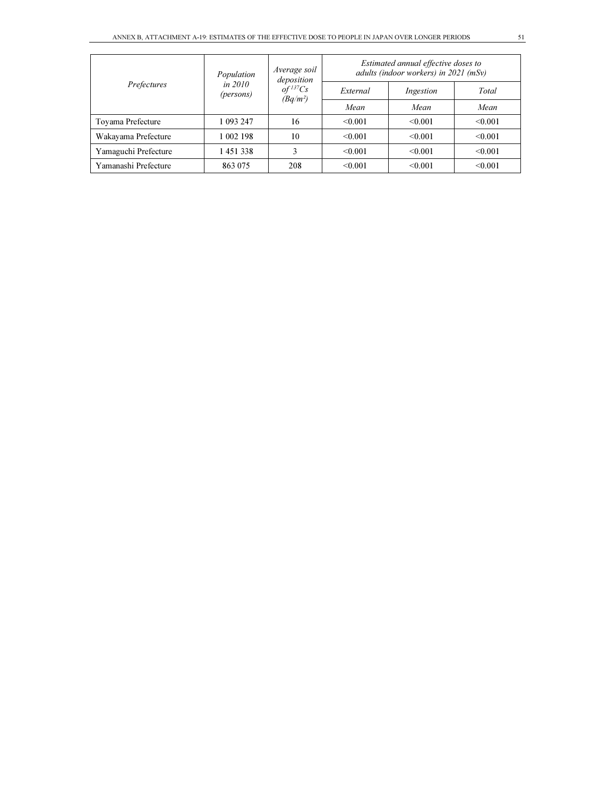| Prefectures          | Population             | Average soil<br>deposition             | Estimated annual effective doses to<br>adults (indoor workers) in 2021 (mSv) |           |         |  |
|----------------------|------------------------|----------------------------------------|------------------------------------------------------------------------------|-----------|---------|--|
|                      | in $2010$<br>(persons) | $of$ <sup>137</sup> $Cs$<br>$(Bq/m^2)$ | External                                                                     | Ingestion | Total   |  |
|                      |                        |                                        | Mean                                                                         | Mean      | Mean    |  |
| Toyama Prefecture    | 1 093 247              | 16                                     | < 0.001                                                                      | < 0.001   | < 0.001 |  |
| Wakayama Prefecture  | 1 002 198              | 10                                     | < 0.001                                                                      | < 0.001   | < 0.001 |  |
| Yamaguchi Prefecture | 1451338                |                                        | < 0.001                                                                      | < 0.001   | < 0.001 |  |
| Yamanashi Prefecture | 863 075                | 208                                    | < 0.001                                                                      | < 0.001   | < 0.001 |  |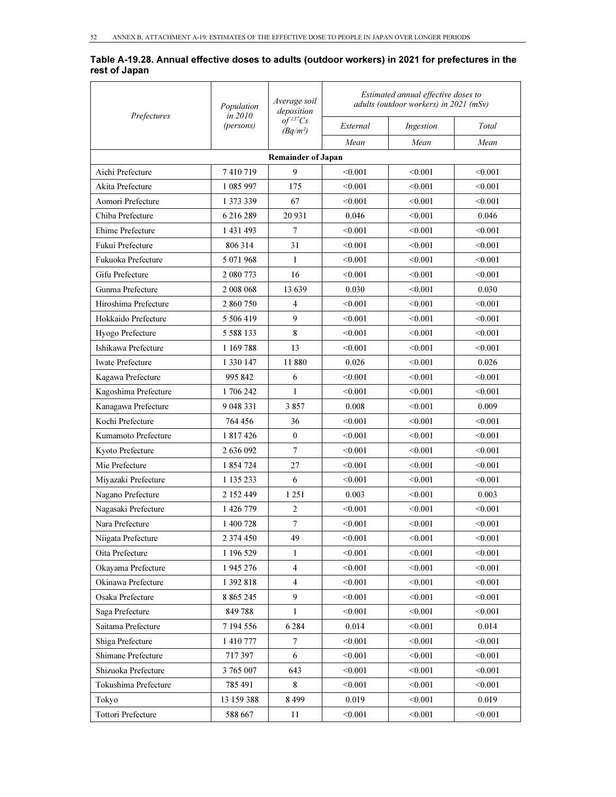#### Table A-19.28. Annual effective doses to adults (outdoor workers) in 2021 for prefectures in the rest of Japan

| Prefectures             | Population           | Average soil<br>deposition           | Estimated annual effective doses to<br>adults (outdoor workers) in 2021 (mSv) |           |         |  |
|-------------------------|----------------------|--------------------------------------|-------------------------------------------------------------------------------|-----------|---------|--|
|                         | in 2010<br>(persons) | $of$ <sup>137</sup> Cs<br>$(Bq/m^2)$ | External                                                                      | Ingestion | Total   |  |
|                         |                      |                                      | Mean                                                                          | Mean      | Mean    |  |
|                         |                      | <b>Remainder of Japan</b>            |                                                                               |           |         |  |
| Aichi Prefecture        | 7410719              | 9                                    | < 0.001                                                                       | < 0.001   | < 0.001 |  |
| Akita Prefecture        | 1 085 997            | 175                                  | < 0.001                                                                       | < 0.001   | < 0.001 |  |
| Aomori Prefecture       | 1 373 339            | 67                                   | < 0.001                                                                       | < 0.001   | < 0.001 |  |
| Chiba Prefecture        | 6 216 289            | 20 931                               | 0.046                                                                         | < 0.001   | 0.046   |  |
| Ehime Prefecture        | 1 431 493            | 7                                    | < 0.001                                                                       | < 0.001   | < 0.001 |  |
| Fukui Prefecture        | 806 314              | 31                                   | < 0.001                                                                       | < 0.001   | < 0.001 |  |
| Fukuoka Prefecture      | 5 071 968            | 1                                    | < 0.001                                                                       | < 0.001   | < 0.001 |  |
| Gifu Prefecture         | 2 080 773            | 16                                   | < 0.001                                                                       | < 0.001   | < 0.001 |  |
| Gunma Prefecture        | 2 008 068            | 13639                                | 0.030                                                                         | < 0.001   | 0.030   |  |
| Hiroshima Prefecture    | 2 860 750            | 4                                    | < 0.001                                                                       | < 0.001   | < 0.001 |  |
| Hokkaido Prefecture     | 5 506 419            | 9                                    | < 0.001                                                                       | < 0.001   | < 0.001 |  |
| Hyogo Prefecture        | 5 588 133            | 8                                    | < 0.001                                                                       | < 0.001   | < 0.001 |  |
| Ishikawa Prefecture     | 1 169 788            | 13                                   | < 0.001                                                                       | < 0.001   | < 0.001 |  |
| <b>Iwate Prefecture</b> | 1 330 147            | 11880                                | 0.026                                                                         | < 0.001   | 0.026   |  |
| Kagawa Prefecture       | 995 842              | 6                                    | < 0.001                                                                       | < 0.001   | < 0.001 |  |
| Kagoshima Prefecture    | 1706242              | 1                                    | < 0.001                                                                       | < 0.001   | < 0.001 |  |
| Kanagawa Prefecture     | 9 048 331            | 3857                                 | 0.008                                                                         | < 0.001   | 0.009   |  |
| Kochi Prefecture        | 764 456              | 36                                   | < 0.001                                                                       | < 0.001   | < 0.001 |  |
| Kumamoto Prefecture     | 1 817 426            | $\mathbf{0}$                         | < 0.001                                                                       | < 0.001   | < 0.001 |  |
| Kyoto Prefecture        | 2 636 092            | 7                                    | < 0.001                                                                       | < 0.001   | < 0.001 |  |
| Mie Prefecture          | 1 854 724            | 27                                   | < 0.001                                                                       | < 0.001   | < 0.001 |  |
| Miyazaki Prefecture     | 1 135 233            | 6                                    | < 0.001                                                                       | < 0.001   | < 0.001 |  |
| Nagano Prefecture       | 2 152 449            | 1 2 5 1                              | 0.003                                                                         | < 0.001   | 0.003   |  |
| Nagasaki Prefecture     | 1 426 779            | $\mathfrak{2}$                       | < 0.001                                                                       | < 0.001   | < 0.001 |  |
| Nara Prefecture         | 1 400 728            | $\overline{7}$                       | < 0.001                                                                       | < 0.001   | < 0.001 |  |
| Niigata Prefecture      | 2 374 450            | 49                                   | < 0.001                                                                       | < 0.001   | < 0.001 |  |
| Oita Prefecture         | 1 196 529            | 1                                    | < 0.001                                                                       | < 0.001   | < 0.001 |  |
| Okayama Prefecture      | 1 945 276            | $\overline{4}$                       | < 0.001                                                                       | < 0.001   | < 0.001 |  |
| Okinawa Prefecture      | 1 392 818            | $\overline{4}$                       | < 0.001                                                                       | < 0.001   | < 0.001 |  |
| Osaka Prefecture        | 8 8 6 5 2 4 5        | 9                                    | < 0.001                                                                       | < 0.001   | < 0.001 |  |
| Saga Prefecture         | 849788               | 1                                    | < 0.001                                                                       | < 0.001   | < 0.001 |  |
| Saitama Prefecture      | 7 194 556            | 6 2 8 4                              | 0.014                                                                         | < 0.001   | 0.014   |  |
| Shiga Prefecture        | 1 410 777            | 7                                    | < 0.001                                                                       | < 0.001   | < 0.001 |  |
| Shimane Prefecture      | 717397               | 6                                    | < 0.001                                                                       | < 0.001   | < 0.001 |  |
| Shizuoka Prefecture     | 3 765 007            | 643                                  | < 0.001                                                                       | < 0.001   | < 0.001 |  |
| Tokushima Prefecture    | 785 491              | $\bf 8$                              | < 0.001                                                                       | < 0.001   | < 0.001 |  |
| Tokyo                   | 13 159 388           | 8 4 9 9                              | 0.019                                                                         | < 0.001   | 0.019   |  |
| Tottori Prefecture      | 588 667              | $11\,$                               | < 0.001                                                                       | < 0.001   | < 0.001 |  |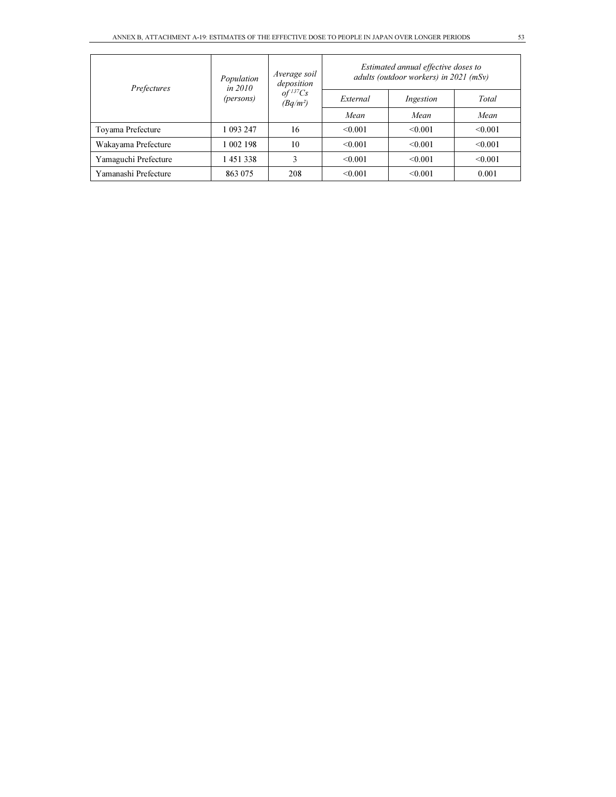| Prefectures          | Population<br>in $2010$ | Average soil<br>deposition           | Estimated annual effective doses to<br>adults (outdoor workers) in $2021$ (mSv) |           |         |  |  |
|----------------------|-------------------------|--------------------------------------|---------------------------------------------------------------------------------|-----------|---------|--|--|
|                      | (persons)               | $of$ <sup>137</sup> Cs<br>$(Bq/m^2)$ | External                                                                        | Ingestion | Total   |  |  |
|                      |                         |                                      | Mean                                                                            | Mean      | Mean    |  |  |
| Toyama Prefecture    | 1 093 247               | 16                                   | < 0.001                                                                         | < 0.001   | < 0.001 |  |  |
| Wakayama Prefecture  | 1 002 198               | 10                                   | < 0.001                                                                         | < 0.001   | < 0.001 |  |  |
| Yamaguchi Prefecture | 1451338                 | 3                                    | < 0.001                                                                         | < 0.001   | < 0.001 |  |  |
| Yamanashi Prefecture | 863 075                 | 208                                  | < 0.001                                                                         | < 0.001   | 0.001   |  |  |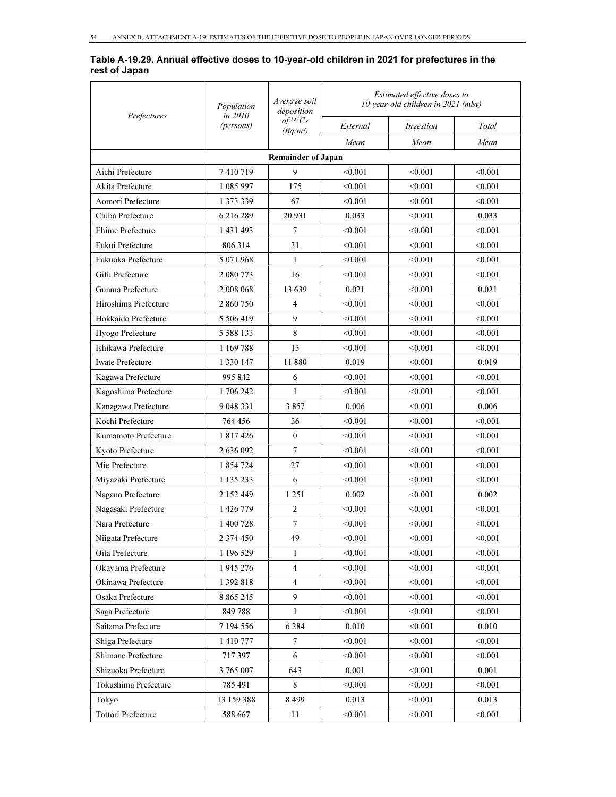#### Table A-19.29. Annual effective doses to 10-year-old children in 2021 for prefectures in the rest of Japan

| Prefectures               | Population<br>in 2010 | Average soil<br>deposition             | Estimated effective doses to<br>10-year-old children in 2021 (mSv) |           |         |  |
|---------------------------|-----------------------|----------------------------------------|--------------------------------------------------------------------|-----------|---------|--|
|                           | (persons)             | $of$ <sup>137</sup> $Cs$<br>$(Bq/m^2)$ | External                                                           | Ingestion | Total   |  |
|                           |                       |                                        | Mean                                                               | Mean      | Mean    |  |
|                           |                       | <b>Remainder of Japan</b>              |                                                                    |           |         |  |
| Aichi Prefecture          | 7410719               | 9                                      | < 0.001                                                            | < 0.001   | < 0.001 |  |
| Akita Prefecture          | 1 085 997             | 175                                    | < 0.001                                                            | < 0.001   | < 0.001 |  |
| Aomori Prefecture         | 1 373 339             | 67                                     | < 0.001                                                            | < 0.001   | < 0.001 |  |
| Chiba Prefecture          | 6 216 289             | 20 931                                 | 0.033                                                              | < 0.001   | 0.033   |  |
| <b>Ehime Prefecture</b>   | 1 431 493             | 7                                      | < 0.001                                                            | < 0.001   | < 0.001 |  |
| Fukui Prefecture          | 806 314               | 31                                     | < 0.001                                                            | < 0.001   | < 0.001 |  |
| Fukuoka Prefecture        | 5 071 968             | $\mathbf{1}$                           | < 0.001                                                            | < 0.001   | < 0.001 |  |
| Gifu Prefecture           | 2 080 773             | 16                                     | < 0.001                                                            | < 0.001   | < 0.001 |  |
| Gunma Prefecture          | 2 008 068             | 13639                                  | 0.021                                                              | < 0.001   | 0.021   |  |
| Hiroshima Prefecture      | 2 860 750             | $\overline{4}$                         | < 0.001                                                            | < 0.001   | < 0.001 |  |
| Hokkaido Prefecture       | 5 506 419             | 9                                      | < 0.001                                                            | < 0.001   | < 0.001 |  |
| Hyogo Prefecture          | 5 5 8 8 1 3 3         | 8                                      | < 0.001                                                            | < 0.001   | < 0.001 |  |
| Ishikawa Prefecture       | 1 169 788             | 13                                     | < 0.001                                                            | < 0.001   | < 0.001 |  |
| <b>Iwate Prefecture</b>   | 1 3 3 0 1 4 7         | 11880                                  | 0.019                                                              | < 0.001   | 0.019   |  |
| Kagawa Prefecture         | 995 842               | 6                                      | < 0.001                                                            | < 0.001   | < 0.001 |  |
| Kagoshima Prefecture      | 1 706 242             | $\mathbf{1}$                           | < 0.001                                                            | < 0.001   | < 0.001 |  |
| Kanagawa Prefecture       | 9 048 331             | 3857                                   | 0.006                                                              | < 0.001   | 0.006   |  |
| Kochi Prefecture          | 764 456               | 36                                     | < 0.001                                                            | < 0.001   | < 0.001 |  |
| Kumamoto Prefecture       | 1 817 426             | $\mathbf{0}$                           | < 0.001                                                            | < 0.001   | < 0.001 |  |
| Kyoto Prefecture          | 2 636 092             | 7                                      | < 0.001                                                            | < 0.001   | < 0.001 |  |
| Mie Prefecture            | 1 854 724             | 27                                     | < 0.001                                                            | < 0.001   | < 0.001 |  |
| Miyazaki Prefecture       | 1 135 233             | 6                                      | < 0.001                                                            | < 0.001   | < 0.001 |  |
| Nagano Prefecture         | 2 152 449             | 1 25 1                                 | 0.002                                                              | < 0.001   | 0.002   |  |
| Nagasaki Prefecture       | 1 426 779             | 2                                      | < 0.001                                                            | < 0.001   | < 0.001 |  |
| Nara Prefecture           | 1 400 728             | $\overline{7}$                         | < 0.001                                                            | < 0.001   | < 0.001 |  |
| Niigata Prefecture        | 2 374 450             | 49                                     | < 0.001                                                            | < 0.001   | < 0.001 |  |
| Oita Prefecture           | 1 196 529             | $\mathbf{1}$                           | < 0.001                                                            | < 0.001   | < 0.001 |  |
| Okayama Prefecture        | 1 945 276             | $\overline{4}$                         | < 0.001                                                            | < 0.001   | < 0.001 |  |
| Okinawa Prefecture        | 1 392 818             | $\overline{4}$                         | < 0.001                                                            | < 0.001   | < 0.001 |  |
| Osaka Prefecture          | 8 8 6 5 2 4 5         | 9                                      | < 0.001                                                            | < 0.001   | < 0.001 |  |
| Saga Prefecture           | 849788                | 1                                      | < 0.001                                                            | < 0.001   | < 0.001 |  |
| Saitama Prefecture        | 7 194 556             | 6 2 8 4                                | 0.010                                                              | < 0.001   | 0.010   |  |
| Shiga Prefecture          | 1 410 777             | $\tau$                                 | < 0.001                                                            | < 0.001   | < 0.001 |  |
| Shimane Prefecture        | 717397                | 6                                      | < 0.001                                                            | < 0.001   | < 0.001 |  |
| Shizuoka Prefecture       | 3 765 007             | 643                                    | 0.001                                                              | < 0.001   | 0.001   |  |
| Tokushima Prefecture      | 785 491               | 8                                      | < 0.001                                                            | < 0.001   | < 0.001 |  |
| Tokyo                     | 13 159 388            | 8 4 9 9                                | 0.013                                                              | < 0.001   | 0.013   |  |
| <b>Tottori Prefecture</b> | 588 667               | $11\,$                                 | < 0.001                                                            | < 0.001   | < 0.001 |  |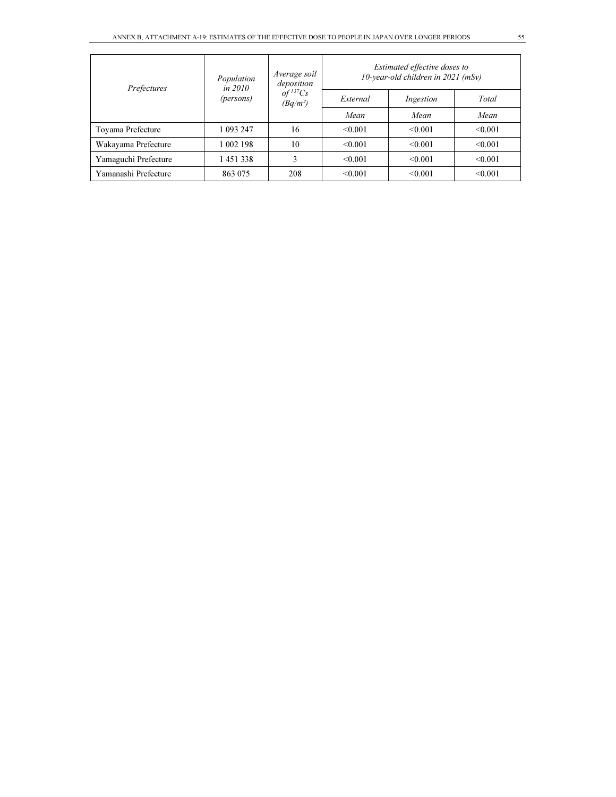| Prefectures          | Population<br><i>in 2010</i> | Average soil<br>deposition           | Estimated effective doses to<br>10-year-old children in $2021$ (mSv) |              |         |  |
|----------------------|------------------------------|--------------------------------------|----------------------------------------------------------------------|--------------|---------|--|
|                      | (persons)                    | $of$ <sup>137</sup> Cs<br>$(Bq/m^2)$ | External                                                             | Ingestion    | Total   |  |
|                      |                              |                                      | Mean                                                                 | Mean         | Mean    |  |
| Toyama Prefecture    | 1 093 247                    | 16                                   | < 0.001                                                              | < 0.001      | < 0.001 |  |
| Wakayama Prefecture  | 1 002 198                    | 10                                   | < 0.001                                                              | $\leq 0.001$ | < 0.001 |  |
| Yamaguchi Prefecture | 1451338                      | 3                                    | < 0.001                                                              | < 0.001      | < 0.001 |  |
| Yamanashi Prefecture | 863 075                      | 208                                  | < 0.001                                                              | < 0.001      | < 0.001 |  |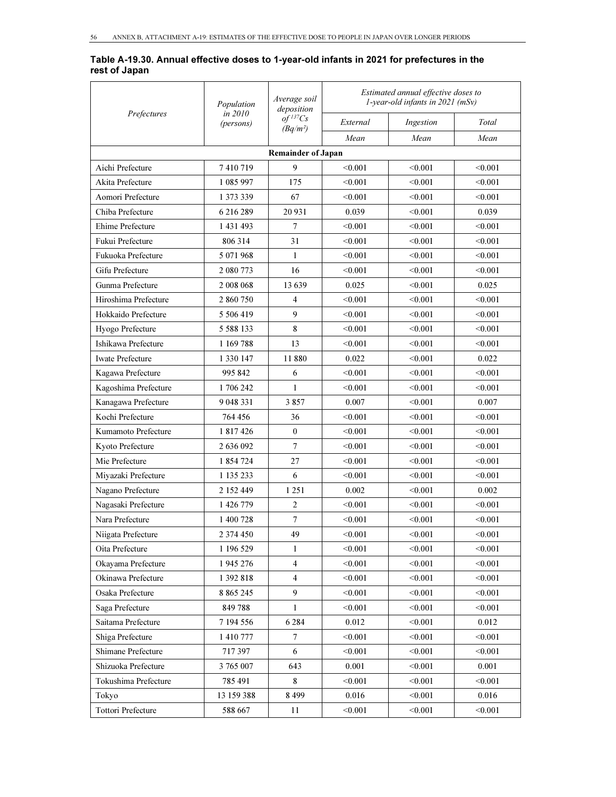#### Table A-19.30. Annual effective doses to 1-year-old infants in 2021 for prefectures in the rest of Japan

| Prefectures               | Population<br>in 2010<br>(persons) | Average soil<br>deposition<br>$of$ <sup>137</sup> $Cs$<br>$(Bq/m^2)$ | Estimated annual effective doses to<br>1-year-old infants in 2021 (mSv) |           |         |  |  |  |  |
|---------------------------|------------------------------------|----------------------------------------------------------------------|-------------------------------------------------------------------------|-----------|---------|--|--|--|--|
|                           |                                    |                                                                      | External                                                                | Ingestion | Total   |  |  |  |  |
|                           |                                    |                                                                      | Mean                                                                    | Mean      | Mean    |  |  |  |  |
| <b>Remainder of Japan</b> |                                    |                                                                      |                                                                         |           |         |  |  |  |  |
| Aichi Prefecture          | 7410719                            | 9                                                                    | < 0.001                                                                 | < 0.001   | < 0.001 |  |  |  |  |
| Akita Prefecture          | 1 085 997                          | 175                                                                  | < 0.001                                                                 | < 0.001   | < 0.001 |  |  |  |  |
| Aomori Prefecture         | 1 373 339                          | 67                                                                   | < 0.001                                                                 | < 0.001   | < 0.001 |  |  |  |  |
| Chiba Prefecture          | 6 216 289                          | 20 931                                                               | 0.039                                                                   | < 0.001   | 0.039   |  |  |  |  |
| Ehime Prefecture          | 1 431 493                          | 7                                                                    | < 0.001                                                                 | < 0.001   | < 0.001 |  |  |  |  |
| Fukui Prefecture          | 806 314                            | 31                                                                   | < 0.001                                                                 | < 0.001   | < 0.001 |  |  |  |  |
| Fukuoka Prefecture        | 5 071 968                          | 1                                                                    | < 0.001                                                                 | < 0.001   | < 0.001 |  |  |  |  |
| Gifu Prefecture           | 2 080 773                          | 16                                                                   | < 0.001                                                                 | < 0.001   | < 0.001 |  |  |  |  |
| Gunma Prefecture          | 2 008 068                          | 13 639                                                               | 0.025                                                                   | < 0.001   | 0.025   |  |  |  |  |
| Hiroshima Prefecture      | 2 860 750                          | $\overline{4}$                                                       | < 0.001                                                                 | < 0.001   | < 0.001 |  |  |  |  |
| Hokkaido Prefecture       | 5 506 419                          | 9                                                                    | < 0.001                                                                 | < 0.001   | < 0.001 |  |  |  |  |
| Hyogo Prefecture          | 5 5 8 8 1 3 3                      | 8                                                                    | < 0.001                                                                 | < 0.001   | < 0.001 |  |  |  |  |
| Ishikawa Prefecture       | 1 169 788                          | 13                                                                   | < 0.001                                                                 | < 0.001   | < 0.001 |  |  |  |  |
| <b>Iwate Prefecture</b>   | 1 3 3 0 1 4 7                      | 11880                                                                | 0.022                                                                   | < 0.001   | 0.022   |  |  |  |  |
| Kagawa Prefecture         | 995 842                            | 6                                                                    | < 0.001                                                                 | < 0.001   | < 0.001 |  |  |  |  |
| Kagoshima Prefecture      | 1706242                            | 1                                                                    | < 0.001                                                                 | < 0.001   | < 0.001 |  |  |  |  |
| Kanagawa Prefecture       | 9 048 331                          | 3857                                                                 | 0.007                                                                   | < 0.001   | 0.007   |  |  |  |  |
| Kochi Prefecture          | 764 456                            | 36                                                                   | < 0.001                                                                 | < 0.001   | < 0.001 |  |  |  |  |
| Kumamoto Prefecture       | 1 817 426                          | $\mathbf{0}$                                                         | < 0.001                                                                 | < 0.001   | < 0.001 |  |  |  |  |
| Kyoto Prefecture          | 2 636 092                          | $\overline{7}$                                                       | < 0.001                                                                 | < 0.001   | < 0.001 |  |  |  |  |
| Mie Prefecture            | 1 854 724                          | 27                                                                   | < 0.001                                                                 | < 0.001   | < 0.001 |  |  |  |  |
| Miyazaki Prefecture       | 1 135 233                          | 6                                                                    | < 0.001                                                                 | < 0.001   | < 0.001 |  |  |  |  |
| Nagano Prefecture         | 2 152 449                          | 1 2 5 1                                                              | 0.002                                                                   | < 0.001   | 0.002   |  |  |  |  |
| Nagasaki Prefecture       | 1 426 779                          | $\mathfrak{2}$                                                       | < 0.001                                                                 | < 0.001   | < 0.001 |  |  |  |  |
| Nara Prefecture           | 1 400 728                          | 7                                                                    | < 0.001                                                                 | < 0.001   | < 0.001 |  |  |  |  |
| Niigata Prefecture        | 2 374 450                          | 49                                                                   | < 0.001                                                                 | < 0.001   | < 0.001 |  |  |  |  |
| Oita Prefecture           | 1 196 529                          | 1                                                                    | < 0.001                                                                 | < 0.001   | < 0.001 |  |  |  |  |
| Okayama Prefecture        | 1 945 276                          | $\overline{4}$                                                       | < 0.001                                                                 | < 0.001   | < 0.001 |  |  |  |  |
| Okinawa Prefecture        | 1 392 818                          | $\overline{4}$                                                       | < 0.001                                                                 | < 0.001   | < 0.001 |  |  |  |  |
| Osaka Prefecture          | 8 8 6 5 2 4 5                      | 9                                                                    | < 0.001                                                                 | < 0.001   | < 0.001 |  |  |  |  |
| Saga Prefecture           | 849788                             | 1                                                                    | < 0.001                                                                 | < 0.001   | < 0.001 |  |  |  |  |
| Saitama Prefecture        | 7 194 556                          | 6 2 8 4                                                              | 0.012                                                                   | < 0.001   | 0.012   |  |  |  |  |
| Shiga Prefecture          | 1410777                            | $\overline{7}$                                                       | < 0.001                                                                 | < 0.001   | < 0.001 |  |  |  |  |
| Shimane Prefecture        | 717397                             | 6                                                                    | < 0.001                                                                 | < 0.001   | < 0.001 |  |  |  |  |
| Shizuoka Prefecture       | 3 765 007                          | 643                                                                  | 0.001                                                                   | < 0.001   | 0.001   |  |  |  |  |
| Tokushima Prefecture      | 785 491                            | 8                                                                    | < 0.001                                                                 | < 0.001   | < 0.001 |  |  |  |  |
| Tokyo                     | 13 159 388                         | 8499                                                                 | 0.016                                                                   | < 0.001   | 0.016   |  |  |  |  |
| Tottori Prefecture        | 588 667                            | 11                                                                   | < 0.001                                                                 | < 0.001   | < 0.001 |  |  |  |  |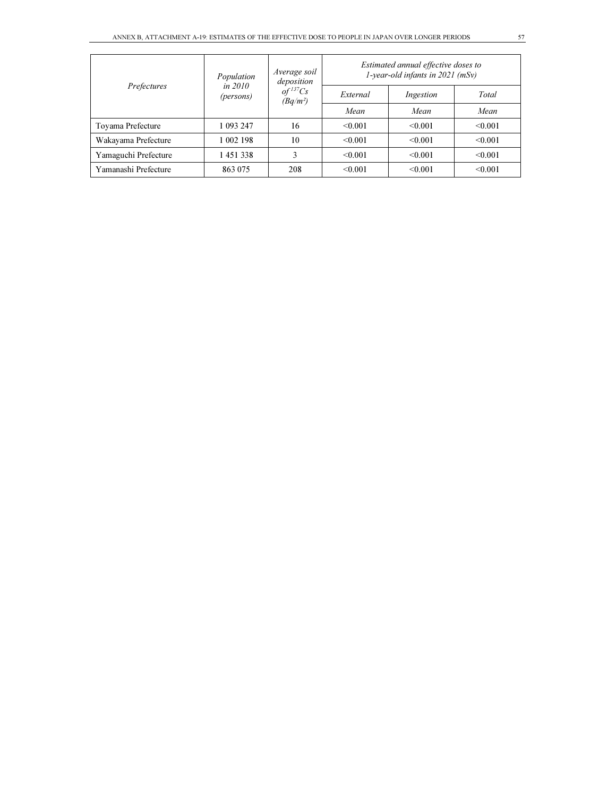| Prefectures          | Population<br>in $2010$<br>(persons) | Average soil<br>deposition<br>$of$ <sup>137</sup> $Cs$<br>$(Bq/m^2)$ | Estimated annual effective doses to<br>1-year-old infants in $2021$ (mSv) |           |         |
|----------------------|--------------------------------------|----------------------------------------------------------------------|---------------------------------------------------------------------------|-----------|---------|
|                      |                                      |                                                                      | External                                                                  | Ingestion | Total   |
|                      |                                      |                                                                      | Mean                                                                      | Mean      | Mean    |
| Toyama Prefecture    | 1 093 247                            | 16                                                                   | < 0.001                                                                   | < 0.001   | < 0.001 |
| Wakayama Prefecture  | 1 002 198                            | 10                                                                   | < 0.001                                                                   | < 0.001   | < 0.001 |
| Yamaguchi Prefecture | 1451338                              | 3                                                                    | < 0.001                                                                   | < 0.001   | < 0.001 |
| Yamanashi Prefecture | 863 075                              | 208                                                                  | < 0.001                                                                   | < 0.001   | < 0.001 |